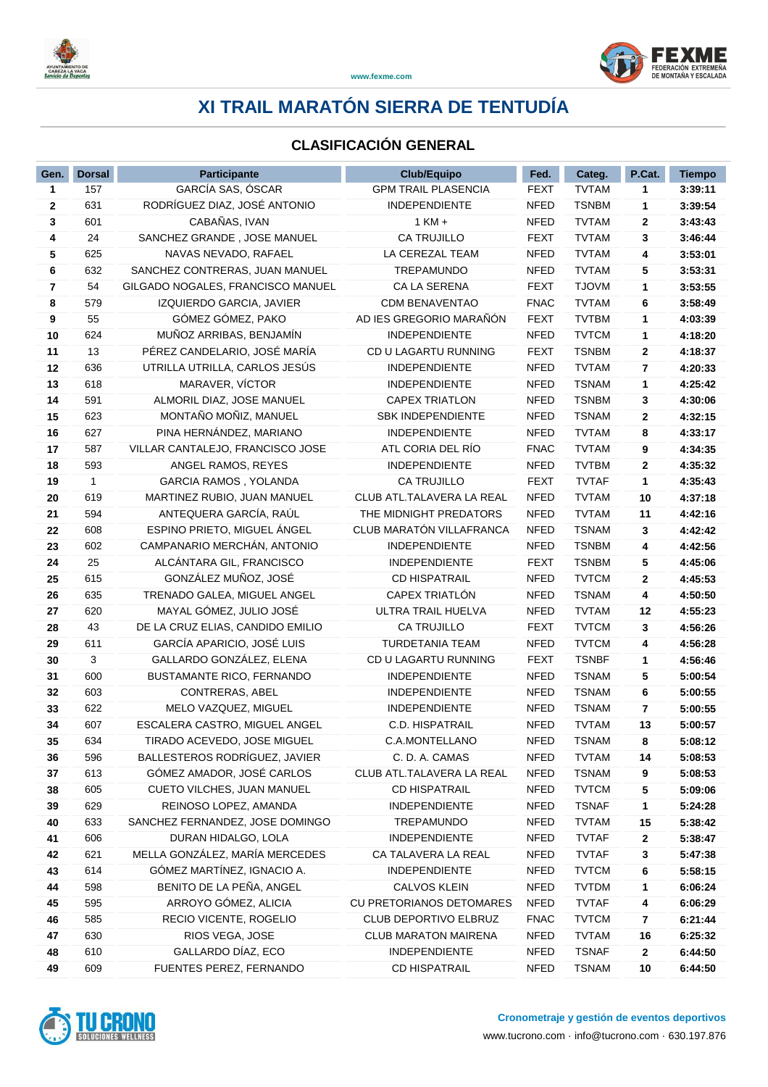



### **CLASIFICACIÓN GENERAL**

| Gen.         | <b>Dorsal</b> | <b>Participante</b>               | <b>Club/Equipo</b>          | Fed.        | Categ.       | P.Cat.       | <b>Tiempo</b> |
|--------------|---------------|-----------------------------------|-----------------------------|-------------|--------------|--------------|---------------|
| $\mathbf{1}$ | 157           | GARCÍA SAS, ÓSCAR                 | <b>GPM TRAIL PLASENCIA</b>  | <b>FEXT</b> | <b>TVTAM</b> | 1            | 3:39:11       |
| $\mathbf 2$  | 631           | RODRÍGUEZ DIAZ, JOSÉ ANTONIO      | <b>INDEPENDIENTE</b>        | <b>NFED</b> | <b>TSNBM</b> | 1            | 3:39:54       |
| 3            | 601           | CABAÑAS, IVAN                     | $1$ KM $+$                  | <b>NFED</b> | <b>TVTAM</b> | 2            | 3:43:43       |
| 4            | 24            | SANCHEZ GRANDE, JOSE MANUEL       | <b>CA TRUJILLO</b>          | FEXT        | <b>TVTAM</b> | 3            | 3:46:44       |
| 5            | 625           | NAVAS NEVADO, RAFAEL              | LA CEREZAL TEAM             | <b>NFED</b> | <b>TVTAM</b> | 4            | 3:53:01       |
| 6            | 632           | SANCHEZ CONTRERAS, JUAN MANUEL    | <b>TREPAMUNDO</b>           | <b>NFED</b> | <b>TVTAM</b> | 5            | 3:53:31       |
| 7            | 54            | GILGADO NOGALES, FRANCISCO MANUEL | CA LA SERENA                | <b>FEXT</b> | <b>TJOVM</b> | 1            | 3:53:55       |
| 8            | 579           | IZQUIERDO GARCIA, JAVIER          | <b>CDM BENAVENTAO</b>       | <b>FNAC</b> | <b>TVTAM</b> | 6            | 3:58:49       |
| 9            | 55            | GÓMEZ GÓMEZ, PAKO                 | AD IES GREGORIO MARAÑÓN     | <b>FEXT</b> | <b>TVTBM</b> | 1            | 4:03:39       |
| 10           | 624           | MUÑOZ ARRIBAS, BENJAMÍN           | <b>INDEPENDIENTE</b>        | <b>NFED</b> | <b>TVTCM</b> | 1            | 4:18:20       |
| 11           | 13            | PÉREZ CANDELARIO, JOSÉ MARÍA      | CD U LAGARTU RUNNING        | <b>FEXT</b> | <b>TSNBM</b> | $\mathbf{2}$ | 4:18:37       |
| 12           | 636           | UTRILLA UTRILLA, CARLOS JESÚS     | <b>INDEPENDIENTE</b>        | <b>NFED</b> | <b>TVTAM</b> | 7            | 4:20:33       |
| 13           | 618           | MARAVER, VÍCTOR                   | <b>INDEPENDIENTE</b>        | <b>NFED</b> | <b>TSNAM</b> | 1            | 4:25:42       |
| 14           | 591           | ALMORIL DIAZ, JOSE MANUEL         | <b>CAPEX TRIATLON</b>       | <b>NFED</b> | <b>TSNBM</b> | 3            | 4:30:06       |
| 15           | 623           | MONTAÑO MOÑIZ, MANUEL             | SBK INDEPENDIENTE           | <b>NFED</b> | <b>TSNAM</b> | 2            | 4:32:15       |
| 16           | 627           | PINA HERNÁNDEZ, MARIANO           | <b>INDEPENDIENTE</b>        | <b>NFED</b> | <b>TVTAM</b> | 8            | 4:33:17       |
| 17           | 587           | VILLAR CANTALEJO, FRANCISCO JOSE  | ATL CORIA DEL RÍO           | <b>FNAC</b> | <b>TVTAM</b> | 9            | 4:34:35       |
| 18           | 593           | ANGEL RAMOS, REYES                | <b>INDEPENDIENTE</b>        | <b>NFED</b> | <b>TVTBM</b> | 2            | 4:35:32       |
| 19           | $\mathbf{1}$  | <b>GARCIA RAMOS, YOLANDA</b>      | <b>CA TRUJILLO</b>          | <b>FEXT</b> | <b>TVTAF</b> | 1            | 4:35:43       |
| 20           | 619           | MARTINEZ RUBIO, JUAN MANUEL       | CLUB ATL.TALAVERA LA REAL   | <b>NFED</b> | <b>TVTAM</b> | 10           | 4:37:18       |
| 21           | 594           | ANTEQUERA GARCÍA, RAÚL            | THE MIDNIGHT PREDATORS      | <b>NFED</b> | <b>TVTAM</b> | 11           | 4:42:16       |
| 22           | 608           | ESPINO PRIETO, MIGUEL ÁNGEL       | CLUB MARATÓN VILLAFRANCA    | <b>NFED</b> | <b>TSNAM</b> | 3            | 4:42:42       |
| 23           | 602           | CAMPANARIO MERCHÁN, ANTONIO       | <b>INDEPENDIENTE</b>        | <b>NFED</b> | <b>TSNBM</b> | 4            | 4:42:56       |
| 24           | 25            | ALCÁNTARA GIL, FRANCISCO          | <b>INDEPENDIENTE</b>        | <b>FEXT</b> | <b>TSNBM</b> | 5            | 4:45:06       |
| 25           | 615           | GONZÁLEZ MUÑOZ, JOSÉ              | <b>CD HISPATRAIL</b>        | <b>NFED</b> | <b>TVTCM</b> | $\mathbf{2}$ | 4:45:53       |
| 26           | 635           | TRENADO GALEA, MIGUEL ANGEL       | CAPEX TRIATLÓN              | <b>NFED</b> | <b>TSNAM</b> | 4            | 4:50:50       |
| 27           | 620           | MAYAL GÓMEZ, JULIO JOSÉ           | ULTRA TRAIL HUELVA          | <b>NFED</b> | <b>TVTAM</b> | 12           | 4:55:23       |
| 28           | 43            | DE LA CRUZ ELIAS, CANDIDO EMILIO  | <b>CA TRUJILLO</b>          | <b>FEXT</b> | <b>TVTCM</b> | 3            | 4:56:26       |
| 29           | 611           | GARCÍA APARICIO, JOSÉ LUIS        | TURDETANIA TEAM             | <b>NFED</b> | <b>TVTCM</b> | 4            | 4:56:28       |
| 30           | 3             | GALLARDO GONZÁLEZ, ELENA          | CD U LAGARTU RUNNING        | FEXT        | <b>TSNBF</b> | 1            | 4:56:46       |
| 31           | 600           | BUSTAMANTE RICO, FERNANDO         | <b>INDEPENDIENTE</b>        | <b>NFED</b> | <b>TSNAM</b> | 5            | 5:00:54       |
| 32           | 603           | <b>CONTRERAS, ABEL</b>            | INDEPENDIENTE               | <b>NFED</b> | <b>TSNAM</b> | 6            | 5:00:55       |
| 33           | 622           | MELO VAZQUEZ, MIGUEL              | <b>INDEPENDIENTE</b>        | <b>NFED</b> | <b>TSNAM</b> | 7            | 5:00:55       |
| 34           | 607           | ESCALERA CASTRO, MIGUEL ANGEL     | C.D. HISPATRAIL             | <b>NFED</b> | <b>TVTAM</b> | 13           | 5:00:57       |
| 35           | 634           | TIRADO ACEVEDO, JOSE MIGUEL       | C.A.MONTELLANO              | NFED        | <b>TSNAM</b> | 8            | 5:08:12       |
| 36           | 596           | BALLESTEROS RODRÍGUEZ, JAVIER     | C. D. A. CAMAS              | <b>NFED</b> | <b>TVTAM</b> | 14           | 5:08:53       |
| 37           | 613           | GÓMEZ AMADOR, JOSÉ CARLOS         | CLUB ATL.TALAVERA LA REAL   | <b>NFED</b> | <b>TSNAM</b> | 9            | 5:08:53       |
| 38           | 605           | CUETO VILCHES, JUAN MANUEL        | <b>CD HISPATRAIL</b>        | <b>NFED</b> | <b>TVTCM</b> | 5            | 5:09:06       |
| 39           | 629           | REINOSO LOPEZ, AMANDA             | <b>INDEPENDIENTE</b>        | NFED        | <b>TSNAF</b> | 1            | 5:24:28       |
| 40           | 633           | SANCHEZ FERNANDEZ, JOSE DOMINGO   | TREPAMUNDO                  | <b>NFED</b> | <b>TVTAM</b> | 15           | 5:38:42       |
| 41           | 606           | DURAN HIDALGO, LOLA               | <b>INDEPENDIENTE</b>        | <b>NFED</b> | <b>TVTAF</b> | 2            | 5:38:47       |
| 42           | 621           | MELLA GONZÁLEZ, MARÍA MERCEDES    | CA TALAVERA LA REAL         | <b>NFED</b> | <b>TVTAF</b> | 3            | 5:47:38       |
| 43           | 614           | GÓMEZ MARTÍNEZ, IGNACIO A.        | <b>INDEPENDIENTE</b>        | <b>NFED</b> | <b>TVTCM</b> | 6            | 5:58:15       |
| 44           | 598           | BENITO DE LA PEÑA, ANGEL          | <b>CALVOS KLEIN</b>         | <b>NFED</b> | <b>TVTDM</b> | 1            | 6:06:24       |
| 45           | 595           | ARROYO GÓMEZ, ALICIA              | CU PRETORIANOS DETOMARES    | <b>NFED</b> | <b>TVTAF</b> | 4            | 6:06:29       |
| 46           | 585           | RECIO VICENTE, ROGELIO            | CLUB DEPORTIVO ELBRUZ       | <b>FNAC</b> | <b>TVTCM</b> | 7            | 6:21:44       |
| 47           | 630           | RIOS VEGA, JOSE                   | <b>CLUB MARATON MAIRENA</b> | <b>NFED</b> | <b>TVTAM</b> | 16           | 6:25:32       |
| 48           | 610           | GALLARDO DÍAZ, ECO                | <b>INDEPENDIENTE</b>        | <b>NFED</b> | <b>TSNAF</b> | $\mathbf{2}$ | 6:44:50       |
| 49           | 609           | FUENTES PEREZ, FERNANDO           | <b>CD HISPATRAIL</b>        | <b>NFED</b> | <b>TSNAM</b> | $10\,$       | 6:44:50       |

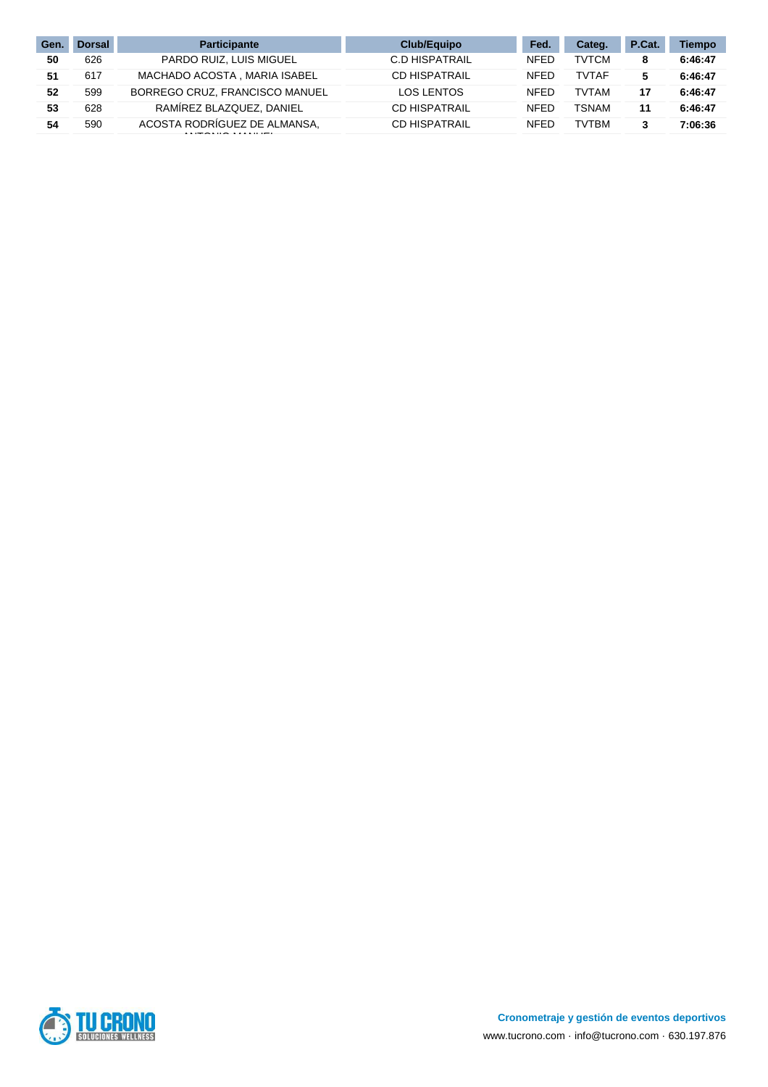| Gen | <b>Dorsal</b> | <b>Participante</b>            | Club/Equipo           | Fed.        | Categ.       | P.Cat. | <b>Tiempo</b> |
|-----|---------------|--------------------------------|-----------------------|-------------|--------------|--------|---------------|
| 50  | 626           | PARDO RUIZ, LUIS MIGUEL        | <b>C.D HISPATRAIL</b> | <b>NFED</b> | <b>TVTCM</b> | 8      | 6:46:47       |
| 51  | 617           | MACHADO ACOSTA, MARIA ISABEL   | <b>CD HISPATRAIL</b>  | <b>NFED</b> | <b>TVTAF</b> | 5      | 6:46:47       |
| 52  | 599           | BORREGO CRUZ, FRANCISCO MANUEL | <b>LOS LENTOS</b>     | <b>NFED</b> | <b>TVTAM</b> | 17     | 6:46:47       |
| 53  | 628           | RAMIREZ BLAZQUEZ, DANIEL       | <b>CD HISPATRAIL</b>  | <b>NFED</b> | TSNAM        | 11     | 6:46:47       |
| 54  | 590           | ACOSTA RODRÍGUEZ DE ALMANSA.   | <b>CD HISPATRAIL</b>  | <b>NFED</b> | <b>TVTBM</b> | 3      | 7:06:36       |

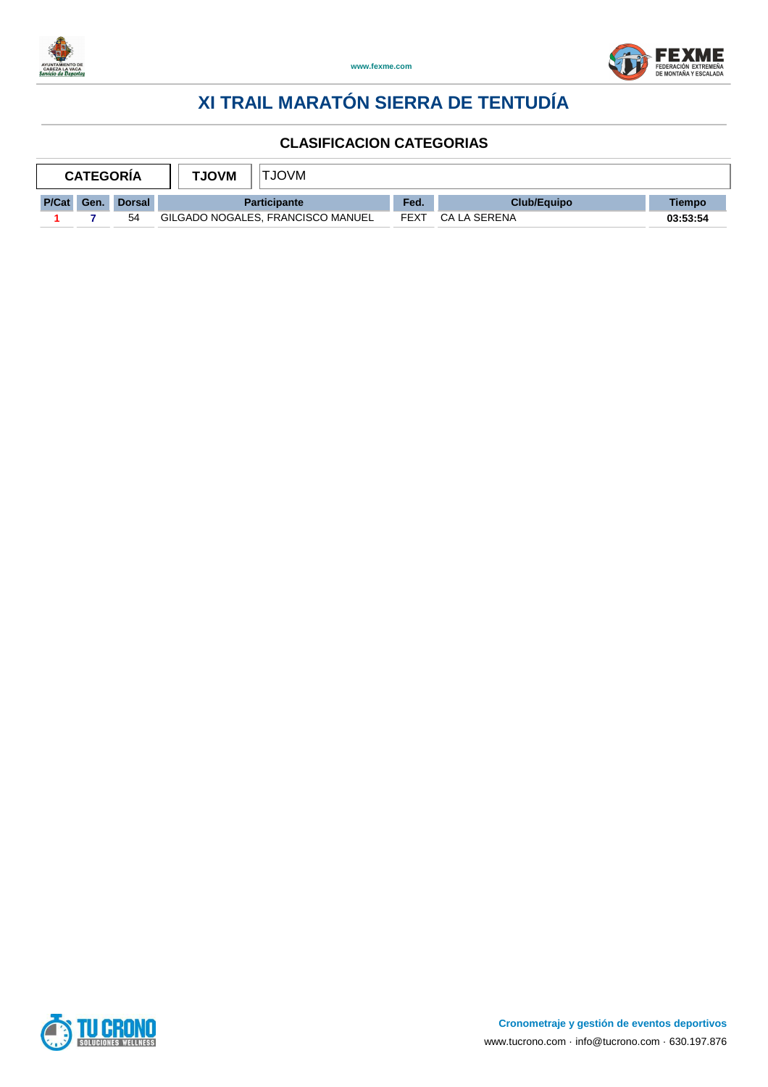



| <b>CATEGORIA</b> |      |               | <b>NVOLT</b><br><b>TJOVM</b>      |             |              |          |
|------------------|------|---------------|-----------------------------------|-------------|--------------|----------|
| P/Cat            | Gen. | <b>Dorsal</b> | <b>Participante</b>               | Fed.        | Club/Equipo  | Tiempo   |
|                  |      | 54            | GILGADO NOGALES, FRANCISCO MANUEL | <b>FEXT</b> | CA LA SERENA | 03:53:54 |

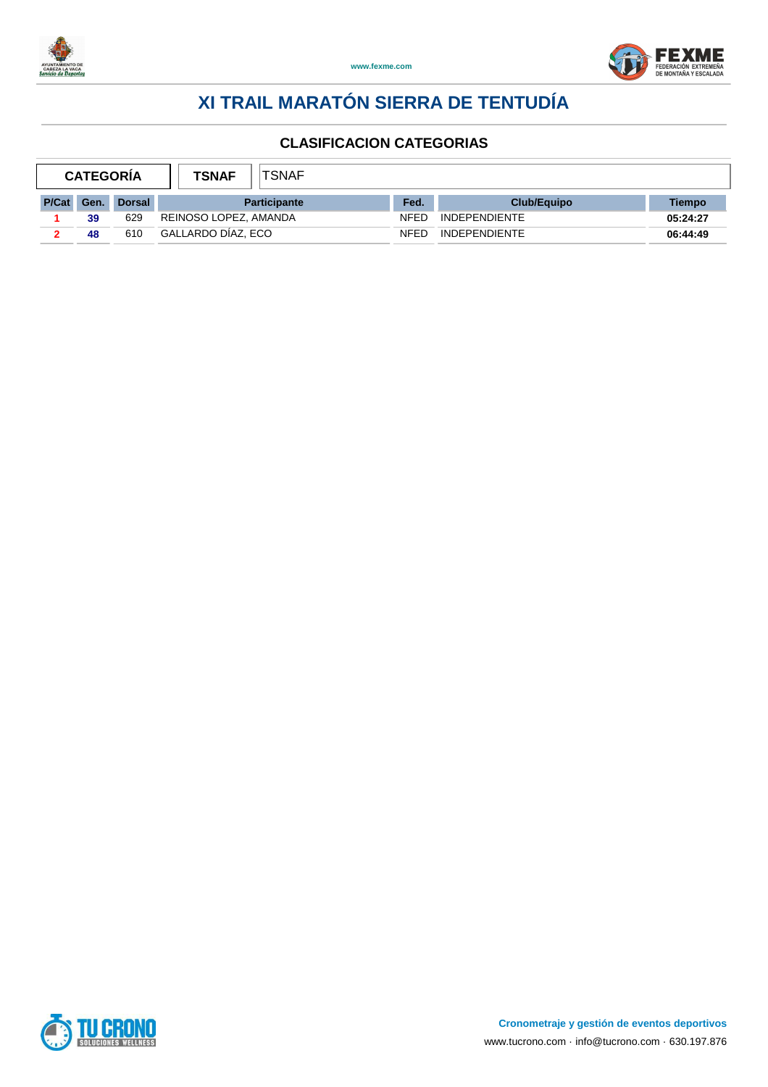



| <b>CATEGORIA</b> |     |               | <b>TSNAF</b>          | <b>TSNAF</b>        |             |                      |          |
|------------------|-----|---------------|-----------------------|---------------------|-------------|----------------------|----------|
| P/Cat            | Gen | <b>Dorsal</b> |                       | <b>Participante</b> | Fed.        | <b>Club/Equipo</b>   | Tiempo   |
|                  | 39  | 629           | REINOSO LOPEZ, AMANDA |                     | <b>NFED</b> | <b>INDEPENDIENTE</b> | 05:24:27 |
|                  | 48  | 610           | GALLARDO DÍAZ. ECO    |                     | <b>NFED</b> | <b>INDEPENDIENTE</b> | 06:44:49 |

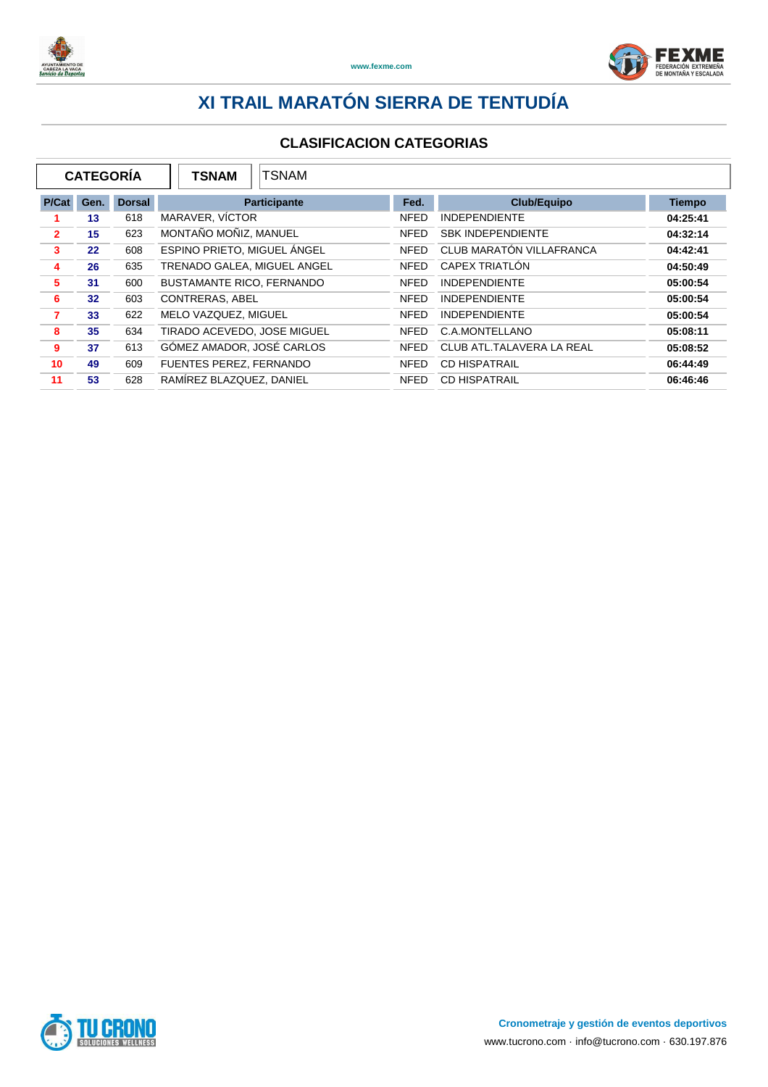



|                |      | <b>CATEGORÍA</b> | TSNAM<br><b>TSNAM</b>            |             |                           |               |
|----------------|------|------------------|----------------------------------|-------------|---------------------------|---------------|
| P/Cat          | Gen. | <b>Dorsal</b>    | <b>Participante</b>              | Fed.        | <b>Club/Equipo</b>        | <b>Tiempo</b> |
|                | 13   | 618              | MARAVER, VÍCTOR                  | <b>NFED</b> | <b>INDEPENDIENTE</b>      | 04:25:41      |
| $\overline{2}$ | 15   | 623              | MONTAÑO MOÑIZ, MANUEL            | <b>NFED</b> | <b>SBK INDEPENDIENTE</b>  | 04:32:14      |
| 3              | 22   | 608              | ESPINO PRIETO. MIGUEL ÁNGEL      | <b>NFED</b> | CLUB MARATÓN VILLAFRANCA  | 04:42:41      |
| 4              | 26   | 635              | TRENADO GALEA, MIGUEL ANGEL      | <b>NFED</b> | CAPEX TRIATLÓN            | 04:50:49      |
| 5              | 31   | 600              | <b>BUSTAMANTE RICO, FERNANDO</b> | <b>NFED</b> | <b>INDEPENDIENTE</b>      | 05:00:54      |
| 6              | 32   | 603              | CONTRERAS, ABEL                  | <b>NFED</b> | <b>INDEPENDIENTE</b>      | 05:00:54      |
| 7              | 33   | 622              | MELO VAZQUEZ, MIGUEL             | <b>NFED</b> | <b>INDEPENDIENTE</b>      | 05:00:54      |
| 8              | 35   | 634              | TIRADO ACEVEDO, JOSE MIGUEL      | <b>NFED</b> | C.A.MONTELLANO            | 05:08:11      |
| 9              | 37   | 613              | GÓMEZ AMADOR, JOSÉ CARLOS        | <b>NFED</b> | CLUB ATL.TALAVERA LA REAL | 05:08:52      |
| 10             | 49   | 609              | FUENTES PEREZ, FERNANDO          | <b>NFED</b> | <b>CD HISPATRAIL</b>      | 06:44:49      |
| 11             | 53   | 628              | RAMÍREZ BLAZQUEZ, DANIEL         | <b>NFED</b> | <b>CD HISPATRAIL</b>      | 06:46:46      |

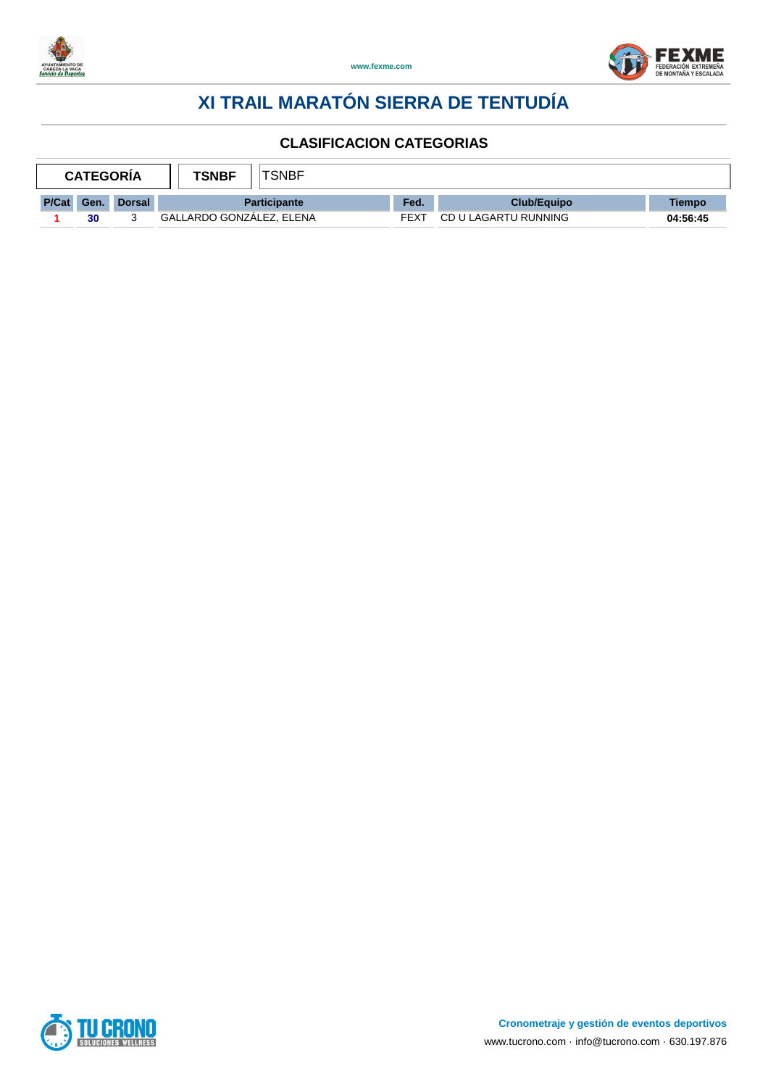



| <b>TSNBF</b><br><b>CATEGORIA</b> |      |               |                          | "SNBF               |      |                      |          |
|----------------------------------|------|---------------|--------------------------|---------------------|------|----------------------|----------|
| P/Cat                            | Gen. | <b>Dorsal</b> |                          | <b>Participante</b> | Fed. | Club/Equipo          | Tiempo   |
|                                  | 30   |               | GALLARDO GONZALEZ, ELENA |                     | FEXT | CD U LAGARTU RUNNING | 04:56:45 |

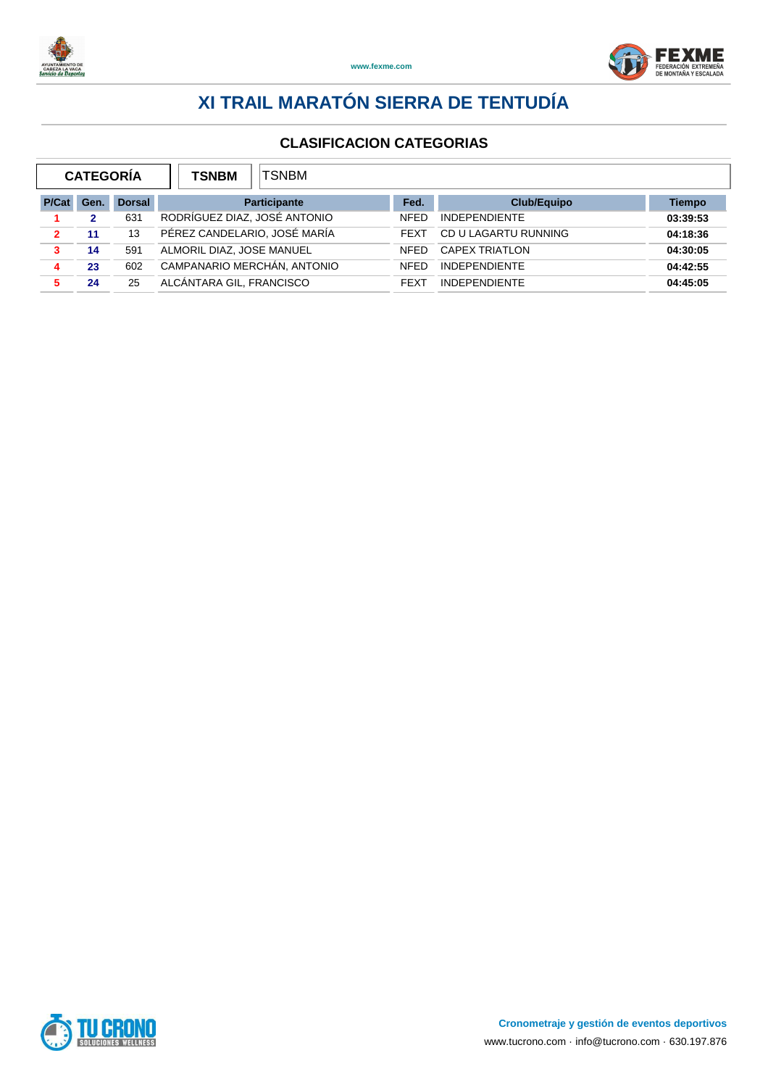



| <b>CATEGORÍA</b><br><b>TSNBM</b> |      |               | TSNBM                        |             |                       |               |
|----------------------------------|------|---------------|------------------------------|-------------|-----------------------|---------------|
| P/Cat                            | Gen. | <b>Dorsal</b> | <b>Participante</b>          | Fed.        | <b>Club/Equipo</b>    | <b>Tiempo</b> |
|                                  | 2    | 631           | RODRÍGUEZ DIAZ, JOSÉ ANTONIO | <b>NFFD</b> | <b>INDEPENDIENTE</b>  | 03:39:53      |
| $\mathbf{2}$                     | 11   | 13            | PÉREZ CANDELARIO, JOSÉ MARÍA | <b>FFXT</b> | CD U LAGARTU RUNNING  | 04:18:36      |
| 3                                | 14   | 591           | ALMORIL DIAZ, JOSE MANUEL    | <b>NFFD</b> | <b>CAPEX TRIATLON</b> | 04:30:05      |
|                                  | 23   | 602           | CAMPANARIO MERCHÁN, ANTONIO  | <b>NFFD</b> | <b>INDEPENDIENTE</b>  | 04:42:55      |
| 5                                | 24   | 25            | ALCÁNTARA GIL. FRANCISCO     | <b>FFXT</b> | <b>INDEPENDIENTE</b>  | 04:45:05      |

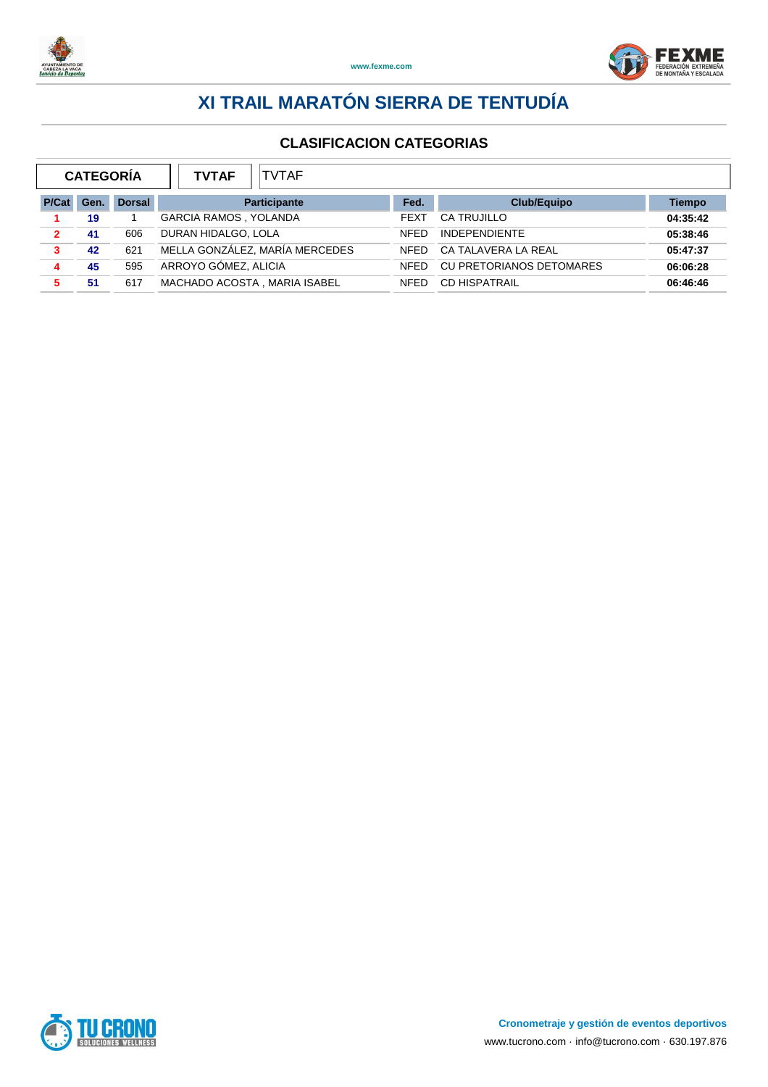



|       | <b>CATEGORÍA</b> |               | <b>TVTAF</b><br><b>TVTAF</b>   |             |                          |               |
|-------|------------------|---------------|--------------------------------|-------------|--------------------------|---------------|
| P/Cat | Gen.             | <b>Dorsal</b> | <b>Participante</b>            | Fed.        | <b>Club/Equipo</b>       | <b>Tiempo</b> |
|       | 19               |               | <b>GARCIA RAMOS, YOLANDA</b>   | <b>FEXT</b> | <b>CA TRUJILLO</b>       | 04:35:42      |
| 2     | 41               | 606           | DURAN HIDALGO, LOLA            | <b>NFFD</b> | <b>INDEPENDIENTE</b>     | 05:38:46      |
| 3     | 42               | 621           | MELLA GONZÁLEZ, MARÍA MERCEDES | <b>NFFD</b> | CA TALAVERA LA REAL      | 05:47:37      |
|       | 45               | 595           | ARROYO GÓMEZ, ALICIA           | <b>NFFD</b> | CU PRETORIANOS DETOMARES | 06:06:28      |
| 5.    | -51              | 617           | MACHADO ACOSTA, MARIA ISABEL   | <b>NFFD</b> | <b>CD HISPATRAIL</b>     | 06:46:46      |

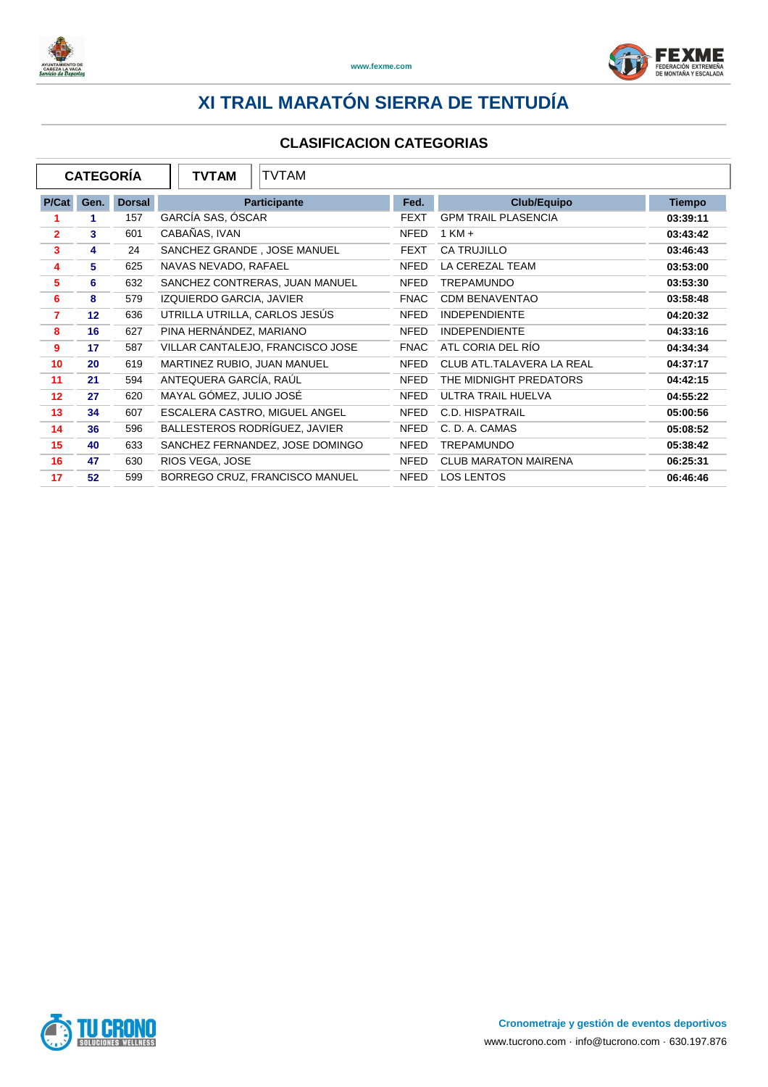



|                | <b>CATEGORIA</b> |               | <b>TVTAM</b><br><b>TVTAM</b>     |             |                             |               |
|----------------|------------------|---------------|----------------------------------|-------------|-----------------------------|---------------|
| P/Cat          | Gen.             | <b>Dorsal</b> | Participante                     | Fed.        | <b>Club/Equipo</b>          | <b>Tiempo</b> |
|                | 1.               | 157           | GARCÍA SAS, ÓSCAR                | <b>FEXT</b> | <b>GPM TRAIL PLASENCIA</b>  | 03:39:11      |
| $\mathbf{2}$   | 3                | 601           | CABAÑAS, IVAN                    | <b>NFED</b> | $1$ KM $+$                  | 03:43:42      |
| 3              | 4                | 24            | SANCHEZ GRANDE, JOSE MANUEL      | FEXT        | <b>CA TRUJILLO</b>          | 03:46:43      |
| 4              | 5                | 625           | NAVAS NEVADO, RAFAEL             | <b>NFED</b> | LA CEREZAL TEAM             | 03:53:00      |
| 5              | 6                | 632           | SANCHEZ CONTRERAS, JUAN MANUEL   | <b>NFED</b> | <b>TREPAMUNDO</b>           | 03:53:30      |
| 6              | 8                | 579           | IZQUIERDO GARCIA, JAVIER         | <b>FNAC</b> | <b>CDM BENAVENTAO</b>       | 03:58:48      |
| $\overline{7}$ | 12 <sup>2</sup>  | 636           | UTRILLA UTRILLA, CARLOS JESÚS    | NFED        | <b>INDEPENDIENTE</b>        | 04:20:32      |
| 8              | 16               | 627           | PINA HERNÁNDEZ, MARIANO          | <b>NFED</b> | <b>INDEPENDIENTE</b>        | 04:33:16      |
| 9              | 17               | 587           | VILLAR CANTALEJO, FRANCISCO JOSE | <b>FNAC</b> | ATL CORIA DEL RÍO           | 04:34:34      |
| 10             | 20               | 619           | MARTINEZ RUBIO, JUAN MANUEL      | NFED        | CLUB ATL.TALAVERA LA REAL   | 04:37:17      |
| 11             | 21               | 594           | ANTEQUERA GARCÍA, RAÚL           | <b>NFED</b> | THE MIDNIGHT PREDATORS      | 04:42:15      |
| 12             | 27               | 620           | MAYAL GÓMEZ, JULIO JOSÉ          | <b>NFED</b> | ULTRA TRAIL HUELVA          | 04:55:22      |
| 13             | 34               | 607           | ESCALERA CASTRO, MIGUEL ANGEL    | NFED        | C.D. HISPATRAIL             | 05:00:56      |
| 14             | 36               | 596           | BALLESTEROS RODRÍGUEZ, JAVIER    | <b>NFED</b> | C. D. A. CAMAS              | 05:08:52      |
| 15             | 40               | 633           | SANCHEZ FERNANDEZ, JOSE DOMINGO  | NFED        | <b>TREPAMUNDO</b>           | 05:38:42      |
| 16             | 47               | 630           | RIOS VEGA, JOSE                  | <b>NFED</b> | <b>CLUB MARATON MAIRENA</b> | 06:25:31      |
| 17             | 52               | 599           | BORREGO CRUZ, FRANCISCO MANUEL   | NFED        | <b>LOS LENTOS</b>           | 06:46:46      |

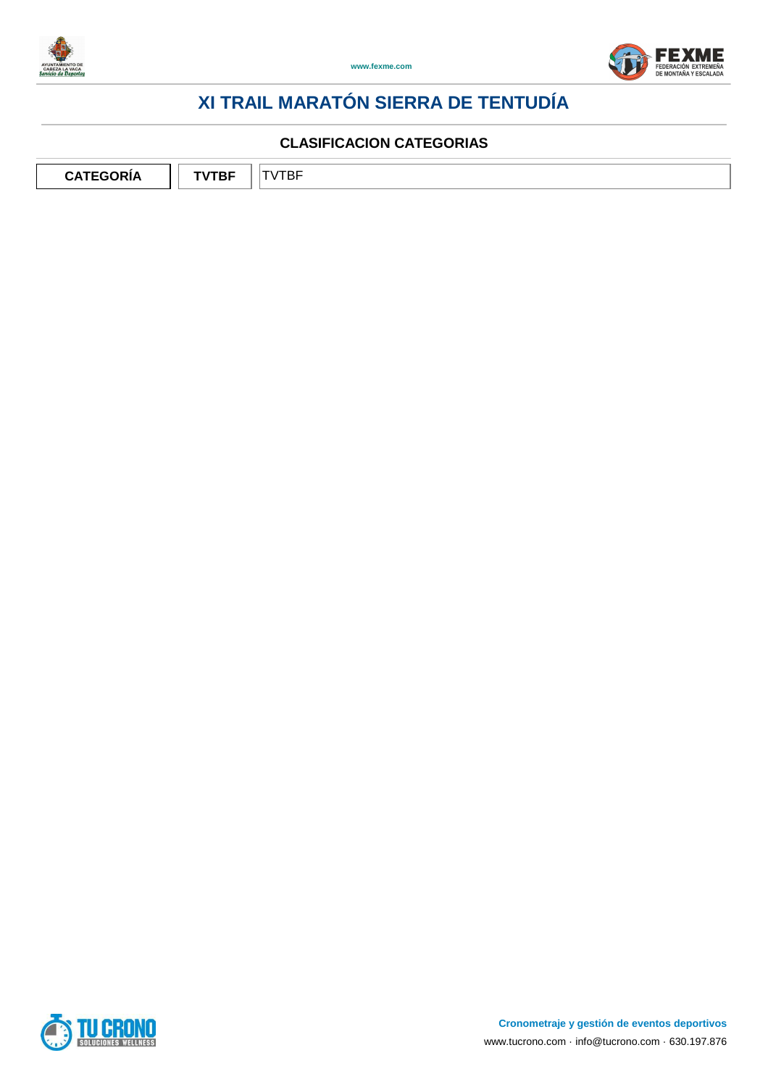



#### **CLASIFICACION CATEGORIAS**

**CATEGORÍA** | TVTBF | TVTBF

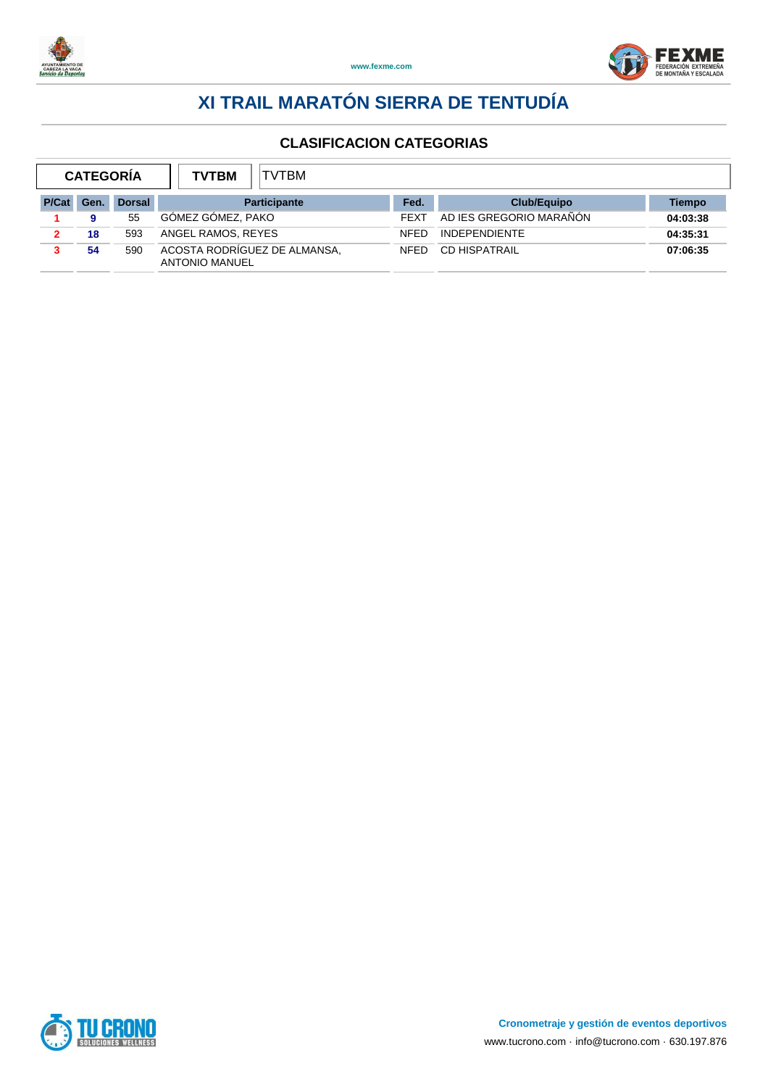



| <b>CATEGORÍA</b> |      |               | <b>TVTBM</b><br><b>TVTBM</b>                          |             |                         |          |
|------------------|------|---------------|-------------------------------------------------------|-------------|-------------------------|----------|
| P/Cat            | Gen. | <b>Dorsal</b> | <b>Participante</b>                                   | Fed.        | <b>Club/Equipo</b>      | Tiempo   |
|                  |      | 55            | GOMEZ GOMEZ, PAKO                                     | <b>FEXT</b> | AD IES GREGORIO MARAÑÓN | 04:03:38 |
|                  | 18   | 593           | ANGEL RAMOS, REYES                                    | <b>NFFD</b> | <b>INDEPENDIENTE</b>    | 04:35:31 |
|                  | 54   | 590           | ACOSTA RODRÍGUEZ DE ALMANSA.<br><b>ANTONIO MANUEL</b> | <b>NFED</b> | <b>CD HISPATRAIL</b>    | 07:06:35 |

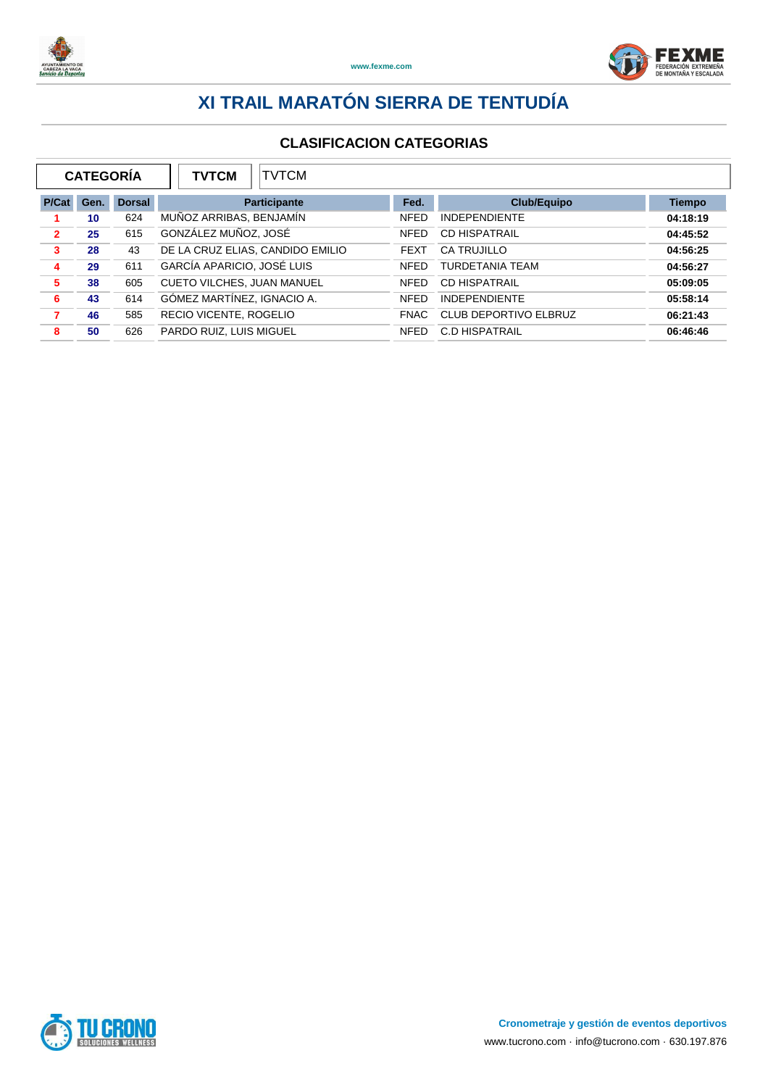



| <b>CATEGORÍA</b><br><b>TVTCM</b><br><b>TVTCM</b> |      |               |                                   |             |                        |               |
|--------------------------------------------------|------|---------------|-----------------------------------|-------------|------------------------|---------------|
| P/Cat                                            | Gen. | <b>Dorsal</b> | <b>Participante</b>               | Fed.        | <b>Club/Equipo</b>     | <b>Tiempo</b> |
|                                                  | 10   | 624           | MUÑOZ ARRIBAS, BENJAMÍN           | <b>NFED</b> | <b>INDEPENDIENTE</b>   | 04:18:19      |
| $\overline{2}$                                   | 25   | 615           | GONZÁLEZ MUÑOZ, JOSÉ              | <b>NFED</b> | <b>CD HISPATRAIL</b>   | 04:45:52      |
| 3                                                | 28   | 43            | DE LA CRUZ ELIAS, CANDIDO EMILIO  | <b>FEXT</b> | CA TRUJILLO            | 04:56:25      |
| 4                                                | 29   | 611           | GARCÍA APARICIO, JOSÉ LUIS        | <b>NFED</b> | <b>TURDETANIA TEAM</b> | 04:56:27      |
| 5                                                | 38   | 605           | <b>CUETO VILCHES, JUAN MANUEL</b> | <b>NFED</b> | <b>CD HISPATRAIL</b>   | 05:09:05      |
| 6                                                | 43   | 614           | GÓMEZ MARTÍNEZ, IGNACIO A.        | <b>NFED</b> | <b>INDEPENDIENTE</b>   | 05:58:14      |
| 7                                                | 46   | 585           | RECIO VICENTE, ROGELIO            | <b>FNAC</b> | CLUB DEPORTIVO ELBRUZ  | 06:21:43      |
| 8                                                | 50   | 626           | PARDO RUIZ, LUIS MIGUEL           | <b>NFED</b> | <b>C.D HISPATRAIL</b>  | 06:46:46      |

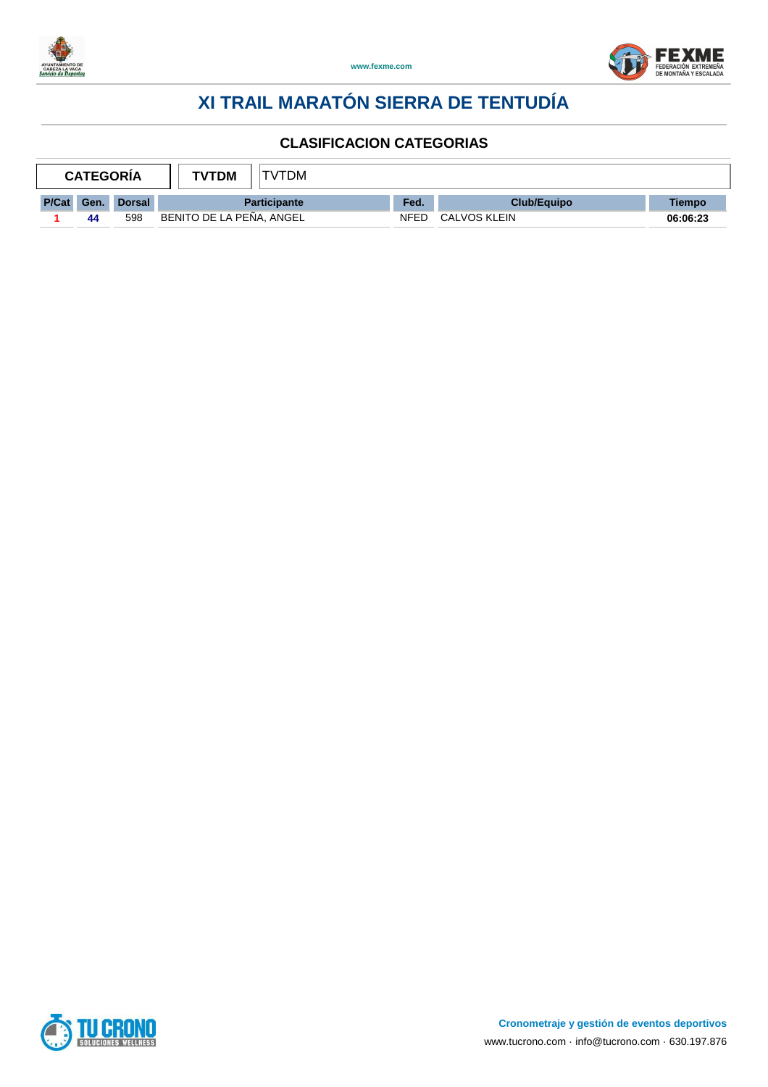



| <b>CATEGORIA</b> |      |               | 'TDM<br><b>TVTDM</b>     |      |                     |          |
|------------------|------|---------------|--------------------------|------|---------------------|----------|
| P/Cat            | Gen. | <b>Dorsal</b> | <b>Participante</b>      | Fed. | <b>Club/Equipo</b>  | Tiempo   |
|                  | 44   | 598           | BENITO DE LA PEÑA, ANGEL | NFED | <b>CALVOS KLEIN</b> | 06:06:23 |

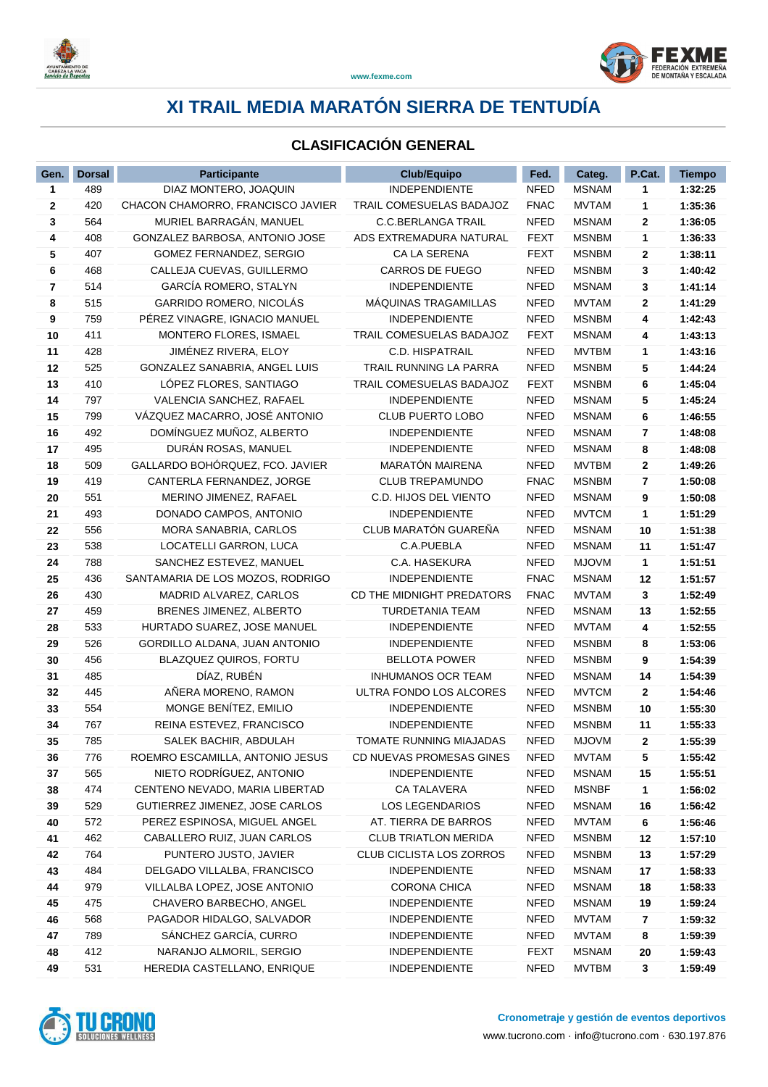



### **CLASIFICACIÓN GENERAL**

| Gen.         | <b>Dorsal</b> | <b>Participante</b>               | <b>Club/Equipo</b>              | Fed.        | Categ.       | P.Cat.       | <b>Tiempo</b> |
|--------------|---------------|-----------------------------------|---------------------------------|-------------|--------------|--------------|---------------|
| $\mathbf{1}$ | 489           | DIAZ MONTERO, JOAQUIN             | INDEPENDIENTE                   | <b>NFED</b> | <b>MSNAM</b> | 1            | 1:32:25       |
| 2            | 420           | CHACON CHAMORRO, FRANCISCO JAVIER | <b>TRAIL COMESUELAS BADAJOZ</b> | <b>FNAC</b> | <b>MVTAM</b> | 1            | 1:35:36       |
| 3            | 564           | MURIEL BARRAGÁN, MANUEL           | <b>C.C.BERLANGA TRAIL</b>       | <b>NFED</b> | <b>MSNAM</b> | $\mathbf{2}$ | 1:36:05       |
| 4            | 408           | GONZALEZ BARBOSA, ANTONIO JOSE    | ADS EXTREMADURA NATURAL         | <b>FEXT</b> | <b>MSNBM</b> | 1            | 1:36:33       |
| 5            | 407           | GOMEZ FERNANDEZ, SERGIO           | <b>CA LA SERENA</b>             | <b>FEXT</b> | <b>MSNBM</b> | 2            | 1:38:11       |
| 6            | 468           | CALLEJA CUEVAS, GUILLERMO         | CARROS DE FUEGO                 | <b>NFED</b> | <b>MSNBM</b> | 3            | 1:40:42       |
| 7            | 514           | GARCÍA ROMERO, STALYN             | <b>INDEPENDIENTE</b>            | <b>NFED</b> | <b>MSNAM</b> | 3            | 1:41:14       |
| 8            | 515           | GARRIDO ROMERO, NICOLAS           | <b>MAQUINAS TRAGAMILLAS</b>     | <b>NFED</b> | <b>MVTAM</b> | 2            | 1:41:29       |
| 9            | 759           | PÉREZ VINAGRE, IGNACIO MANUEL     | <b>INDEPENDIENTE</b>            | <b>NFED</b> | <b>MSNBM</b> | 4            | 1:42:43       |
| 10           | 411           | MONTERO FLORES, ISMAEL            | TRAIL COMESUELAS BADAJOZ        | <b>FEXT</b> | <b>MSNAM</b> | 4            | 1:43:13       |
| 11           | 428           | JIMÉNEZ RIVERA, ELOY              | <b>C.D. HISPATRAIL</b>          | <b>NFED</b> | <b>MVTBM</b> | 1            | 1:43:16       |
| 12           | 525           | GONZALEZ SANABRIA, ANGEL LUIS     | TRAIL RUNNING LA PARRA          | <b>NFED</b> | <b>MSNBM</b> | 5            | 1:44:24       |
| 13           | 410           | LÓPEZ FLORES, SANTIAGO            | TRAIL COMESUELAS BADAJOZ        | <b>FEXT</b> | <b>MSNBM</b> | 6            | 1:45:04       |
| 14           | 797           | VALENCIA SANCHEZ, RAFAEL          | <b>INDEPENDIENTE</b>            | <b>NFED</b> | <b>MSNAM</b> | 5            | 1:45:24       |
| 15           | 799           | VÁZQUEZ MACARRO, JOSÉ ANTONIO     | <b>CLUB PUERTO LOBO</b>         | <b>NFED</b> | <b>MSNAM</b> | 6            | 1:46:55       |
| 16           | 492           | DOMÍNGUEZ MUÑOZ, ALBERTO          | <b>INDEPENDIENTE</b>            | <b>NFED</b> | <b>MSNAM</b> | 7            | 1:48:08       |
| 17           | 495           | DURÁN ROSAS, MANUEL               | INDEPENDIENTE                   | <b>NFED</b> | <b>MSNAM</b> | 8            | 1:48:08       |
| 18           | 509           | GALLARDO BOHÓRQUEZ, FCO. JAVIER   | MARATÓN MAIRENA                 | <b>NFED</b> | <b>MVTBM</b> | 2            | 1:49:26       |
| 19           | 419           | CANTERLA FERNANDEZ, JORGE         | <b>CLUB TREPAMUNDO</b>          | <b>FNAC</b> | <b>MSNBM</b> | 7            | 1:50:08       |
| 20           | 551           | MERINO JIMENEZ, RAFAEL            | C.D. HIJOS DEL VIENTO           | <b>NFED</b> | <b>MSNAM</b> | 9            | 1:50:08       |
| 21           | 493           | DONADO CAMPOS, ANTONIO            | <b>INDEPENDIENTE</b>            | <b>NFED</b> | <b>MVTCM</b> | 1            | 1:51:29       |
| 22           | 556           | MORA SANABRIA, CARLOS             | CLUB MARATÓN GUAREÑA            | <b>NFED</b> | <b>MSNAM</b> | 10           | 1:51:38       |
| 23           | 538           | LOCATELLI GARRON, LUCA            | C.A.PUEBLA                      | <b>NFED</b> | <b>MSNAM</b> | 11           | 1:51:47       |
| 24           | 788           | SANCHEZ ESTEVEZ, MANUEL           | C.A. HASEKURA                   | <b>NFED</b> | <b>MJOVM</b> | 1            | 1:51:51       |
| 25           | 436           | SANTAMARIA DE LOS MOZOS, RODRIGO  | <b>INDEPENDIENTE</b>            | <b>FNAC</b> | <b>MSNAM</b> | 12           | 1:51:57       |
| 26           | 430           | MADRID ALVAREZ, CARLOS            | CD THE MIDNIGHT PREDATORS       | <b>FNAC</b> | <b>MVTAM</b> | 3            | 1:52:49       |
| 27           | 459           | BRENES JIMENEZ, ALBERTO           | TURDETANIA TEAM                 | <b>NFED</b> | <b>MSNAM</b> | 13           | 1:52:55       |
| 28           | 533           | HURTADO SUAREZ, JOSE MANUEL       | INDEPENDIENTE                   | <b>NFED</b> | <b>MVTAM</b> | 4            | 1:52:55       |
| 29           | 526           | GORDILLO ALDANA, JUAN ANTONIO     | <b>INDEPENDIENTE</b>            | <b>NFED</b> | <b>MSNBM</b> | 8            | 1:53:06       |
| 30           | 456           | BLAZQUEZ QUIROS, FORTU            | <b>BELLOTA POWER</b>            | <b>NFED</b> | <b>MSNBM</b> | 9            | 1:54:39       |
| 31           | 485           | DÍAZ, RUBÉN                       | <b>INHUMANOS OCR TEAM</b>       | <b>NFED</b> | <b>MSNAM</b> | 14           | 1:54:39       |
| 32           | 445           | AÑERA MORENO, RAMON               | ULTRA FONDO LOS ALCORES         | <b>NFED</b> | <b>MVTCM</b> | $\mathbf{2}$ | 1:54:46       |
| 33           | 554           | MONGE BENÍTEZ, EMILIO             | <b>INDEPENDIENTE</b>            | <b>NFED</b> | <b>MSNBM</b> | 10           | 1:55:30       |
| 34           | 767           | REINA ESTEVEZ, FRANCISCO          | <b>INDEPENDIENTE</b>            | <b>NFED</b> | <b>MSNBM</b> | 11           | 1:55:33       |
| 35           | 785           | SALEK BACHIR, ABDULAH             | TOMATE RUNNING MIAJADAS         | <b>NFED</b> | <b>MJOVM</b> | 2            | 1:55:39       |
| 36           | 776           | ROEMRO ESCAMILLA, ANTONIO JESUS   | CD NUEVAS PROMESAS GINES        | <b>NFED</b> | <b>MVTAM</b> | 5            | 1:55:42       |
| 37           | 565           | NIETO RODRÍGUEZ, ANTONIO          | INDEPENDIENTE                   | <b>NFED</b> | <b>MSNAM</b> | 15           | 1:55:51       |
| 38           | 474           | CENTENO NEVADO, MARIA LIBERTAD    | CA TALAVERA                     | <b>NFED</b> | <b>MSNBF</b> | 1            | 1:56:02       |
| 39           | 529           | GUTIERREZ JIMENEZ, JOSE CARLOS    | <b>LOS LEGENDARIOS</b>          | <b>NFED</b> | <b>MSNAM</b> | 16           | 1:56:42       |
| 40           | 572           | PEREZ ESPINOSA, MIGUEL ANGEL      | AT. TIERRA DE BARROS            | <b>NFED</b> | <b>MVTAM</b> | 6            | 1:56:46       |
| 41           | 462           | CABALLERO RUIZ, JUAN CARLOS       | <b>CLUB TRIATLON MERIDA</b>     | <b>NFED</b> | <b>MSNBM</b> | 12           | 1:57:10       |
| 42           | 764           | PUNTERO JUSTO, JAVIER             | CLUB CICLISTA LOS ZORROS        | <b>NFED</b> | <b>MSNBM</b> | 13           | 1:57:29       |
| 43           | 484           | DELGADO VILLALBA, FRANCISCO       | <b>INDEPENDIENTE</b>            | <b>NFED</b> | <b>MSNAM</b> | 17           | 1:58:33       |
| 44           | 979           | VILLALBA LOPEZ, JOSE ANTONIO      | <b>CORONA CHICA</b>             | <b>NFED</b> | <b>MSNAM</b> | 18           | 1:58:33       |
| 45           | 475           | CHAVERO BARBECHO, ANGEL           | <b>INDEPENDIENTE</b>            | <b>NFED</b> | <b>MSNAM</b> | 19           | 1:59:24       |
| 46           | 568           | PAGADOR HIDALGO, SALVADOR         | <b>INDEPENDIENTE</b>            | <b>NFED</b> | <b>MVTAM</b> | 7            | 1:59:32       |
| 47           | 789           | SÁNCHEZ GARCÍA, CURRO             | <b>INDEPENDIENTE</b>            | <b>NFED</b> | <b>MVTAM</b> | 8            | 1:59:39       |
| 48           | 412           | NARANJO ALMORIL, SERGIO           | INDEPENDIENTE                   | <b>FEXT</b> | <b>MSNAM</b> | 20           | 1:59:43       |
| 49           | 531           | HEREDIA CASTELLANO, ENRIQUE       | INDEPENDIENTE                   | <b>NFED</b> | <b>MVTBM</b> | 3            | 1:59:49       |

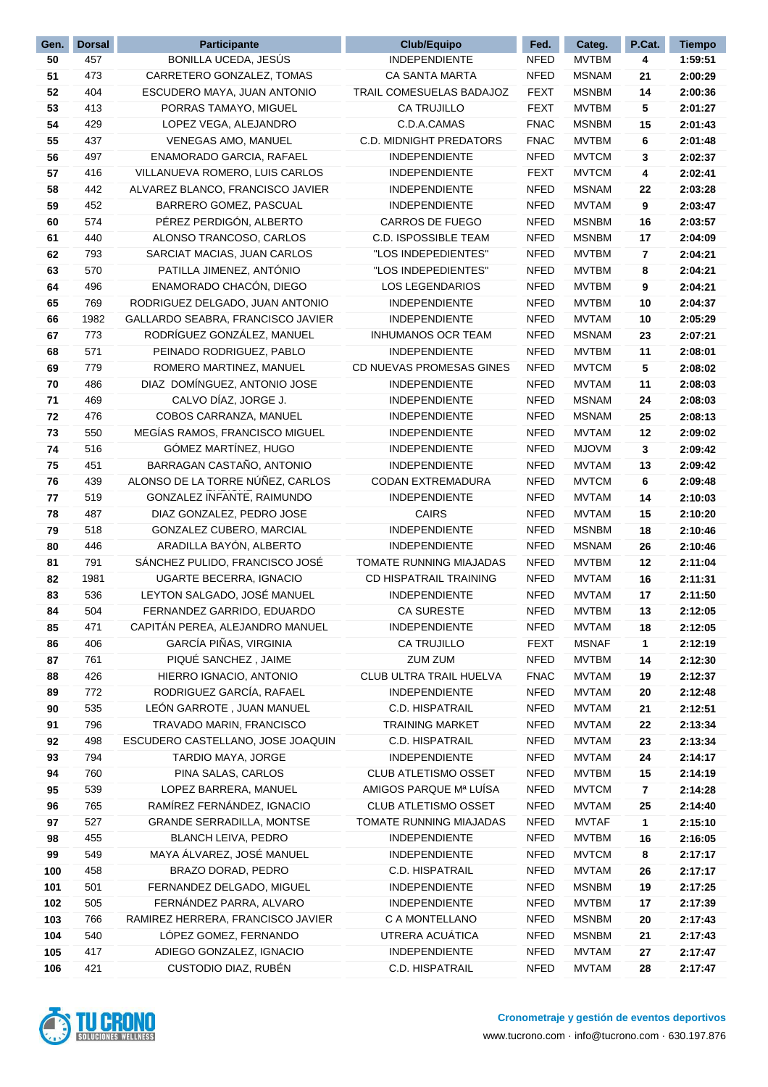| Gen.     | <b>Dorsal</b> | <b>Participante</b>                                            | <b>Club/Equipo</b>                              | Fed.                       | Categ.                       | P.Cat.  | <b>Tiempo</b>      |
|----------|---------------|----------------------------------------------------------------|-------------------------------------------------|----------------------------|------------------------------|---------|--------------------|
| 50       | 457           | BONILLA UCEDA, JESÚS                                           | <b>INDEPENDIENTE</b>                            | <b>NFED</b>                | <b>MVTBM</b>                 | 4       | 1:59:51            |
| 51       | 473           | CARRETERO GONZALEZ, TOMAS                                      | <b>CA SANTA MARTA</b>                           | <b>NFED</b>                | <b>MSNAM</b>                 | 21      | 2:00:29            |
| 52       | 404           | ESCUDERO MAYA, JUAN ANTONIO                                    | TRAIL COMESUELAS BADAJOZ                        | <b>FEXT</b>                | <b>MSNBM</b>                 | 14      | 2:00:36            |
| 53       | 413           | PORRAS TAMAYO, MIGUEL                                          | <b>CA TRUJILLO</b>                              | <b>FEXT</b>                | <b>MVTBM</b>                 | 5       | 2:01:27            |
| 54       | 429           | LOPEZ VEGA, ALEJANDRO                                          | C.D.A.CAMAS                                     | <b>FNAC</b>                | <b>MSNBM</b>                 | 15      | 2:01:43            |
| 55       | 437           | VENEGAS AMO, MANUEL                                            | C.D. MIDNIGHT PREDATORS                         | <b>FNAC</b>                | <b>MVTBM</b>                 | 6       | 2:01:48            |
| 56       | 497           | ENAMORADO GARCIA, RAFAEL                                       | <b>INDEPENDIENTE</b>                            | <b>NFED</b>                | <b>MVTCM</b>                 | 3       | 2:02:37            |
| 57       | 416           | VILLANUEVA ROMERO, LUIS CARLOS                                 | <b>INDEPENDIENTE</b>                            | <b>FEXT</b>                | <b>MVTCM</b>                 | 4       | 2:02:41            |
| 58       | 442           | ALVAREZ BLANCO, FRANCISCO JAVIER                               | <b>INDEPENDIENTE</b>                            | <b>NFED</b>                | <b>MSNAM</b>                 | 22      | 2:03:28            |
| 59       | 452           | BARRERO GOMEZ, PASCUAL                                         | <b>INDEPENDIENTE</b>                            | <b>NFED</b>                | <b>MVTAM</b>                 | 9       | 2:03:47            |
| 60       | 574           | PÉREZ PERDIGÓN, ALBERTO                                        | <b>CARROS DE FUEGO</b>                          | <b>NFED</b>                | <b>MSNBM</b>                 | 16      | 2:03:57            |
| 61       | 440           | ALONSO TRANCOSO, CARLOS                                        | <b>C.D. ISPOSSIBLE TEAM</b>                     | <b>NFED</b>                | <b>MSNBM</b>                 | 17      | 2:04:09            |
| 62       | 793           | SARCIAT MACIAS, JUAN CARLOS                                    | "LOS INDEPEDIENTES"                             | <b>NFED</b>                | <b>MVTBM</b>                 | 7       | 2:04:21            |
| 63       | 570           | PATILLA JIMENEZ, ANTÓNIO                                       | "LOS INDEPEDIENTES"                             | <b>NFED</b>                | <b>MVTBM</b>                 | 8       | 2:04:21            |
| 64       | 496           | ENAMORADO CHACÓN, DIEGO                                        | <b>LOS LEGENDARIOS</b>                          | <b>NFED</b>                | <b>MVTBM</b>                 | 9       | 2:04:21            |
| 65       | 769           | RODRIGUEZ DELGADO, JUAN ANTONIO                                | <b>INDEPENDIENTE</b>                            | <b>NFED</b>                | <b>MVTBM</b>                 | 10      | 2:04:37            |
| 66       | 1982          | GALLARDO SEABRA, FRANCISCO JAVIER                              | <b>INDEPENDIENTE</b>                            | <b>NFED</b>                | MVTAM                        | 10      | 2:05:29            |
| 67       | 773           | RODRÍGUEZ GONZÁLEZ, MANUEL                                     | <b>INHUMANOS OCR TEAM</b>                       | <b>NFED</b>                | <b>MSNAM</b>                 | 23      | 2:07:21            |
| 68       | 571           | PEINADO RODRIGUEZ, PABLO                                       | <b>INDEPENDIENTE</b>                            | <b>NFED</b>                | <b>MVTBM</b>                 | 11      | 2:08:01            |
| 69       | 779           | ROMERO MARTINEZ, MANUEL                                        | CD NUEVAS PROMESAS GINES                        | <b>NFED</b>                | <b>MVTCM</b>                 | 5       | 2:08:02            |
| 70       | 486           | DIAZ DOMÍNGUEZ, ANTONIO JOSE                                   | <b>INDEPENDIENTE</b>                            | <b>NFED</b>                | MVTAM                        | 11      | 2:08:03            |
| 71       | 469           | CALVO DÍAZ, JORGE J.                                           | <b>INDEPENDIENTE</b>                            | <b>NFED</b>                | <b>MSNAM</b>                 | 24      | 2:08:03            |
| 72       | 476           | COBOS CARRANZA, MANUEL                                         | <b>INDEPENDIENTE</b>                            | <b>NFED</b>                | <b>MSNAM</b>                 | 25      | 2:08:13            |
| 73       | 550           | MEGÍAS RAMOS, FRANCISCO MIGUEL                                 | <b>INDEPENDIENTE</b>                            | <b>NFED</b>                | <b>MVTAM</b>                 | 12      | 2:09:02            |
| 74       | 516           | GÓMEZ MARTÍNEZ, HUGO                                           | <b>INDEPENDIENTE</b>                            | <b>NFED</b>                | <b>MJOVM</b>                 | 3       | 2:09:42            |
| 75       | 451           | BARRAGAN CASTAÑO, ANTONIO                                      | <b>INDEPENDIENTE</b>                            | <b>NFED</b>                | MVTAM                        | 13      | 2:09:42            |
| 76       | 439           | ALONSO DE LA TORRE NÚÑEZ, CARLOS                               | CODAN EXTREMADURA                               | <b>NFED</b>                | <b>MVTCM</b>                 | 6       | 2:09:48            |
| 77       | 519           | GONZALEZ INFANTE, RAIMUNDO                                     | <b>INDEPENDIENTE</b>                            | <b>NFED</b>                | MVTAM                        | 14      | 2:10:03            |
| 78       | 487           | DIAZ GONZALEZ, PEDRO JOSE                                      | <b>CAIRS</b>                                    | <b>NFED</b>                | <b>MVTAM</b>                 | 15      | 2:10:20            |
| 79       | 518           | GONZALEZ CUBERO, MARCIAL                                       | <b>INDEPENDIENTE</b>                            | <b>NFED</b>                | <b>MSNBM</b>                 | 18      | 2:10:46            |
| 80       | 446           | ARADILLA BAYÓN, ALBERTO                                        | <b>INDEPENDIENTE</b>                            | <b>NFED</b>                | <b>MSNAM</b>                 | 26      | 2:10:46            |
| 81       | 791           | SÁNCHEZ PULIDO, FRANCISCO JOSÉ                                 | TOMATE RUNNING MIAJADAS                         | <b>NFED</b>                | <b>MVTBM</b>                 | 12      | 2:11:04            |
| 82       | 1981          | UGARTE BECERRA, IGNACIO                                        | CD HISPATRAIL TRAINING                          | <b>NFED</b>                | <b>MVTAM</b>                 | 16      | 2:11:31            |
| 83       | 536           | LEYTON SALGADO, JOSÉ MANUEL                                    | <b>INDEPENDIENTE</b>                            | <b>NFED</b>                | <b>MVTAM</b>                 | 17      | 2:11:50            |
| 84       | 504           | FERNANDEZ GARRIDO, EDUARDO                                     | <b>CA SURESTE</b>                               | <b>NFED</b>                | <b>MVTBM</b>                 | 13      | 2:12:05            |
| 85       | 471           | CAPITAN PEREA, ALEJANDRO MANUEL                                | <b>INDEPENDIENTE</b>                            | <b>NFED</b>                | <b>MVTAM</b>                 | 18      | 2:12:05            |
| 86       | 406           | GARCÍA PIÑAS, VIRGINIA                                         | CA TRUJILLO                                     | <b>FEXT</b>                | <b>MSNAF</b>                 | 1       | 2:12:19            |
| 87       | 761           | PIQUÉ SANCHEZ, JAIME                                           | <b>ZUM ZUM</b>                                  | <b>NFED</b>                | <b>MVTBM</b>                 | 14      | 2:12:30            |
| 88       | 426           | HIERRO IGNACIO, ANTONIO                                        | CLUB ULTRA TRAIL HUELVA                         | <b>FNAC</b>                | <b>MVTAM</b>                 | 19      | 2:12:37            |
| 89       | 772           | RODRIGUEZ GARCÍA, RAFAEL                                       | <b>INDEPENDIENTE</b>                            | <b>NFED</b>                | <b>MVTAM</b>                 | 20      | 2:12:48            |
| 90       | 535           | LEÓN GARROTE, JUAN MANUEL                                      | C.D. HISPATRAIL                                 | <b>NFED</b>                | <b>MVTAM</b>                 | 21      | 2:12:51            |
| 91       | 796           | TRAVADO MARIN, FRANCISCO                                       | <b>TRAINING MARKET</b>                          | <b>NFED</b>                | <b>MVTAM</b>                 | 22      | 2:13:34            |
| 92       | 498           | ESCUDERO CASTELLANO, JOSE JOAQUIN                              | <b>C.D. HISPATRAIL</b>                          | <b>NFED</b>                | <b>MVTAM</b>                 | 23      | 2:13:34            |
| 93       | 794           | TARDIO MAYA, JORGE                                             | <b>INDEPENDIENTE</b>                            | <b>NFED</b>                | <b>MVTAM</b>                 | 24      | 2:14:17            |
| 94       | 760           | PINA SALAS, CARLOS                                             | <b>CLUB ATLETISMO OSSET</b>                     | <b>NFED</b>                | <b>MVTBM</b>                 | 15      | 2:14:19            |
| 95       | 539           | LOPEZ BARRERA, MANUEL                                          | AMIGOS PARQUE Mª LUÍSA                          | <b>NFED</b>                | <b>MVTCM</b>                 | 7       | 2:14:28            |
| 96       | 765           | RAMÍREZ FERNÁNDEZ, IGNACIO                                     | CLUB ATLETISMO OSSET                            | <b>NFED</b>                | <b>MVTAM</b>                 | 25      | 2:14:40            |
| 97       | 527<br>455    | <b>GRANDE SERRADILLA, MONTSE</b><br><b>BLANCH LEIVA, PEDRO</b> | TOMATE RUNNING MIAJADAS<br><b>INDEPENDIENTE</b> | <b>NFED</b><br><b>NFED</b> | <b>MVTAF</b><br><b>MVTBM</b> | 1       | 2:15:10<br>2:16:05 |
| 98<br>99 | 549           | MAYA ÁLVAREZ, JOSÉ MANUEL                                      | <b>INDEPENDIENTE</b>                            | <b>NFED</b>                | <b>MVTCM</b>                 | 16<br>8 | 2:17:17            |
| 100      | 458           | BRAZO DORAD, PEDRO                                             | C.D. HISPATRAIL                                 | <b>NFED</b>                | <b>MVTAM</b>                 | 26      | 2:17:17            |
| 101      | 501           | FERNANDEZ DELGADO, MIGUEL                                      | INDEPENDIENTE                                   | <b>NFED</b>                | <b>MSNBM</b>                 | 19      | 2:17:25            |
| 102      | 505           | FERNÁNDEZ PARRA, ALVARO                                        | <b>INDEPENDIENTE</b>                            | <b>NFED</b>                | <b>MVTBM</b>                 | 17      | 2:17:39            |
| 103      | 766           | RAMIREZ HERRERA, FRANCISCO JAVIER                              | C A MONTELLANO                                  | <b>NFED</b>                | <b>MSNBM</b>                 | 20      | 2:17:43            |
| 104      | 540           | LÓPEZ GOMEZ, FERNANDO                                          | UTRERA ACUÁTICA                                 | <b>NFED</b>                | <b>MSNBM</b>                 | 21      | 2:17:43            |
| 105      | 417           | ADIEGO GONZALEZ, IGNACIO                                       | INDEPENDIENTE                                   | <b>NFED</b>                | <b>MVTAM</b>                 | 27      | 2:17:47            |
| 106      | 421           | CUSTODIO DIAZ, RUBÉN                                           | C.D. HISPATRAIL                                 | <b>NFED</b>                | <b>MVTAM</b>                 | 28      | 2:17:47            |
|          |               |                                                                |                                                 |                            |                              |         |                    |

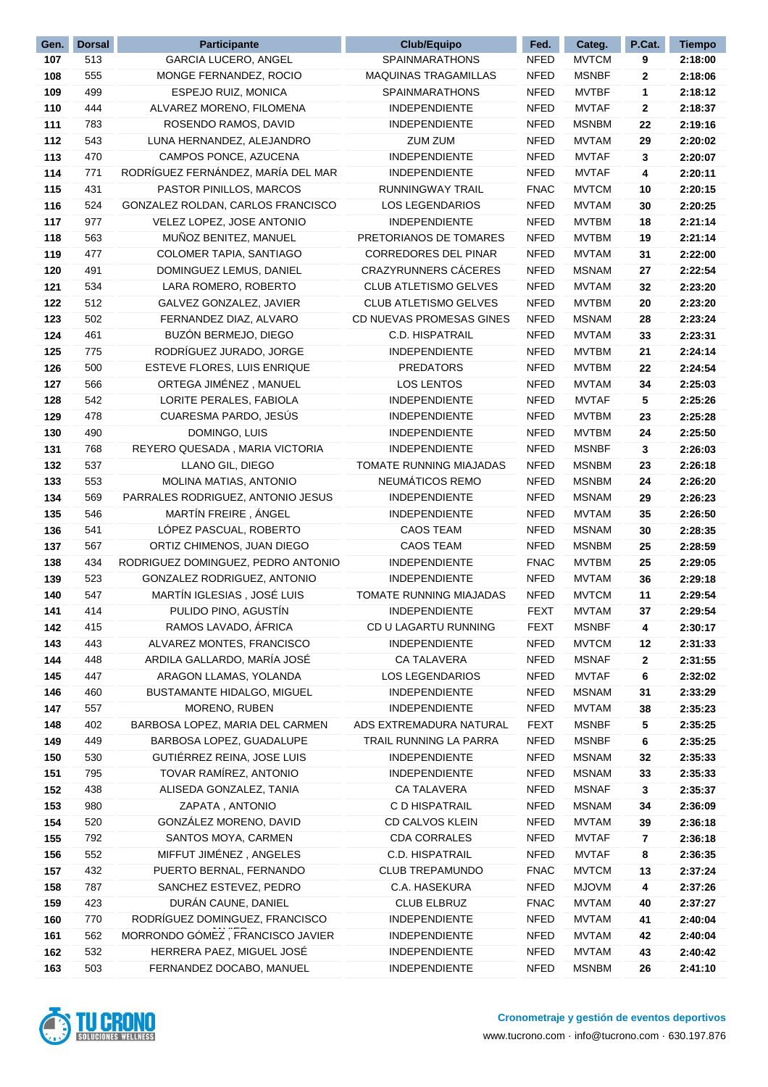| Gen.       | <b>Dorsal</b> | <b>Participante</b>                | <b>Club/Equipo</b>           | Fed.        | Categ.       | P.Cat.   | <b>Tiempo</b> |
|------------|---------------|------------------------------------|------------------------------|-------------|--------------|----------|---------------|
| 107        | 513           | <b>GARCIA LUCERO, ANGEL</b>        | <b>SPAINMARATHONS</b>        | <b>NFED</b> | <b>MVTCM</b> | 9        | 2:18:00       |
| 108        | 555           | MONGE FERNANDEZ, ROCIO             | <b>MAQUINAS TRAGAMILLAS</b>  | <b>NFED</b> | <b>MSNBF</b> | 2        | 2:18:06       |
| 109        | 499           | ESPEJO RUIZ, MONICA                | <b>SPAINMARATHONS</b>        | <b>NFED</b> | <b>MVTBF</b> | 1        | 2:18:12       |
| 110        | 444           | ALVAREZ MORENO, FILOMENA           | <b>INDEPENDIENTE</b>         | <b>NFED</b> | <b>MVTAF</b> | 2        | 2:18:37       |
| 111        | 783           | ROSENDO RAMOS, DAVID               | <b>INDEPENDIENTE</b>         | <b>NFED</b> | <b>MSNBM</b> | 22       | 2:19:16       |
| 112        | 543           | LUNA HERNANDEZ, ALEJANDRO          | ZUM ZUM                      | <b>NFED</b> | MVTAM        | 29       | 2:20:02       |
| 113        | 470           | CAMPOS PONCE, AZUCENA              | <b>INDEPENDIENTE</b>         | <b>NFED</b> | <b>MVTAF</b> | 3        | 2:20:07       |
| 114        | 771           | RODRÍGUEZ FERNÁNDEZ, MARÍA DEL MAR | <b>INDEPENDIENTE</b>         | <b>NFED</b> | <b>MVTAF</b> | 4        | 2:20:11       |
| 115        | 431           | PASTOR PINILLOS, MARCOS            | RUNNINGWAY TRAIL             | <b>FNAC</b> | <b>MVTCM</b> | 10       | 2:20:15       |
| 116        | 524           | GONZALEZ ROLDAN, CARLOS FRANCISCO  | <b>LOS LEGENDARIOS</b>       | <b>NFED</b> | MVTAM        | 30       | 2:20:25       |
| 117        | 977           | VELEZ LOPEZ, JOSE ANTONIO          | <b>INDEPENDIENTE</b>         | <b>NFED</b> | <b>MVTBM</b> | 18       | 2:21:14       |
| 118        | 563           | MUÑOZ BENITEZ, MANUEL              | PRETORIANOS DE TOMARES       | <b>NFED</b> | <b>MVTBM</b> | 19       | 2:21:14       |
| 119        | 477           | COLOMER TAPIA, SANTIAGO            | <b>CORREDORES DEL PINAR</b>  | <b>NFED</b> | MVTAM        | 31       | 2:22:00       |
| 120        | 491           | DOMINGUEZ LEMUS, DANIEL            | <b>CRAZYRUNNERS CÁCERES</b>  | <b>NFED</b> | <b>MSNAM</b> | 27       | 2:22:54       |
| 121        | 534           | LARA ROMERO, ROBERTO               | <b>CLUB ATLETISMO GELVES</b> | <b>NFED</b> | <b>MVTAM</b> | 32       | 2:23:20       |
| 122        | 512           | GALVEZ GONZALEZ, JAVIER            | CLUB ATLETISMO GELVES        | <b>NFED</b> | <b>MVTBM</b> | 20       | 2:23:20       |
| 123        | 502           | FERNANDEZ DIAZ, ALVARO             | CD NUEVAS PROMESAS GINES     | <b>NFED</b> | <b>MSNAM</b> | 28       | 2:23:24       |
| 124        | 461           | BUZÓN BERMEJO, DIEGO               | <b>C.D. HISPATRAIL</b>       | <b>NFED</b> | MVTAM        | 33       | 2:23:31       |
| 125        | 775           | RODRÍGUEZ JURADO, JORGE            | <b>INDEPENDIENTE</b>         | <b>NFED</b> | MVTBM        | 21       | 2:24:14       |
| 126        | 500           | ESTEVE FLORES, LUIS ENRIQUE        | <b>PREDATORS</b>             | <b>NFED</b> | <b>MVTBM</b> | 22       | 2:24:54       |
| 127        | 566           | ORTEGA JIMÉNEZ, MANUEL             | <b>LOS LENTOS</b>            | <b>NFED</b> | MVTAM        | 34       | 2:25:03       |
| 128        | 542           | LORITE PERALES, FABIOLA            | <b>INDEPENDIENTE</b>         | <b>NFED</b> | <b>MVTAF</b> | 5        | 2:25:26       |
| 129        | 478           | CUARESMA PARDO, JESÚS              | <b>INDEPENDIENTE</b>         | <b>NFED</b> | <b>MVTBM</b> | 23       | 2:25:28       |
| 130        | 490           | DOMINGO, LUIS                      | <b>INDEPENDIENTE</b>         | <b>NFED</b> | <b>MVTBM</b> | 24       | 2:25:50       |
| 131        | 768           | REYERO QUESADA, MARIA VICTORIA     | <b>INDEPENDIENTE</b>         | <b>NFED</b> | <b>MSNBF</b> | 3        | 2:26:03       |
| 132        | 537           | LLANO GIL, DIEGO                   | TOMATE RUNNING MIAJADAS      | <b>NFED</b> | <b>MSNBM</b> | 23       | 2:26:18       |
| 133        | 553           | MOLINA MATIAS, ANTONIO             | NEUMÁTICOS REMO              | <b>NFED</b> | <b>MSNBM</b> | 24       | 2:26:20       |
| 134        | 569           | PARRALES RODRIGUEZ, ANTONIO JESUS  | <b>INDEPENDIENTE</b>         | <b>NFED</b> | <b>MSNAM</b> | 29       | 2:26:23       |
| 135        | 546           | MARTÍN FREIRE, ÁNGEL               | <b>INDEPENDIENTE</b>         | <b>NFED</b> | <b>MVTAM</b> | 35       | 2:26:50       |
| 136        | 541           | LÓPEZ PASCUAL, ROBERTO             | <b>CAOS TEAM</b>             | <b>NFED</b> | <b>MSNAM</b> | 30       | 2:28:35       |
| 137        | 567           | ORTIZ CHIMENOS, JUAN DIEGO         | <b>CAOS TEAM</b>             | <b>NFED</b> | <b>MSNBM</b> | 25       | 2:28:59       |
| 138        | 434           | RODRIGUEZ DOMINGUEZ, PEDRO ANTONIO | <b>INDEPENDIENTE</b>         | <b>FNAC</b> | <b>MVTBM</b> | 25       | 2:29:05       |
| 139        | 523           | GONZALEZ RODRIGUEZ, ANTONIO        | <b>INDEPENDIENTE</b>         | <b>NFED</b> | MVTAM        | 36       | 2:29:18       |
|            | 547           | MARTÍN IGLESIAS, JOSÉ LUIS         | TOMATE RUNNING MIAJADAS      | <b>NFED</b> | <b>MVTCM</b> |          | 2:29:54       |
| 140<br>141 | 414           | PULIDO PINO, AGUSTÍN               | <b>INDEPENDIENTE</b>         | <b>FEXT</b> | <b>MVTAM</b> | 11<br>37 |               |
|            |               |                                    |                              |             |              |          | 2:29:54       |
| 142        | 415           | RAMOS LAVADO, AFRICA               | CD U LAGARTU RUNNING         | <b>FEXT</b> | <b>MSNBF</b> | 4        | 2:30:17       |
| 143        | 443           | ALVAREZ MONTES, FRANCISCO          | <b>INDEPENDIENTE</b>         | <b>NFED</b> | <b>MVTCM</b> | 12       | 2:31:33       |
| 144        | 448           | ARDILA GALLARDO, MARÍA JOSÉ        | <b>CA TALAVERA</b>           | <b>NFED</b> | <b>MSNAF</b> | 2        | 2:31:55       |
| 145        | 447           | ARAGON LLAMAS, YOLANDA             | <b>LOS LEGENDARIOS</b>       | <b>NFED</b> | <b>MVTAF</b> | 6        | 2:32:02       |
| 146        | 460           | <b>BUSTAMANTE HIDALGO, MIGUEL</b>  | <b>INDEPENDIENTE</b>         | <b>NFED</b> | <b>MSNAM</b> | 31       | 2:33:29       |
| 147        | 557           | MORENO, RUBEN                      | <b>INDEPENDIENTE</b>         | <b>NFED</b> | <b>MVTAM</b> | 38       | 2:35:23       |
| 148        | 402           | BARBOSA LOPEZ, MARIA DEL CARMEN    | ADS EXTREMADURA NATURAL      | FEXT        | <b>MSNBF</b> | 5        | 2:35:25       |
| 149        | 449           | BARBOSA LOPEZ, GUADALUPE           | TRAIL RUNNING LA PARRA       | <b>NFED</b> | <b>MSNBF</b> | 6        | 2:35:25       |
| 150        | 530           | GUTIÉRREZ REINA, JOSE LUIS         | <b>INDEPENDIENTE</b>         | <b>NFED</b> | <b>MSNAM</b> | 32       | 2:35:33       |
| 151        | 795           | TOVAR RAMÍREZ, ANTONIO             | INDEPENDIENTE                | <b>NFED</b> | <b>MSNAM</b> | 33       | 2:35:33       |
| 152        | 438           | ALISEDA GONZALEZ, TANIA            | <b>CA TALAVERA</b>           | <b>NFED</b> | <b>MSNAF</b> | 3        | 2:35:37       |
| 153        | 980           | ZAPATA, ANTONIO                    | C D HISPATRAIL               | NFED        | <b>MSNAM</b> | 34       | 2:36:09       |
| 154        | 520           | GONZÁLEZ MORENO, DAVID             | CD CALVOS KLEIN              | <b>NFED</b> | <b>MVTAM</b> | 39       | 2:36:18       |
| 155        | 792           | SANTOS MOYA, CARMEN                | <b>CDA CORRALES</b>          | <b>NFED</b> | <b>MVTAF</b> | 7        | 2:36:18       |
| 156        | 552           | MIFFUT JIMÉNEZ, ANGELES            | C.D. HISPATRAIL              | <b>NFED</b> | <b>MVTAF</b> | 8        | 2:36:35       |
| 157        | 432           | PUERTO BERNAL, FERNANDO            | <b>CLUB TREPAMUNDO</b>       | <b>FNAC</b> | <b>MVTCM</b> | 13       | 2:37:24       |
| 158        | 787           | SANCHEZ ESTEVEZ, PEDRO             | C.A. HASEKURA                | <b>NFED</b> | <b>MJOVM</b> | 4        | 2:37:26       |
| 159        | 423           | DURÁN CAUNE, DANIEL                | <b>CLUB ELBRUZ</b>           | <b>FNAC</b> | <b>MVTAM</b> | 40       | 2:37:27       |
| 160        | 770           | RODRÍGUEZ DOMINGUEZ, FRANCISCO     | <b>INDEPENDIENTE</b>         | <b>NFED</b> | <b>MVTAM</b> | 41       | 2:40:04       |
| 161        | 562           | MORRONDO GÓMEZ, FRANCISCO JAVIER   | <b>INDEPENDIENTE</b>         | <b>NFED</b> | <b>MVTAM</b> | 42       | 2:40:04       |
| 162        | 532           | HERRERA PAEZ, MIGUEL JOSÉ          | <b>INDEPENDIENTE</b>         | <b>NFED</b> | <b>MVTAM</b> | 43       | 2:40:42       |
| 163        | 503           | FERNANDEZ DOCABO, MANUEL           | <b>INDEPENDIENTE</b>         | <b>NFED</b> | <b>MSNBM</b> | 26       | 2:41:10       |

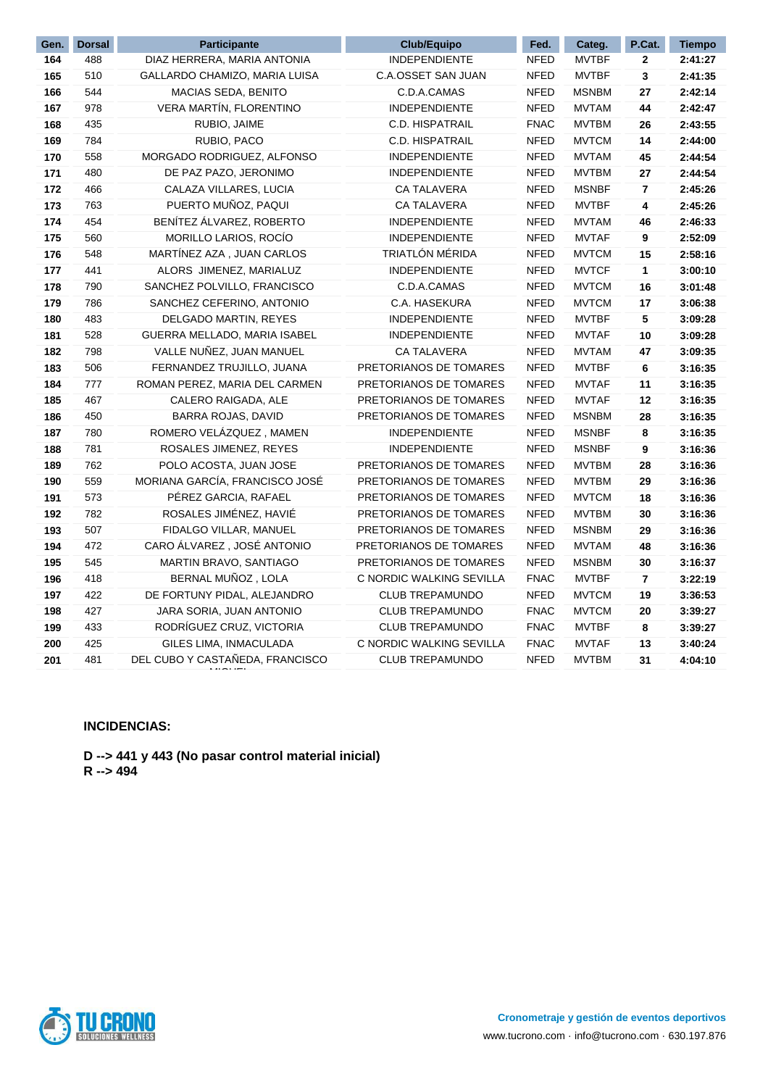| Gen. | <b>Dorsal</b> | <b>Participante</b>             | Club/Equipo              | Fed.        | Categ.       | P.Cat.       | <b>Tiempo</b> |
|------|---------------|---------------------------------|--------------------------|-------------|--------------|--------------|---------------|
| 164  | 488           | DIAZ HERRERA, MARIA ANTONIA     | <b>INDEPENDIENTE</b>     | <b>NFED</b> | <b>MVTBF</b> | $\mathbf{2}$ | 2:41:27       |
| 165  | 510           | GALLARDO CHAMIZO, MARIA LUISA   | C.A.OSSET SAN JUAN       | <b>NFED</b> | <b>MVTBF</b> | 3            | 2:41:35       |
| 166  | 544           | MACIAS SEDA, BENITO             | C.D.A.CAMAS              | <b>NFED</b> | <b>MSNBM</b> | 27           | 2:42:14       |
| 167  | 978           | VERA MARTÍN, FLORENTINO         | <b>INDEPENDIENTE</b>     | <b>NFED</b> | <b>MVTAM</b> | 44           | 2:42:47       |
| 168  | 435           | RUBIO, JAIME                    | <b>C.D. HISPATRAIL</b>   | <b>FNAC</b> | <b>MVTBM</b> | 26           | 2:43:55       |
| 169  | 784           | RUBIO, PACO                     | <b>C.D. HISPATRAIL</b>   | <b>NFED</b> | <b>MVTCM</b> | 14           | 2:44:00       |
| 170  | 558           | MORGADO RODRIGUEZ, ALFONSO      | <b>INDEPENDIENTE</b>     | <b>NFED</b> | <b>MVTAM</b> | 45           | 2:44:54       |
| 171  | 480           | DE PAZ PAZO, JERONIMO           | <b>INDEPENDIENTE</b>     | <b>NFED</b> | <b>MVTBM</b> | 27           | 2:44:54       |
| 172  | 466           | CALAZA VILLARES, LUCIA          | <b>CA TALAVERA</b>       | <b>NFED</b> | <b>MSNBF</b> | 7            | 2:45:26       |
| 173  | 763           | PUERTO MUÑOZ, PAQUI             | <b>CA TALAVERA</b>       | <b>NFED</b> | <b>MVTBF</b> | 4            | 2:45:26       |
| 174  | 454           | BENÍTEZ ÁLVAREZ, ROBERTO        | <b>INDEPENDIENTE</b>     | <b>NFED</b> | <b>MVTAM</b> | 46           | 2:46:33       |
| 175  | 560           | MORILLO LARIOS, ROCIO           | <b>INDEPENDIENTE</b>     | <b>NFED</b> | <b>MVTAF</b> | 9            | 2:52:09       |
| 176  | 548           | MARTÍNEZ AZA, JUAN CARLOS       | TRIATLÓN MÉRIDA          | <b>NFED</b> | <b>MVTCM</b> | 15           | 2:58:16       |
| 177  | 441           | ALORS JIMENEZ, MARIALUZ         | <b>INDEPENDIENTE</b>     | <b>NFED</b> | <b>MVTCF</b> | 1            | 3:00:10       |
| 178  | 790           | SANCHEZ POLVILLO, FRANCISCO     | C.D.A.CAMAS              | <b>NFED</b> | <b>MVTCM</b> | 16           | 3:01:48       |
| 179  | 786           | SANCHEZ CEFERINO, ANTONIO       | C.A. HASEKURA            | <b>NFED</b> | <b>MVTCM</b> | 17           | 3:06:38       |
| 180  | 483           | DELGADO MARTIN, REYES           | <b>INDEPENDIENTE</b>     | <b>NFED</b> | <b>MVTBF</b> | 5            | 3:09:28       |
| 181  | 528           | GUERRA MELLADO, MARIA ISABEL    | <b>INDEPENDIENTE</b>     | <b>NFED</b> | <b>MVTAF</b> | 10           | 3:09:28       |
| 182  | 798           | VALLE NUÑEZ, JUAN MANUEL        | <b>CA TALAVERA</b>       | <b>NFED</b> | <b>MVTAM</b> | 47           | 3:09:35       |
| 183  | 506           | FERNANDEZ TRUJILLO, JUANA       | PRETORIANOS DE TOMARES   | <b>NFED</b> | <b>MVTBF</b> | 6            | 3:16:35       |
| 184  | 777           | ROMAN PEREZ, MARIA DEL CARMEN   | PRETORIANOS DE TOMARES   | <b>NFED</b> | <b>MVTAF</b> | 11           | 3:16:35       |
| 185  | 467           | CALERO RAIGADA, ALE             | PRETORIANOS DE TOMARES   | <b>NFED</b> | <b>MVTAF</b> | 12           | 3:16:35       |
| 186  | 450           | BARRA ROJAS, DAVID              | PRETORIANOS DE TOMARES   | <b>NFED</b> | <b>MSNBM</b> | 28           | 3:16:35       |
| 187  | 780           | ROMERO VELÁZQUEZ, MAMEN         | <b>INDEPENDIENTE</b>     | <b>NFED</b> | <b>MSNBF</b> | 8            | 3:16:35       |
| 188  | 781           | ROSALES JIMENEZ, REYES          | <b>INDEPENDIENTE</b>     | <b>NFED</b> | <b>MSNBF</b> | 9            | 3:16:36       |
| 189  | 762           | POLO ACOSTA, JUAN JOSE          | PRETORIANOS DE TOMARES   | <b>NFED</b> | <b>MVTBM</b> | 28           | 3:16:36       |
| 190  | 559           | MORIANA GARCÍA, FRANCISCO JOSÉ  | PRETORIANOS DE TOMARES   | <b>NFED</b> | <b>MVTBM</b> | 29           | 3:16:36       |
| 191  | 573           | PÉREZ GARCIA, RAFAEL            | PRETORIANOS DE TOMARES   | <b>NFED</b> | <b>MVTCM</b> | 18           | 3:16:36       |
| 192  | 782           | ROSALES JIMÉNEZ, HAVIÉ          | PRETORIANOS DE TOMARES   | <b>NFED</b> | <b>MVTBM</b> | 30           | 3:16:36       |
| 193  | 507           | FIDALGO VILLAR, MANUEL          | PRETORIANOS DE TOMARES   | <b>NFED</b> | <b>MSNBM</b> | 29           | 3:16:36       |
| 194  | 472           | CARO ALVAREZ, JOSÉ ANTONIO      | PRETORIANOS DE TOMARES   | <b>NFED</b> | <b>MVTAM</b> | 48           | 3:16:36       |
| 195  | 545           | MARTIN BRAVO, SANTIAGO          | PRETORIANOS DE TOMARES   | <b>NFED</b> | <b>MSNBM</b> | 30           | 3:16:37       |
| 196  | 418           | BERNAL MUÑOZ, LOLA              | C NORDIC WALKING SEVILLA | <b>FNAC</b> | <b>MVTBF</b> | 7            | 3:22:19       |
| 197  | 422           | DE FORTUNY PIDAL, ALEJANDRO     | <b>CLUB TREPAMUNDO</b>   | <b>NFED</b> | <b>MVTCM</b> | 19           | 3:36:53       |
| 198  | 427           | JARA SORIA, JUAN ANTONIO        | <b>CLUB TREPAMUNDO</b>   | <b>FNAC</b> | <b>MVTCM</b> | 20           | 3:39:27       |
| 199  | 433           | RODRÍGUEZ CRUZ, VICTORIA        | <b>CLUB TREPAMUNDO</b>   | <b>FNAC</b> | <b>MVTBF</b> | 8            | 3:39:27       |
| 200  | 425           | GILES LIMA, INMACULADA          | C NORDIC WALKING SEVILLA | <b>FNAC</b> | <b>MVTAF</b> | 13           | 3:40:24       |
| 201  | 481           | DEL CUBO Y CASTAÑEDA, FRANCISCO | <b>CLUB TREPAMUNDO</b>   | <b>NFED</b> | <b>MVTBM</b> | 31           | 4:04:10       |
|      |               |                                 |                          |             |              |              |               |

#### **INCIDENCIAS:**

**D --> 441 y 443 (No pasar control material inicial) R --> 494**

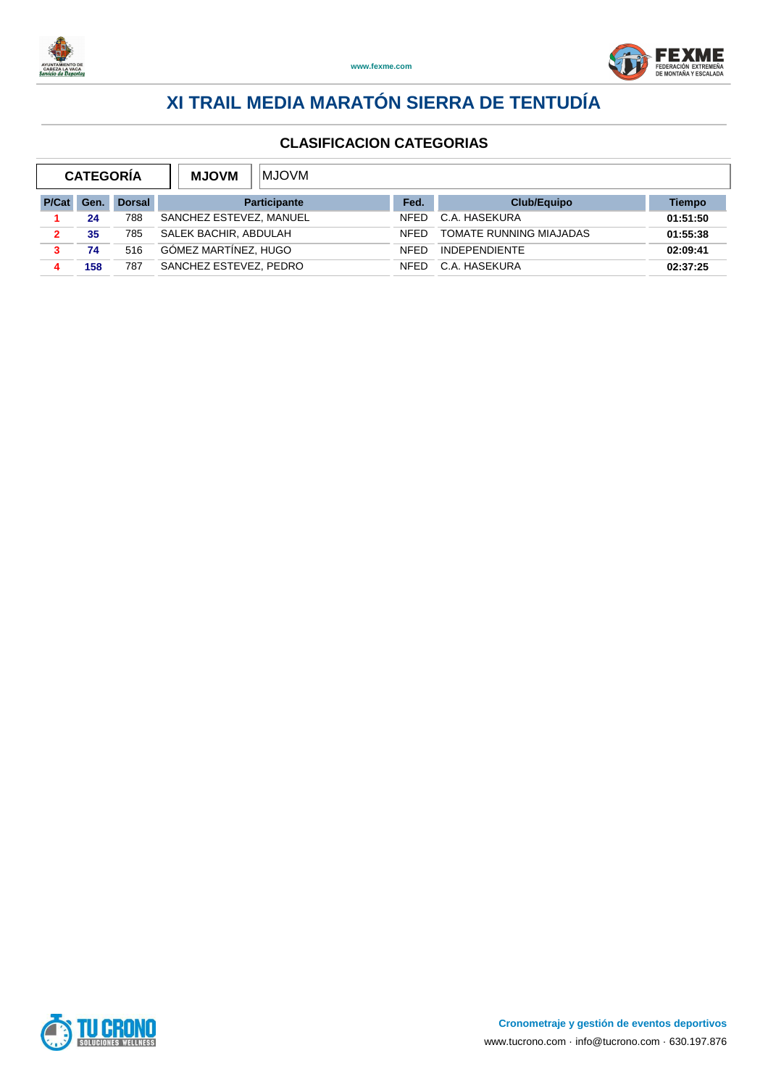



|      |               | <b>MJOVM</b><br><b>MJOVM</b> |             |                         |          |
|------|---------------|------------------------------|-------------|-------------------------|----------|
| Gen. | <b>Dorsal</b> | <b>Participante</b>          | Fed.        | Club/Equipo             | Tiempo   |
| 24   | 788           | SANCHEZ ESTEVEZ, MANUEL      | <b>NFFD</b> | C.A. HASEKURA           | 01:51:50 |
| 35   | 785           | SALEK BACHIR, ABDULAH        | <b>NFFD</b> | TOMATE RUNNING MIAJADAS | 01:55:38 |
| 74   | 516           | GÓMEZ MARTÍNEZ, HUGO         | <b>NFFD</b> | <b>INDEPENDIENTE</b>    | 02:09:41 |
| 158  | 787           | SANCHEZ ESTEVEZ, PEDRO       | <b>NFFD</b> | C.A. HASEKURA           | 02:37:25 |
|      |               | <b>CATEGORIA</b>             |             |                         |          |

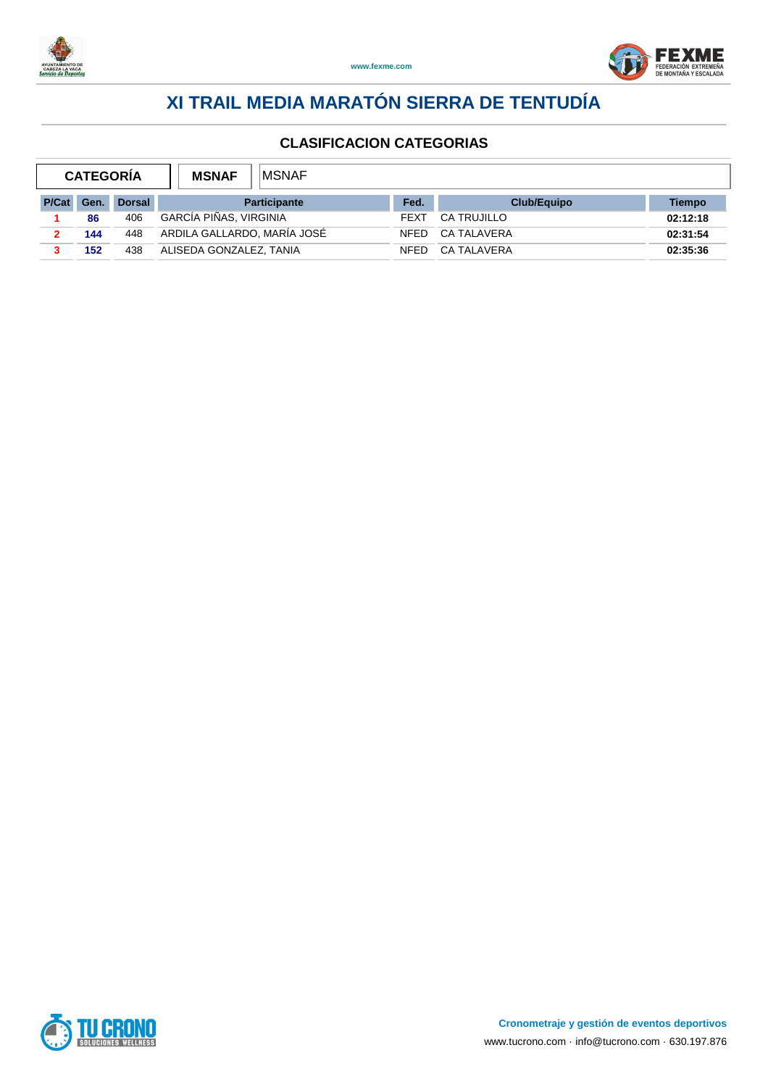



|       | <b>CATEGORIA</b> |               | <b>IMSNAF</b><br><b>MSNAF</b> |                     |             |                    |          |
|-------|------------------|---------------|-------------------------------|---------------------|-------------|--------------------|----------|
| P/Cat | Gen.             | <b>Dorsal</b> |                               | <b>Participante</b> | Fed.        | <b>Club/Equipo</b> | Tiempo   |
|       | 86               | 406           | GARCÍA PIÑAS, VIRGINIA        |                     | <b>FEXT</b> | <b>CA TRUJILLO</b> | 02:12:18 |
|       | 144              | 448           | ARDILA GALLARDO, MARÍA JOSÉ   |                     | <b>NFFD</b> | CA TALAVERA        | 02:31:54 |
|       | 152              | 438           | ALISEDA GONZALEZ, TANIA       |                     | <b>NFED</b> | CA TALAVERA        | 02:35:36 |

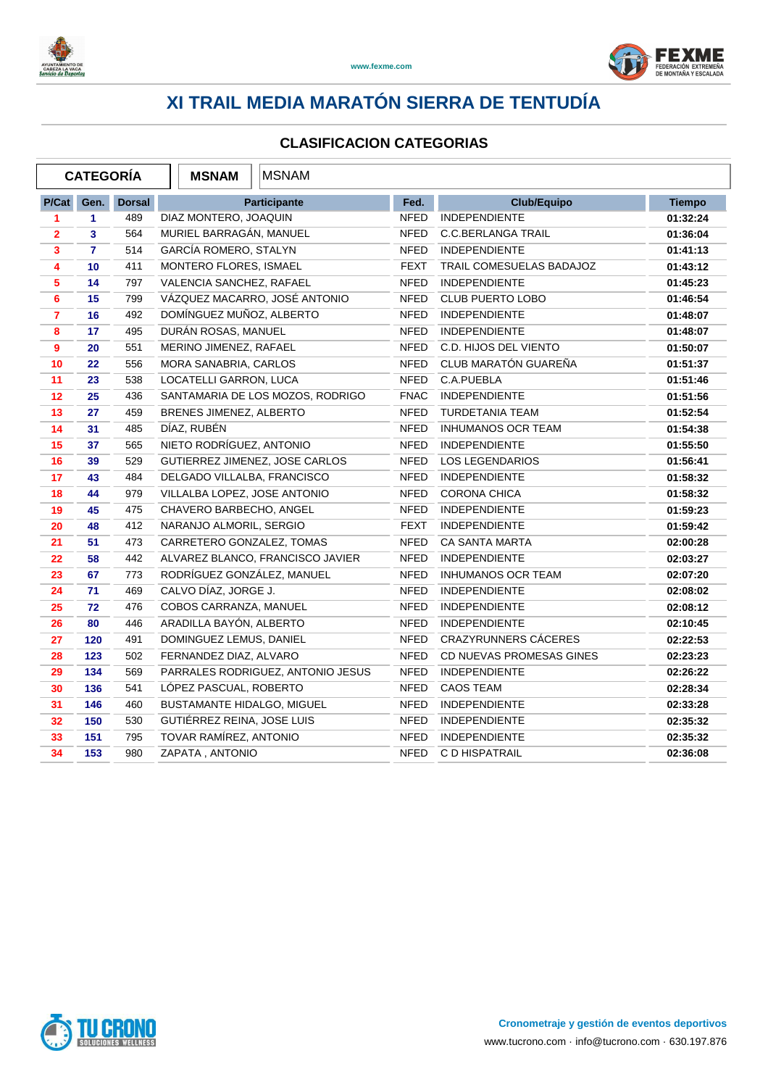



|                | <b>CATEGORÍA</b> |               | <b>MSNAM</b>                 | <b>MSNAM</b>                      |             |                             |               |
|----------------|------------------|---------------|------------------------------|-----------------------------------|-------------|-----------------------------|---------------|
| P/Cat          | Gen.             | <b>Dorsal</b> |                              | Participante                      | Fed.        | <b>Club/Equipo</b>          | <b>Tiempo</b> |
| 1              | 1                | 489           | DIAZ MONTERO, JOAQUIN        |                                   | <b>NFED</b> | <b>INDEPENDIENTE</b>        | 01:32:24      |
| $\overline{2}$ | 3                | 564           | MURIEL BARRAGÁN, MANUEL      |                                   | <b>NFED</b> | <b>C.C.BERLANGA TRAIL</b>   | 01:36:04      |
| 3              | $\mathbf{7}$     | 514           | GARCÍA ROMERO, STALYN        |                                   | <b>NFED</b> | INDEPENDIENTE               | 01:41:13      |
| 4              | 10               | 411           | MONTERO FLORES, ISMAEL       |                                   | <b>FEXT</b> | TRAIL COMESUELAS BADAJOZ    | 01:43:12      |
| 5              | 14               | 797           | VALENCIA SANCHEZ, RAFAEL     |                                   | <b>NFED</b> | <b>INDEPENDIENTE</b>        | 01:45:23      |
| 6              | 15               | 799           |                              | VÁZQUEZ MACARRO, JOSÉ ANTONIO     | <b>NFED</b> | <b>CLUB PUERTO LOBO</b>     | 01:46:54      |
| $\overline{7}$ | 16               | 492           | DOMÍNGUEZ MUÑOZ, ALBERTO     |                                   | <b>NFED</b> | <b>INDEPENDIENTE</b>        | 01:48:07      |
| 8              | 17               | 495           | DURÁN ROSAS, MANUEL          |                                   | <b>NFED</b> | <b>INDEPENDIENTE</b>        | 01:48:07      |
| 9              | 20               | 551           | MERINO JIMENEZ, RAFAEL       |                                   | <b>NFED</b> | C.D. HIJOS DEL VIENTO       | 01:50:07      |
| 10             | 22               | 556           | MORA SANABRIA, CARLOS        |                                   | <b>NFED</b> | CLUB MARATÓN GUAREÑA        | 01:51:37      |
| 11             | 23               | 538           | LOCATELLI GARRON, LUCA       |                                   | NFED        | C.A.PUEBLA                  | 01:51:46      |
| 12             | 25               | 436           |                              | SANTAMARIA DE LOS MOZOS, RODRIGO  | <b>FNAC</b> | <b>INDEPENDIENTE</b>        | 01:51:56      |
| 13             | 27               | 459           | BRENES JIMENEZ, ALBERTO      |                                   | <b>NFED</b> | <b>TURDETANIA TEAM</b>      | 01:52:54      |
| 14             | 31               | 485           | DÍAZ, RUBÉN                  |                                   | <b>NFED</b> | <b>INHUMANOS OCR TEAM</b>   | 01:54:38      |
| 15             | 37               | 565           | NIETO RODRÍGUEZ, ANTONIO     |                                   | <b>NFED</b> | <b>INDEPENDIENTE</b>        | 01:55:50      |
| 16             | 39               | 529           |                              | GUTIERREZ JIMENEZ, JOSE CARLOS    | NFED        | <b>LOS LEGENDARIOS</b>      | 01:56:41      |
| 17             | 43               | 484           | DELGADO VILLALBA, FRANCISCO  |                                   | <b>NFED</b> | <b>INDEPENDIENTE</b>        | 01:58:32      |
| 18             | 44               | 979           | VILLALBA LOPEZ, JOSE ANTONIO |                                   | <b>NFED</b> | CORONA CHICA                | 01:58:32      |
| 19             | 45               | 475           | CHAVERO BARBECHO, ANGEL      |                                   | NFED        | <b>INDEPENDIENTE</b>        | 01:59:23      |
| 20             | 48               | 412           | NARANJO ALMORIL, SERGIO      |                                   | <b>FEXT</b> | <b>INDEPENDIENTE</b>        | 01:59:42      |
| 21             | 51               | 473           | CARRETERO GONZALEZ, TOMAS    |                                   | NFED        | <b>CA SANTA MARTA</b>       | 02:00:28      |
| 22             | 58               | 442           |                              | ALVAREZ BLANCO, FRANCISCO JAVIER  | <b>NFED</b> | <b>INDEPENDIENTE</b>        | 02:03:27      |
| 23             | 67               | 773           | RODRÍGUEZ GONZÁLEZ, MANUEL   |                                   | <b>NFED</b> | <b>INHUMANOS OCR TEAM</b>   | 02:07:20      |
| 24             | 71               | 469           | CALVO DÍAZ, JORGE J.         |                                   | <b>NFED</b> | <b>INDEPENDIENTE</b>        | 02:08:02      |
| 25             | 72               | 476           | COBOS CARRANZA, MANUEL       |                                   | <b>NFED</b> | <b>INDEPENDIENTE</b>        | 02:08:12      |
| 26             | 80               | 446           | ARADILLA BAYÓN, ALBERTO      |                                   | <b>NFED</b> | <b>INDEPENDIENTE</b>        | 02:10:45      |
| 27             | 120              | 491           | DOMINGUEZ LEMUS, DANIEL      |                                   | <b>NFED</b> | <b>CRAZYRUNNERS CACERES</b> | 02:22:53      |
| 28             | 123              | 502           | FERNANDEZ DIAZ, ALVARO       |                                   | <b>NFED</b> | CD NUEVAS PROMESAS GINES    | 02:23:23      |
| 29             | 134              | 569           |                              | PARRALES RODRIGUEZ, ANTONIO JESUS | <b>NFED</b> | <b>INDEPENDIENTE</b>        | 02:26:22      |
| 30             | 136              | 541           | LÓPEZ PASCUAL, ROBERTO       |                                   | <b>NFED</b> | <b>CAOS TEAM</b>            | 02:28:34      |
| 31             | 146              | 460           | BUSTAMANTE HIDALGO, MIGUEL   |                                   | <b>NFED</b> | <b>INDEPENDIENTE</b>        | 02:33:28      |
| 32             | 150              | 530           | GUTIÉRREZ REINA, JOSE LUIS   |                                   | <b>NFED</b> | <b>INDEPENDIENTE</b>        | 02:35:32      |
| 33             | 151              | 795           | TOVAR RAMÍREZ, ANTONIO       |                                   | NFED        | <b>INDEPENDIENTE</b>        | 02:35:32      |
| 34             | 153              | 980           | ZAPATA, ANTONIO              |                                   | NFED        | C D HISPATRAIL              | 02:36:08      |

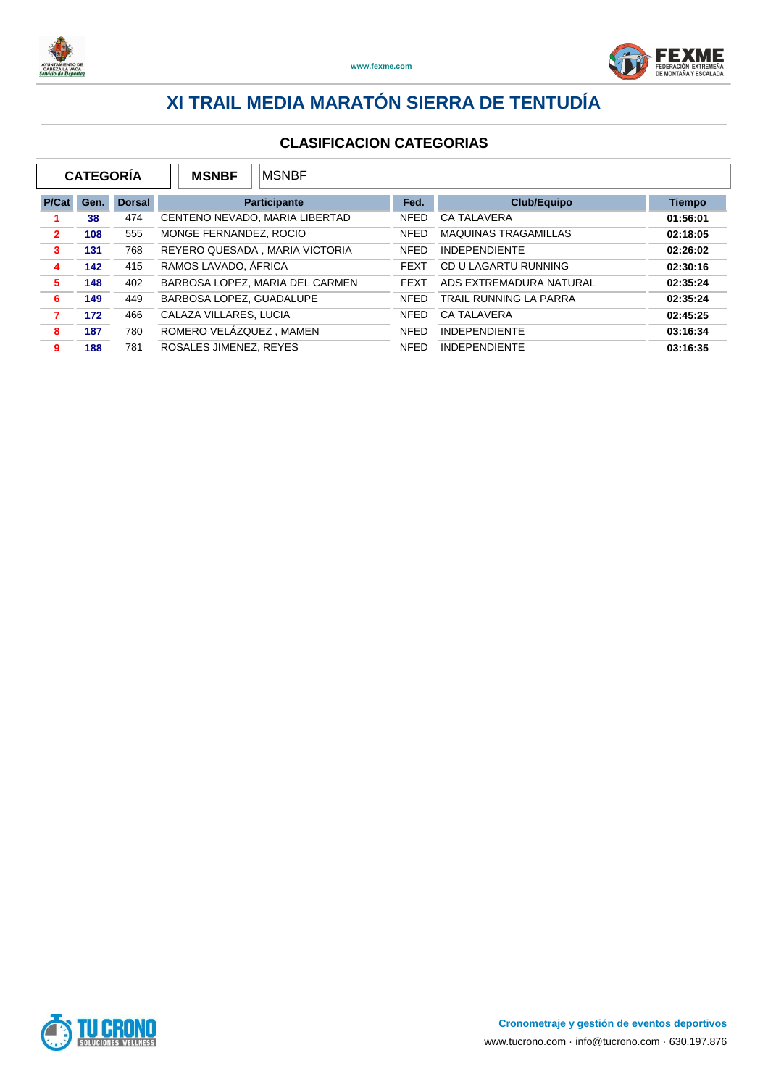



| <b>CATEGORÍA</b><br><b>IMSNBF</b><br><b>MSNBF</b> |      |               |                                 |             |                             |               |
|---------------------------------------------------|------|---------------|---------------------------------|-------------|-----------------------------|---------------|
| P/Cat                                             | Gen. | <b>Dorsal</b> | <b>Participante</b>             | Fed.        | <b>Club/Equipo</b>          | <b>Tiempo</b> |
|                                                   | 38   | 474           | CENTENO NEVADO, MARIA LIBERTAD  | <b>NFED</b> | <b>CA TALAVERA</b>          | 01:56:01      |
| $\overline{2}$                                    | 108  | 555           | MONGE FERNANDEZ, ROCIO          | <b>NFED</b> | <b>MAQUINAS TRAGAMILLAS</b> | 02:18:05      |
| 3                                                 | 131  | 768           | REYERO QUESADA, MARIA VICTORIA  | <b>NFED</b> | <b>INDEPENDIENTE</b>        | 02:26:02      |
| 4                                                 | 142  | 415           | RAMOS LAVADO, ÁFRICA            | <b>FEXT</b> | CD U LAGARTU RUNNING        | 02:30:16      |
| 5                                                 | 148  | 402           | BARBOSA LOPEZ, MARIA DEL CARMEN | <b>FEXT</b> | ADS EXTREMADURA NATURAL     | 02:35:24      |
| 6                                                 | 149  | 449           | BARBOSA LOPEZ, GUADALUPE        | <b>NFED</b> | TRAIL RUNNING LA PARRA      | 02:35:24      |
| 7                                                 | 172  | 466           | CALAZA VILLARES, LUCIA          | <b>NFED</b> | <b>CA TALAVERA</b>          | 02:45:25      |
| 8                                                 | 187  | 780           | ROMERO VELÁZQUEZ, MAMEN         | <b>NFED</b> | <b>INDEPENDIENTE</b>        | 03:16:34      |
| 9                                                 | 188  | 781           | ROSALES JIMENEZ, REYES          | <b>NFED</b> | <b>INDEPENDIENTE</b>        | 03:16:35      |

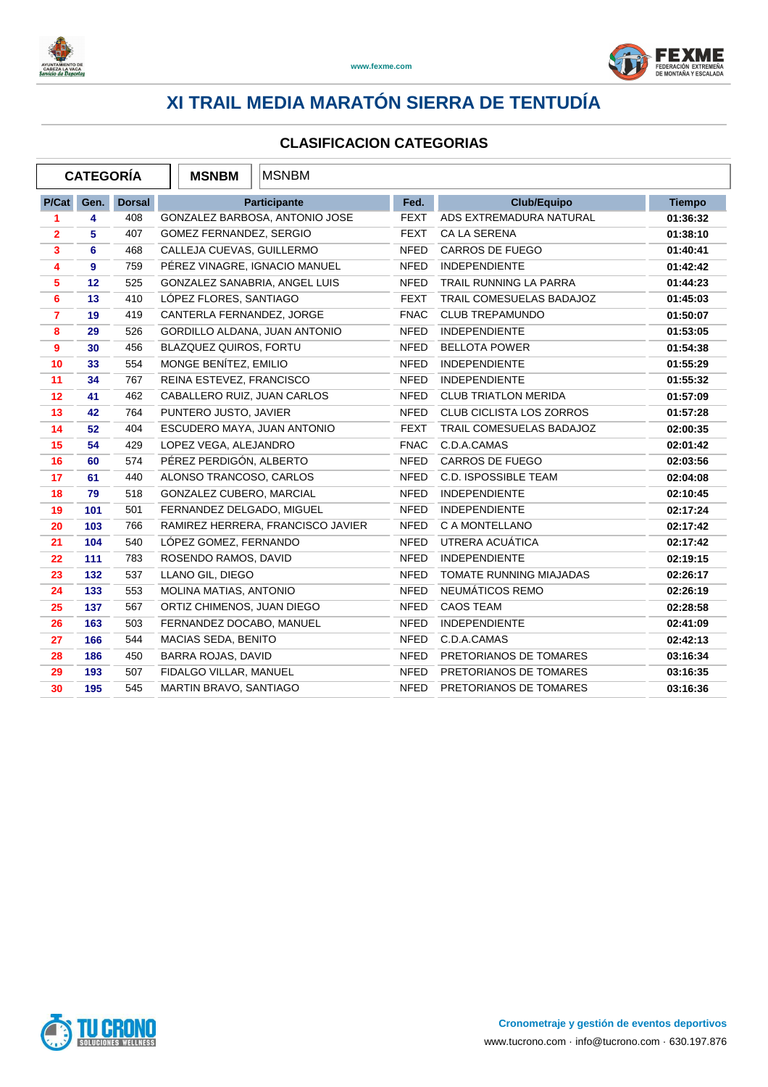



|                | <b>CATEGORÍA</b> |               | <b>MSNBM</b>                  | <b>MSNBM</b>                      |             |                                 |               |
|----------------|------------------|---------------|-------------------------------|-----------------------------------|-------------|---------------------------------|---------------|
| P/Cat          | Gen.             | <b>Dorsal</b> |                               | Participante                      | Fed.        | <b>Club/Equipo</b>              | <b>Tiempo</b> |
| 1              | 4                | 408           |                               | GONZALEZ BARBOSA, ANTONIO JOSE    | <b>FEXT</b> | ADS EXTREMADURA NATURAL         | 01:36:32      |
| $\mathbf{2}$   | 5                | 407           | GOMEZ FERNANDEZ, SERGIO       |                                   | <b>FEXT</b> | <b>CA LA SERENA</b>             | 01:38:10      |
| 3              | 6                | 468           | CALLEJA CUEVAS, GUILLERMO     |                                   | <b>NFED</b> | <b>CARROS DE FUEGO</b>          | 01:40:41      |
| 4              | 9                | 759           | PÉREZ VINAGRE, IGNACIO MANUEL |                                   | <b>NFED</b> | <b>INDEPENDIENTE</b>            | 01:42:42      |
| 5              | 12               | 525           | GONZALEZ SANABRIA, ANGEL LUIS |                                   | <b>NFED</b> | TRAIL RUNNING LA PARRA          | 01:44:23      |
| 6              | 13               | 410           | LÓPEZ FLORES, SANTIAGO        |                                   | <b>FEXT</b> | TRAIL COMESUELAS BADAJOZ        | 01:45:03      |
| $\overline{7}$ | 19               | 419           | CANTERLA FERNANDEZ, JORGE     |                                   | <b>FNAC</b> | <b>CLUB TREPAMUNDO</b>          | 01:50:07      |
| 8              | 29               | 526           | GORDILLO ALDANA, JUAN ANTONIO |                                   | <b>NFED</b> | <b>INDEPENDIENTE</b>            | 01:53:05      |
| 9              | 30               | 456           | <b>BLAZQUEZ QUIROS, FORTU</b> |                                   | <b>NFED</b> | <b>BELLOTA POWER</b>            | 01:54:38      |
| 10             | 33               | 554           | MONGE BENÍTEZ, EMILIO         |                                   | <b>NFED</b> | <b>INDEPENDIENTE</b>            | 01:55:29      |
| 11             | 34               | 767           | REINA ESTEVEZ, FRANCISCO      |                                   | <b>NFED</b> | <b>INDEPENDIENTE</b>            | 01:55:32      |
| 12             | 41               | 462           | CABALLERO RUIZ, JUAN CARLOS   |                                   | <b>NFED</b> | <b>CLUB TRIATLON MERIDA</b>     | 01:57:09      |
| 13             | 42               | 764           | PUNTERO JUSTO, JAVIER         |                                   | <b>NFED</b> | <b>CLUB CICLISTA LOS ZORROS</b> | 01:57:28      |
| 14             | 52               | 404           | ESCUDERO MAYA, JUAN ANTONIO   |                                   | <b>FEXT</b> | TRAIL COMESUELAS BADAJOZ        | 02:00:35      |
| 15             | 54               | 429           | LOPEZ VEGA, ALEJANDRO         |                                   | <b>FNAC</b> | C.D.A.CAMAS                     | 02:01:42      |
| 16             | 60               | 574           | PÉREZ PERDIGÓN, ALBERTO       |                                   | NFED        | <b>CARROS DE FUEGO</b>          | 02:03:56      |
| 17             | 61               | 440           | ALONSO TRANCOSO, CARLOS       |                                   | NFED        | <b>C.D. ISPOSSIBLE TEAM</b>     | 02:04:08      |
| 18             | 79               | 518           | GONZALEZ CUBERO, MARCIAL      |                                   | <b>NFED</b> | <b>INDEPENDIENTE</b>            | 02:10:45      |
| 19             | 101              | 501           | FERNANDEZ DELGADO, MIGUEL     |                                   | <b>NFED</b> | <b>INDEPENDIENTE</b>            | 02:17:24      |
| 20             | 103              | 766           |                               | RAMIREZ HERRERA, FRANCISCO JAVIER | <b>NFED</b> | C A MONTELLANO                  | 02:17:42      |
| 21             | 104              | 540           | LÓPEZ GOMEZ, FERNANDO         |                                   | <b>NFED</b> | UTRERA ACUÁTICA                 | 02:17:42      |
| 22             | 111              | 783           | ROSENDO RAMOS, DAVID          |                                   | <b>NFED</b> | <b>INDEPENDIENTE</b>            | 02:19:15      |
| 23             | 132              | 537           | LLANO GIL, DIEGO              |                                   | <b>NFED</b> | TOMATE RUNNING MIAJADAS         | 02:26:17      |
| 24             | 133              | 553           | MOLINA MATIAS, ANTONIO        |                                   | <b>NFED</b> | NEUMÁTICOS REMO                 | 02:26:19      |
| 25             | 137              | 567           | ORTIZ CHIMENOS, JUAN DIEGO    |                                   | <b>NFED</b> | <b>CAOS TEAM</b>                | 02:28:58      |
| 26             | 163              | 503           | FERNANDEZ DOCABO, MANUEL      |                                   | <b>NFED</b> | <b>INDEPENDIENTE</b>            | 02:41:09      |
| 27             | 166              | 544           | MACIAS SEDA, BENITO           |                                   | NFED        | C.D.A.CAMAS                     | 02:42:13      |
| 28             | 186              | 450           | BARRA ROJAS, DAVID            |                                   | <b>NFED</b> | PRETORIANOS DE TOMARES          | 03:16:34      |
| 29             | 193              | 507           | FIDALGO VILLAR, MANUEL        |                                   | <b>NFED</b> | PRETORIANOS DE TOMARES          | 03:16:35      |
| 30             | 195              | 545           | MARTIN BRAVO, SANTIAGO        |                                   | <b>NFED</b> | PRETORIANOS DE TOMARES          | 03:16:36      |

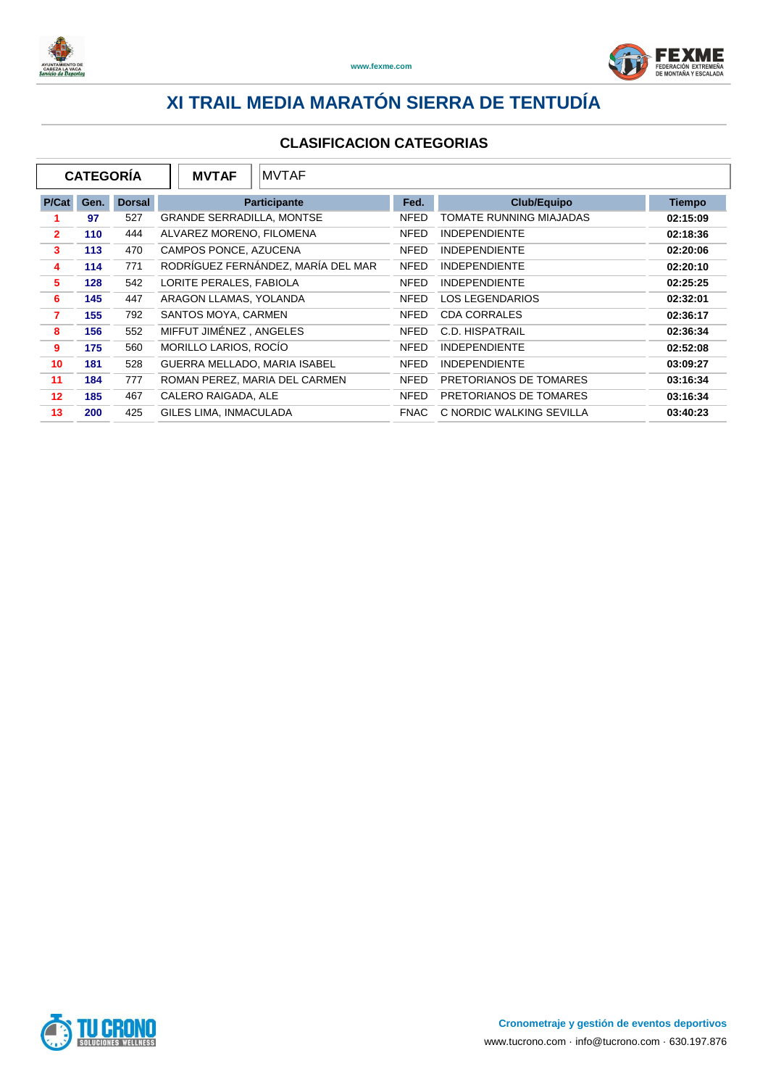



| <b>CATEGORÍA</b><br><b>MVTAF</b> |      |               |                                  | <b>MVTAF</b>                       |             |                          |               |
|----------------------------------|------|---------------|----------------------------------|------------------------------------|-------------|--------------------------|---------------|
| P/Cat                            | Gen. | <b>Dorsal</b> |                                  | <b>Participante</b>                | Fed.        | <b>Club/Equipo</b>       | <b>Tiempo</b> |
|                                  | 97   | 527           | <b>GRANDE SERRADILLA, MONTSE</b> |                                    | <b>NFED</b> | TOMATE RUNNING MIAJADAS  | 02:15:09      |
| $\overline{2}$                   | 110  | 444           | ALVAREZ MORENO, FILOMENA         |                                    | <b>NFED</b> | <b>INDEPENDIENTE</b>     | 02:18:36      |
| 3                                | 113  | 470           | CAMPOS PONCE, AZUCENA            |                                    | <b>NFED</b> | <b>INDEPENDIENTE</b>     | 02:20:06      |
| 4                                | 114  | 771           |                                  | RODRÍGUEZ FERNÁNDEZ, MARÍA DEL MAR | <b>NFED</b> | <b>INDEPENDIENTE</b>     | 02:20:10      |
| 5                                | 128  | 542           | LORITE PERALES, FABIOLA          |                                    | <b>NFED</b> | <b>INDEPENDIENTE</b>     | 02:25:25      |
| 6                                | 145  | 447           | ARAGON LLAMAS, YOLANDA           |                                    | <b>NFED</b> | LOS LEGENDARIOS          | 02:32:01      |
| 7                                | 155  | 792           | SANTOS MOYA, CARMEN              |                                    | <b>NFED</b> | <b>CDA CORRALES</b>      | 02:36:17      |
| 8                                | 156  | 552           | MIFFUT JIMÉNEZ, ANGELES          |                                    | <b>NFED</b> | C.D. HISPATRAIL          | 02:36:34      |
| 9                                | 175  | 560           | MORILLO LARIOS, ROCÍO            |                                    | <b>NFED</b> | <b>INDEPENDIENTE</b>     | 02:52:08      |
| 10                               | 181  | 528           | GUERRA MELLADO, MARIA ISABEL     |                                    | <b>NFED</b> | <b>INDEPENDIENTE</b>     | 03:09:27      |
| 11                               | 184  | 777           |                                  | ROMAN PEREZ, MARIA DEL CARMEN      | <b>NFED</b> | PRETORIANOS DE TOMARES   | 03:16:34      |
| 12                               | 185  | 467           | CALERO RAIGADA, ALE              |                                    | <b>NFED</b> | PRETORIANOS DE TOMARES   | 03:16:34      |
| 13                               | 200  | 425           | <b>GILES LIMA, INMACULADA</b>    |                                    | <b>FNAC</b> | C NORDIC WALKING SEVILLA | 03:40:23      |

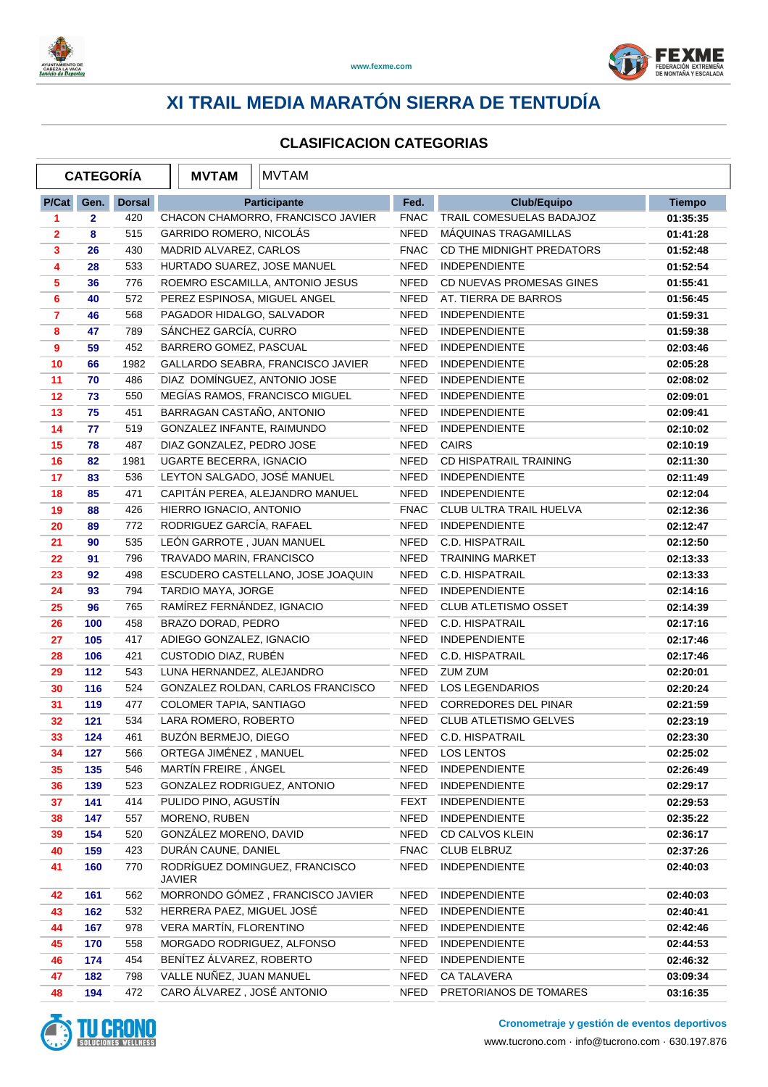



|                | <b>CATEGORÍA</b> |               | <b>MVTAM</b>                 | <b>MVTAM</b>                      |             |                              |               |
|----------------|------------------|---------------|------------------------------|-----------------------------------|-------------|------------------------------|---------------|
| P/Cat          | Gen.             | <b>Dorsal</b> |                              | Participante                      | Fed.        | <b>Club/Equipo</b>           | <b>Tiempo</b> |
| 1              | $\mathbf{2}$     | 420           |                              | CHACON CHAMORRO, FRANCISCO JAVIER | <b>FNAC</b> | TRAIL COMESUELAS BADAJOZ     | 01:35:35      |
| 2              | 8                | 515           | GARRIDO ROMERO, NICOLÁS      |                                   | <b>NFED</b> | MÁQUINAS TRAGAMILLAS         | 01:41:28      |
| 3              | 26               | 430           | MADRID ALVAREZ, CARLOS       |                                   | <b>FNAC</b> | CD THE MIDNIGHT PREDATORS    | 01:52:48      |
| 4              | 28               | 533           | HURTADO SUAREZ, JOSE MANUEL  |                                   | NFED        | <b>INDEPENDIENTE</b>         | 01:52:54      |
| 5              | 36               | 776           |                              | ROEMRO ESCAMILLA, ANTONIO JESUS   | <b>NFED</b> | CD NUEVAS PROMESAS GINES     | 01:55:41      |
| 6              | 40               | 572           | PEREZ ESPINOSA, MIGUEL ANGEL |                                   | <b>NFED</b> | AT. TIERRA DE BARROS         | 01:56:45      |
| $\overline{7}$ | 46               | 568           | PAGADOR HIDALGO, SALVADOR    |                                   | <b>NFED</b> | <b>INDEPENDIENTE</b>         | 01:59:31      |
| 8              | 47               | 789           | SÁNCHEZ GARCÍA, CURRO        |                                   | <b>NFED</b> | <b>INDEPENDIENTE</b>         | 01:59:38      |
| 9              | 59               | 452           | BARRERO GOMEZ, PASCUAL       |                                   | NFED        | <b>INDEPENDIENTE</b>         | 02:03:46      |
| 10             | 66               | 1982          |                              | GALLARDO SEABRA, FRANCISCO JAVIER | <b>NFED</b> | <b>INDEPENDIENTE</b>         | 02:05:28      |
| 11             | 70               | 486           | DIAZ DOMÍNGUEZ, ANTONIO JOSE |                                   | <b>NFED</b> | <b>INDEPENDIENTE</b>         | 02:08:02      |
| 12             | 73               | 550           |                              | MEGÍAS RAMOS, FRANCISCO MIGUEL    | <b>NFED</b> | <b>INDEPENDIENTE</b>         | 02:09:01      |
| 13             | 75               | 451           | BARRAGAN CASTAÑO, ANTONIO    |                                   | NFED        | <b>INDEPENDIENTE</b>         | 02:09:41      |
| 14             | 77               | 519           | GONZALEZ INFANTE, RAIMUNDO   |                                   | NFED        | <b>INDEPENDIENTE</b>         | 02:10:02      |
| 15             | 78               | 487           | DIAZ GONZALEZ, PEDRO JOSE    |                                   | NFED        | CAIRS                        | 02:10:19      |
| 16             | 82               | 1981          | UGARTE BECERRA, IGNACIO      |                                   | NFED        | CD HISPATRAIL TRAINING       | 02:11:30      |
| 17             | 83               | 536           | LEYTON SALGADO, JOSÉ MANUEL  |                                   | <b>NFED</b> | <b>INDEPENDIENTE</b>         | 02:11:49      |
| 18             | 85               | 471           |                              | CAPITÁN PEREA, ALEJANDRO MANUEL   | <b>NFED</b> | <b>INDEPENDIENTE</b>         | 02:12:04      |
| 19             | 88               | 426           | HIERRO IGNACIO, ANTONIO      |                                   | <b>FNAC</b> | CLUB ULTRA TRAIL HUELVA      | 02:12:36      |
| 20             | 89               | 772           | RODRIGUEZ GARCÍA, RAFAEL     |                                   | <b>NFED</b> | <b>INDEPENDIENTE</b>         | 02:12:47      |
| 21             | 90               | 535           | LEÓN GARROTE, JUAN MANUEL    |                                   | <b>NFED</b> | C.D. HISPATRAIL              | 02:12:50      |
| 22             | 91               | 796           | TRAVADO MARIN, FRANCISCO     |                                   | <b>NFED</b> | <b>TRAINING MARKET</b>       | 02:13:33      |
| 23             | 92               | 498           |                              | ESCUDERO CASTELLANO, JOSE JOAQUIN | NFED        | C.D. HISPATRAIL              | 02:13:33      |
| 24             | 93               | 794           | TARDIO MAYA, JORGE           |                                   | <b>NFED</b> | <b>INDEPENDIENTE</b>         | 02:14:16      |
| 25             | 96               | 765           | RAMÍREZ FERNÁNDEZ, IGNACIO   |                                   | NFED        | <b>CLUB ATLETISMO OSSET</b>  | 02:14:39      |
| 26             | 100              | 458           | BRAZO DORAD, PEDRO           |                                   | NFED        | C.D. HISPATRAIL              | 02:17:16      |
| 27             | 105              | 417           | ADIEGO GONZALEZ, IGNACIO     |                                   | <b>NFED</b> | <b>INDEPENDIENTE</b>         | 02:17:46      |
| 28             | 106              | 421           | CUSTODIO DIAZ, RUBÉN         |                                   | <b>NFED</b> | C.D. HISPATRAIL              | 02:17:46      |
| 29             | 112              | 543           | LUNA HERNANDEZ, ALEJANDRO    |                                   | <b>NFED</b> | <b>ZUM ZUM</b>               | 02:20:01      |
| 30             | 116              | 524           |                              | GONZALEZ ROLDAN, CARLOS FRANCISCO | NFED        | <b>LOS LEGENDARIOS</b>       | 02:20:24      |
| 31             | 119              | 477           | COLOMER TAPIA, SANTIAGO      |                                   | NFED        | <b>CORREDORES DEL PINAR</b>  | 02:21:59      |
| 32             | 121              | 534           | LARA ROMERO, ROBERTO         |                                   | <b>NFED</b> | <b>CLUB ATLETISMO GELVES</b> | 02:23:19      |
| 33             | 124              | 461           | BUZÓN BERMEJO, DIEGO         |                                   | NFED        | C.D. HISPATRAIL              | 02:23:30      |
| 34             | 127              | 566           | ORTEGA JIMÉNEZ, MANUEL       |                                   | NFED        | <b>LOS LENTOS</b>            | 02:25:02      |
| 35             | 135              | 546           | MARTÍN FREIRE, ÁNGEL         |                                   | <b>NFED</b> | <b>INDEPENDIENTE</b>         | 02:26:49      |
| 36             | 139              | 523           | GONZALEZ RODRIGUEZ, ANTONIO  |                                   | <b>NFED</b> | <b>INDEPENDIENTE</b>         | 02:29:17      |
| 37             | 141              | 414           | PULIDO PINO, AGUSTÍN         |                                   | <b>FEXT</b> | <b>INDEPENDIENTE</b>         | 02:29:53      |
| 38             | 147              | 557           | MORENO, RUBEN                |                                   | <b>NFED</b> | <b>INDEPENDIENTE</b>         | 02:35:22      |
| 39             | 154              | 520           | GONZÁLEZ MORENO, DAVID       |                                   | NFED        | CD CALVOS KLEIN              | 02:36:17      |
| 40             | 159              | 423           | DURÁN CAUNE, DANIEL          |                                   | <b>FNAC</b> | <b>CLUB ELBRUZ</b>           | 02:37:26      |
| 41             | 160              | 770           | <b>JAVIER</b>                | RODRÍGUEZ DOMINGUEZ, FRANCISCO    | <b>NFED</b> | <b>INDEPENDIENTE</b>         | 02:40:03      |
| 42             | 161              | 562           |                              | MORRONDO GÓMEZ, FRANCISCO JAVIER  | <b>NFED</b> | <b>INDEPENDIENTE</b>         | 02:40:03      |
| 43             | 162              | 532           | HERRERA PAEZ, MIGUEL JOSÉ    |                                   | <b>NFED</b> | <b>INDEPENDIENTE</b>         | 02:40:41      |
| 44             | 167              | 978           | VERA MARTÍN, FLORENTINO      |                                   | <b>NFED</b> | <b>INDEPENDIENTE</b>         | 02:42:46      |
| 45             | 170              | 558           | MORGADO RODRIGUEZ, ALFONSO   |                                   | NFED        | <b>INDEPENDIENTE</b>         | 02:44:53      |
| 46             | 174              | 454           | BENÍTEZ ÁLVAREZ, ROBERTO     |                                   | <b>NFED</b> | <b>INDEPENDIENTE</b>         | 02:46:32      |
| 47             | 182              | 798           | VALLE NUÑEZ, JUAN MANUEL     |                                   | NFED        | CA TALAVERA                  | 03:09:34      |
| 48             | 194              | 472           | CARO ÁLVAREZ, JOSÉ ANTONIO   |                                   | NFED        | PRETORIANOS DE TOMARES       | 03:16:35      |

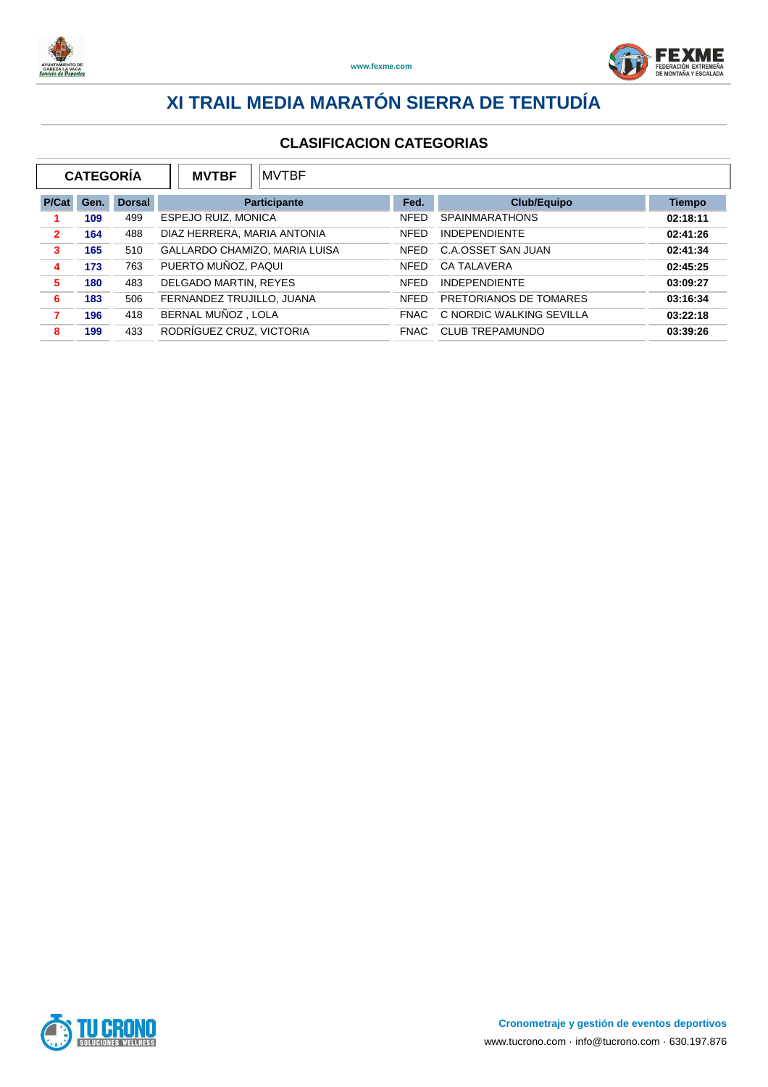



|                | <b>CATEGORÍA</b> |               | <b>MVTBF</b>                  | <b>MVTBF</b> |             |                          |               |  |
|----------------|------------------|---------------|-------------------------------|--------------|-------------|--------------------------|---------------|--|
| P/Cat          | Gen.             | <b>Dorsal</b> | <b>Participante</b>           |              | Fed.        | Club/Equipo              | <b>Tiempo</b> |  |
|                | 109              | 499           | <b>ESPEJO RUIZ, MONICA</b>    |              | <b>NFED</b> | <b>SPAINMARATHONS</b>    | 02:18:11      |  |
| $\overline{2}$ | 164              | 488           | DIAZ HERRERA, MARIA ANTONIA   |              | <b>NFED</b> | <b>INDEPENDIENTE</b>     | 02:41:26      |  |
| 3              | 165              | 510           | GALLARDO CHAMIZO, MARIA LUISA |              | <b>NFED</b> | C.A.OSSET SAN JUAN       | 02:41:34      |  |
| 4              | 173              | 763           | PUERTO MUÑOZ, PAQUI           |              | <b>NFED</b> | <b>CA TALAVERA</b>       | 02:45:25      |  |
| 5              | 180              | 483           | DELGADO MARTIN, REYES         |              | <b>NFED</b> | <b>INDEPENDIENTE</b>     | 03:09:27      |  |
| 6              | 183              | 506           | FERNANDEZ TRUJILLO, JUANA     |              | <b>NFED</b> | PRETORIANOS DE TOMARES   | 03:16:34      |  |
| 7              | 196              | 418           | BERNAL MUÑOZ, LOLA            |              | FNAC        | C NORDIC WALKING SEVILLA | 03:22:18      |  |
| 8              | 199              | 433           | RODRÍGUEZ CRUZ, VICTORIA      |              | <b>FNAC</b> | <b>CLUB TREPAMUNDO</b>   | 03:39:26      |  |

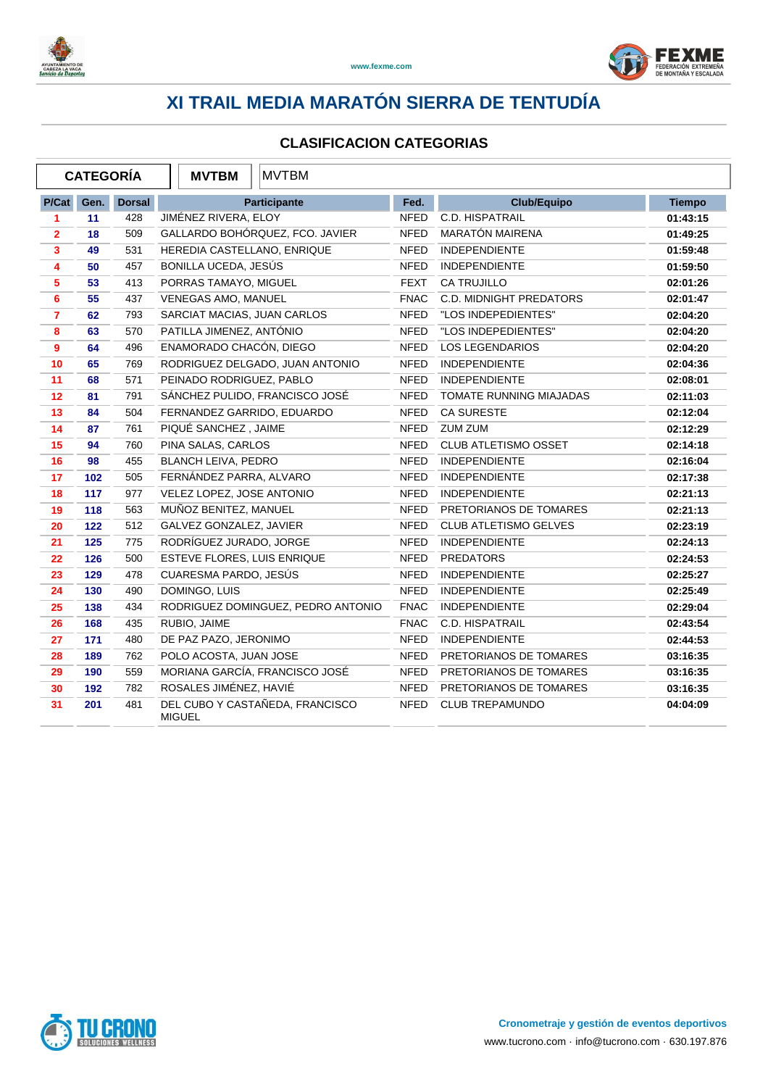



|                | <b>CATEGORÍA</b> |               | <b>MVTBM</b>                | <b>MVTBM</b>                       |             |                                |               |
|----------------|------------------|---------------|-----------------------------|------------------------------------|-------------|--------------------------------|---------------|
| P/Cat          | Gen.             | <b>Dorsal</b> |                             | Participante                       | Fed.        | <b>Club/Equipo</b>             | <b>Tiempo</b> |
| 1              | 11               | 428           | JIMÉNEZ RIVERA, ELOY        |                                    | <b>NFED</b> | C.D. HISPATRAIL                | 01:43:15      |
| $\overline{2}$ | 18               | 509           |                             | GALLARDO BOHÓRQUEZ, FCO. JAVIER    | <b>NFED</b> | MARATÓN MAIRENA                | 01:49:25      |
| 3              | 49               | 531           | HEREDIA CASTELLANO, ENRIQUE |                                    | <b>NFED</b> | <b>INDEPENDIENTE</b>           | 01:59:48      |
| 4              | 50               | 457           | BONILLA UCEDA, JESÚS        |                                    | <b>NFED</b> | INDEPENDIENTE                  | 01:59:50      |
| 5              | 53               | 413           | PORRAS TAMAYO, MIGUEL       |                                    | <b>FEXT</b> | CA TRUJILLO                    | 02:01:26      |
| 6              | 55               | 437           | VENEGAS AMO, MANUEL         |                                    | <b>FNAC</b> | <b>C.D. MIDNIGHT PREDATORS</b> | 02:01:47      |
| $\overline{7}$ | 62               | 793           | SARCIAT MACIAS, JUAN CARLOS |                                    | <b>NFED</b> | "LOS INDEPEDIENTES"            | 02:04:20      |
| 8              | 63               | 570           | PATILLA JIMENEZ, ANTÓNIO    |                                    | <b>NFED</b> | "LOS INDEPEDIENTES"            | 02:04:20      |
| 9              | 64               | 496           | ENAMORADO CHACÓN, DIEGO     |                                    | <b>NFED</b> | <b>LOS LEGENDARIOS</b>         | 02:04:20      |
| 10             | 65               | 769           |                             | RODRIGUEZ DELGADO, JUAN ANTONIO    | <b>NFED</b> | <b>INDEPENDIENTE</b>           | 02:04:36      |
| 11             | 68               | 571           | PEINADO RODRIGUEZ, PABLO    |                                    | <b>NFED</b> | <b>INDEPENDIENTE</b>           | 02:08:01      |
| 12             | 81               | 791           |                             | SÁNCHEZ PULIDO, FRANCISCO JOSÉ     | <b>NFED</b> | <b>TOMATE RUNNING MIAJADAS</b> | 02:11:03      |
| 13             | 84               | 504           | FERNANDEZ GARRIDO, EDUARDO  |                                    | <b>NFED</b> | <b>CA SURESTE</b>              | 02:12:04      |
| 14             | 87               | 761           | PIQUÉ SANCHEZ, JAIME        |                                    | <b>NFED</b> | ZUM ZUM                        | 02:12:29      |
| 15             | 94               | 760           | PINA SALAS, CARLOS          |                                    | <b>NFED</b> | <b>CLUB ATLETISMO OSSET</b>    | 02:14:18      |
| 16             | 98               | 455           | BLANCH LEIVA, PEDRO         |                                    | <b>NFED</b> | <b>INDEPENDIENTE</b>           | 02:16:04      |
| 17             | 102              | 505           | FERNÁNDEZ PARRA, ALVARO     |                                    | <b>NFED</b> | <b>INDEPENDIENTE</b>           | 02:17:38      |
| 18             | 117              | 977           | VELEZ LOPEZ, JOSE ANTONIO   |                                    | NFED        | <b>INDEPENDIENTE</b>           | 02:21:13      |
| 19             | 118              | 563           | MUÑOZ BENITEZ, MANUEL       |                                    | <b>NFED</b> | PRETORIANOS DE TOMARES         | 02:21:13      |
| 20             | 122              | 512           | GALVEZ GONZALEZ, JAVIER     |                                    | <b>NFED</b> | <b>CLUB ATLETISMO GELVES</b>   | 02:23:19      |
| 21             | 125              | 775           | RODRÍGUEZ JURADO, JORGE     |                                    | <b>NFED</b> | <b>INDEPENDIENTE</b>           | 02:24:13      |
| 22             | 126              | 500           | ESTEVE FLORES, LUIS ENRIQUE |                                    | <b>NFED</b> | <b>PREDATORS</b>               | 02:24:53      |
| 23             | 129              | 478           | CUARESMA PARDO, JESÚS       |                                    | <b>NFED</b> | <b>INDEPENDIENTE</b>           | 02:25:27      |
| 24             | 130              | 490           | DOMINGO, LUIS               |                                    | <b>NFED</b> | <b>INDEPENDIENTE</b>           | 02:25:49      |
| 25             | 138              | 434           |                             | RODRIGUEZ DOMINGUEZ, PEDRO ANTONIO | <b>FNAC</b> | <b>INDEPENDIENTE</b>           | 02:29:04      |
| 26             | 168              | 435           | RUBIO, JAIME                |                                    | <b>FNAC</b> | C.D. HISPATRAIL                | 02:43:54      |
| 27             | 171              | 480           | DE PAZ PAZO, JERONIMO       |                                    | <b>NFED</b> | <b>INDEPENDIENTE</b>           | 02:44:53      |
| 28             | 189              | 762           | POLO ACOSTA, JUAN JOSE      |                                    | <b>NFED</b> | PRETORIANOS DE TOMARES         | 03:16:35      |
| 29             | 190              | 559           |                             | MORIANA GARCÍA, FRANCISCO JOSÉ     | <b>NFED</b> | PRETORIANOS DE TOMARES         | 03:16:35      |
| 30             | 192              | 782           | ROSALES JIMÉNEZ, HAVIÉ      |                                    | <b>NFED</b> | PRETORIANOS DE TOMARES         | 03:16:35      |
| 31             | 201              | 481           | <b>MIGUEL</b>               | DEL CUBO Y CASTAÑEDA, FRANCISCO    | <b>NFED</b> | <b>CLUB TREPAMUNDO</b>         | 04:04:09      |

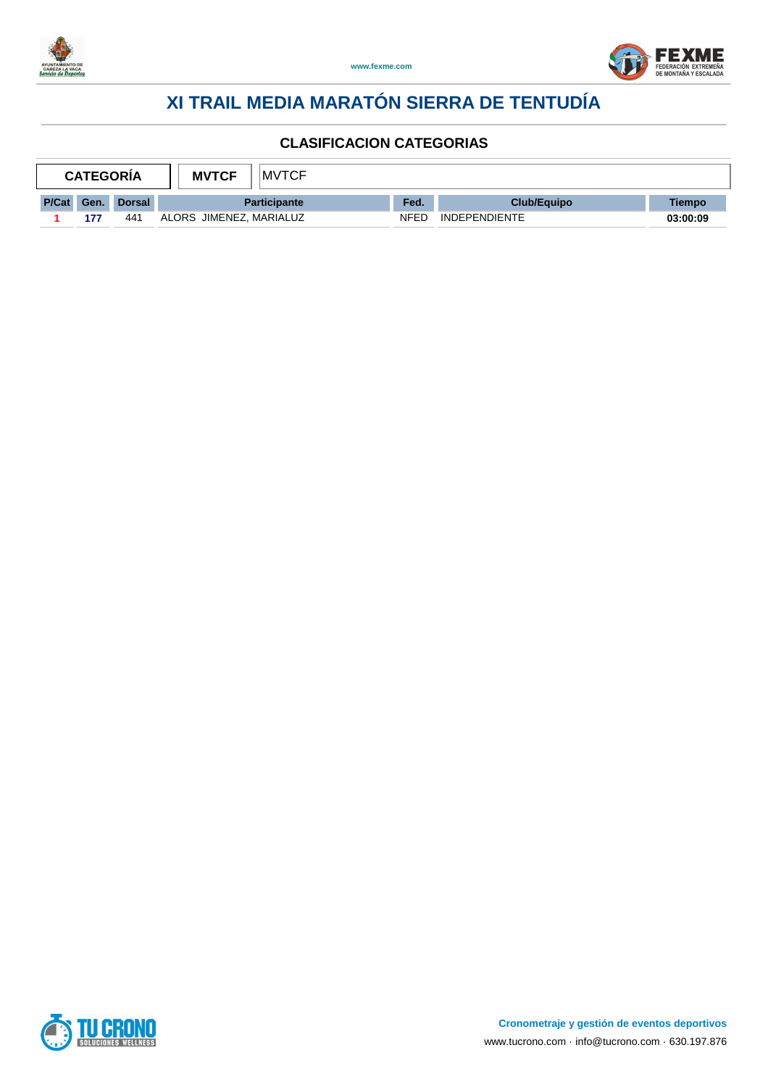



| MVTCF<br><b>MVTCF</b><br><b>CATEGORIA</b> |      |               |                         |      |                      |          |
|-------------------------------------------|------|---------------|-------------------------|------|----------------------|----------|
| P/Cat                                     | Gen. | <b>Dorsal</b> | <b>Participante</b>     | Fed. | <b>Club/Equipo</b>   | Tiempo   |
|                                           | 177  | 441           | ALORS JIMENEZ, MARIALUZ | NFED | <b>INDEPENDIENTE</b> | 03:00:09 |

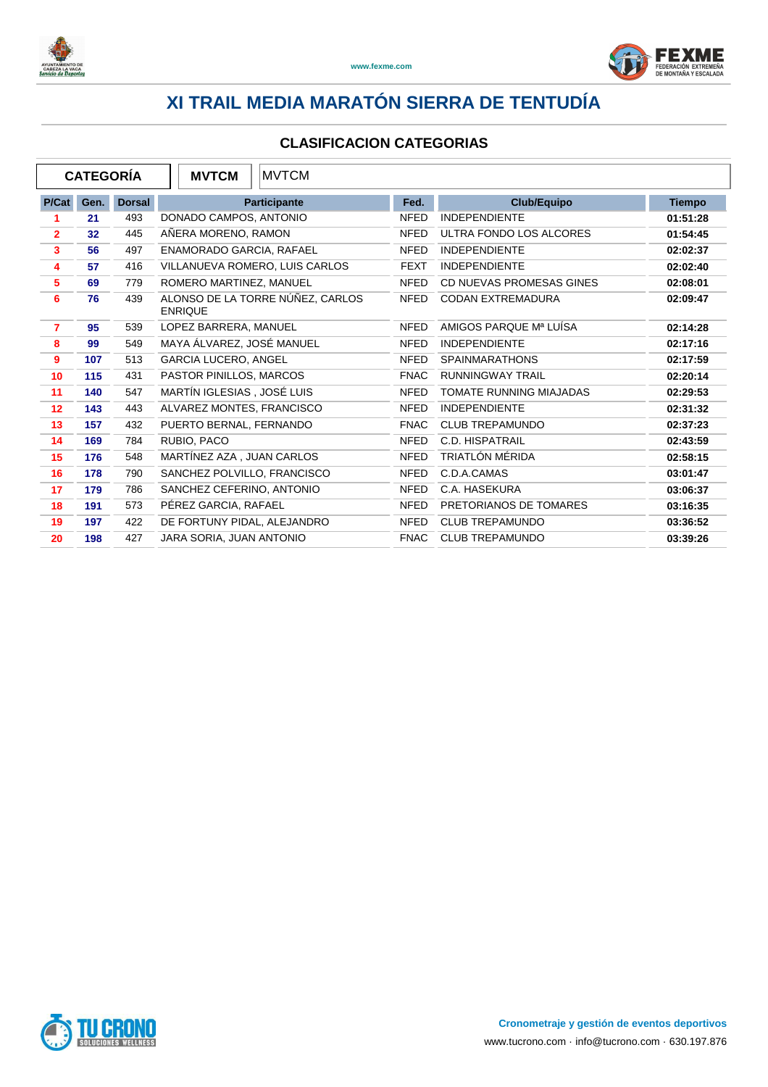



| <b>CATEGORÍA</b> |      |               | <b>MVTCM</b><br><b>MVTCM</b>                       |             |                                |               |
|------------------|------|---------------|----------------------------------------------------|-------------|--------------------------------|---------------|
| P/Cat            | Gen. | <b>Dorsal</b> | Participante                                       | Fed.        | <b>Club/Equipo</b>             | <b>Tiempo</b> |
| 1                | 21   | 493           | DONADO CAMPOS, ANTONIO                             | <b>NFED</b> | <b>INDEPENDIENTE</b>           | 01:51:28      |
| $\overline{2}$   | 32   | 445           | AÑERA MORENO, RAMON                                | <b>NFED</b> | ULTRA FONDO LOS ALCORES        | 01:54:45      |
| 3                | 56   | 497           | ENAMORADO GARCIA, RAFAEL                           | <b>NFED</b> | <b>INDEPENDIENTE</b>           | 02:02:37      |
| 4                | 57   | 416           | VILLANUEVA ROMERO, LUIS CARLOS                     | <b>FEXT</b> | <b>INDEPENDIENTE</b>           | 02:02:40      |
| 5                | 69   | 779           | ROMERO MARTINEZ, MANUEL                            | <b>NFED</b> | CD NUEVAS PROMESAS GINES       | 02:08:01      |
| 6                | 76   | 439           | ALONSO DE LA TORRE NÚÑEZ, CARLOS<br><b>ENRIQUE</b> | <b>NFED</b> | <b>CODAN EXTREMADURA</b>       | 02:09:47      |
| $\overline{7}$   | 95   | 539           | LOPEZ BARRERA, MANUEL                              | <b>NFED</b> | AMIGOS PARQUE Mª LUÍSA         | 02:14:28      |
| 8                | 99   | 549           | MAYA ÁLVAREZ, JOSÉ MANUEL                          | <b>NFED</b> | <b>INDEPENDIENTE</b>           | 02:17:16      |
| 9                | 107  | 513           | <b>GARCIA LUCERO, ANGEL</b>                        | <b>NFED</b> | <b>SPAINMARATHONS</b>          | 02:17:59      |
| 10               | 115  | 431           | PASTOR PINILLOS, MARCOS                            | <b>FNAC</b> | <b>RUNNINGWAY TRAIL</b>        | 02:20:14      |
| 11               | 140  | 547           | MARTÍN IGLESIAS, JOSÉ LUIS                         | <b>NFED</b> | <b>TOMATE RUNNING MIAJADAS</b> | 02:29:53      |
| 12               | 143  | 443           | ALVAREZ MONTES, FRANCISCO                          | <b>NFED</b> | <b>INDEPENDIENTE</b>           | 02:31:32      |
| 13               | 157  | 432           | PUERTO BERNAL, FERNANDO                            | <b>FNAC</b> | <b>CLUB TREPAMUNDO</b>         | 02:37:23      |
| 14               | 169  | 784           | RUBIO, PACO                                        | <b>NFED</b> | C.D. HISPATRAIL                | 02:43:59      |
| 15               | 176  | 548           | MARTÍNEZ AZA, JUAN CARLOS                          | <b>NFED</b> | TRIATLÓN MÉRIDA                | 02:58:15      |
| 16               | 178  | 790           | SANCHEZ POLVILLO, FRANCISCO                        | <b>NFED</b> | C.D.A.CAMAS                    | 03:01:47      |
| 17               | 179  | 786           | SANCHEZ CEFERINO, ANTONIO                          | NFED        | C.A. HASEKURA                  | 03:06:37      |
| 18               | 191  | 573           | PÉREZ GARCIA, RAFAEL                               | <b>NFED</b> | PRETORIANOS DE TOMARES         | 03:16:35      |
| 19               | 197  | 422           | DE FORTUNY PIDAL, ALEJANDRO                        | <b>NFED</b> | <b>CLUB TREPAMUNDO</b>         | 03:36:52      |
| 20               | 198  | 427           | JARA SORIA, JUAN ANTONIO                           | <b>FNAC</b> | <b>CLUB TREPAMUNDO</b>         | 03:39:26      |

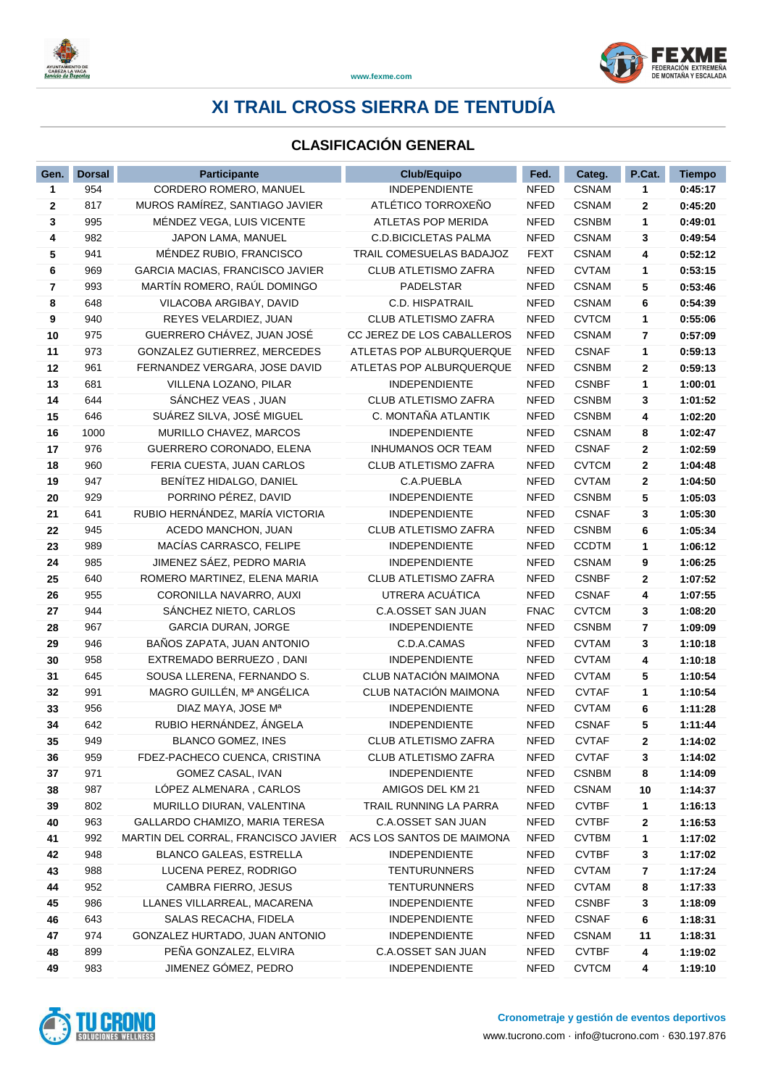



### **CLASIFICACIÓN GENERAL**

| Gen. | <b>Dorsal</b> | Participante                        | <b>Club/Equipo</b>          | Fed.        | Categ.       | P.Cat. | <b>Tiempo</b> |
|------|---------------|-------------------------------------|-----------------------------|-------------|--------------|--------|---------------|
| 1    | 954           | CORDERO ROMERO, MANUEL              | <b>INDEPENDIENTE</b>        | <b>NFED</b> | <b>CSNAM</b> | 1      | 0:45:17       |
| 2    | 817           | MUROS RAMÍREZ, SANTIAGO JAVIER      | ATLÉTICO TORROXEÑO          | <b>NFED</b> | <b>CSNAM</b> | 2      | 0:45:20       |
| 3    | 995           | MÉNDEZ VEGA, LUIS VICENTE           | ATLETAS POP MERIDA          | <b>NFED</b> | <b>CSNBM</b> | 1      | 0:49:01       |
| 4    | 982           | JAPON LAMA, MANUEL                  | <b>C.D.BICICLETAS PALMA</b> | <b>NFED</b> | <b>CSNAM</b> | 3      | 0:49:54       |
| 5    | 941           | MÉNDEZ RUBIO, FRANCISCO             | TRAIL COMESUELAS BADAJOZ    | <b>FEXT</b> | <b>CSNAM</b> | 4      | 0:52:12       |
| 6    | 969           | GARCIA MACIAS, FRANCISCO JAVIER     | <b>CLUB ATLETISMO ZAFRA</b> | <b>NFED</b> | <b>CVTAM</b> | 1      | 0:53:15       |
| 7    | 993           | MARTÍN ROMERO, RAÚL DOMINGO         | PADELSTAR                   | <b>NFED</b> | <b>CSNAM</b> | 5      | 0:53:46       |
| 8    | 648           | VILACOBA ARGIBAY, DAVID             | C.D. HISPATRAIL             | <b>NFED</b> | <b>CSNAM</b> | 6      | 0:54:39       |
| 9    | 940           | REYES VELARDIEZ, JUAN               | <b>CLUB ATLETISMO ZAFRA</b> | <b>NFED</b> | <b>CVTCM</b> | 1      | 0:55:06       |
| 10   | 975           | GUERRERO CHÁVEZ, JUAN JOSÉ          | CC JEREZ DE LOS CABALLEROS  | <b>NFED</b> | <b>CSNAM</b> | 7      | 0:57:09       |
| 11   | 973           | GONZALEZ GUTIERREZ, MERCEDES        | ATLETAS POP ALBURQUERQUE    | <b>NFED</b> | <b>CSNAF</b> | 1      | 0:59:13       |
| 12   | 961           | FERNANDEZ VERGARA, JOSE DAVID       | ATLETAS POP ALBURQUERQUE    | <b>NFED</b> | <b>CSNBM</b> | 2      | 0:59:13       |
| 13   | 681           | VILLENA LOZANO, PILAR               | <b>INDEPENDIENTE</b>        | <b>NFED</b> | <b>CSNBF</b> | 1      | 1:00:01       |
| 14   | 644           | SÁNCHEZ VEAS, JUAN                  | CLUB ATLETISMO ZAFRA        | <b>NFED</b> | <b>CSNBM</b> | 3      | 1:01:52       |
| 15   | 646           | SUÁREZ SILVA, JOSÉ MIGUEL           | C. MONTAÑA ATLANTIK         | <b>NFED</b> | <b>CSNBM</b> | 4      | 1:02:20       |
| 16   | 1000          | MURILLO CHAVEZ, MARCOS              | <b>INDEPENDIENTE</b>        | <b>NFED</b> | <b>CSNAM</b> | 8      | 1:02:47       |
| 17   | 976           | GUERRERO CORONADO, ELENA            | <b>INHUMANOS OCR TEAM</b>   | <b>NFED</b> | <b>CSNAF</b> | 2      | 1:02:59       |
| 18   | 960           | FERIA CUESTA, JUAN CARLOS           | <b>CLUB ATLETISMO ZAFRA</b> | <b>NFED</b> | <b>CVTCM</b> | 2      | 1:04:48       |
| 19   | 947           | BENÍTEZ HIDALGO, DANIEL             | C.A.PUEBLA                  | <b>NFED</b> | <b>CVTAM</b> | 2      | 1:04:50       |
| 20   | 929           | PORRINO PÉREZ, DAVID                | <b>INDEPENDIENTE</b>        | <b>NFED</b> | <b>CSNBM</b> | 5      | 1:05:03       |
| 21   | 641           | RUBIO HERNÁNDEZ, MARÍA VICTORIA     | <b>INDEPENDIENTE</b>        | <b>NFED</b> | <b>CSNAF</b> | 3      | 1:05:30       |
| 22   | 945           | ACEDO MANCHON, JUAN                 | <b>CLUB ATLETISMO ZAFRA</b> | <b>NFED</b> | <b>CSNBM</b> | 6      | 1:05:34       |
| 23   | 989           | MACÍAS CARRASCO, FELIPE             | <b>INDEPENDIENTE</b>        | <b>NFED</b> | <b>CCDTM</b> | 1      | 1:06:12       |
| 24   | 985           | JIMENEZ SÁEZ, PEDRO MARIA           | <b>INDEPENDIENTE</b>        | <b>NFED</b> | <b>CSNAM</b> | 9      | 1:06:25       |
| 25   | 640           | ROMERO MARTINEZ, ELENA MARIA        | CLUB ATLETISMO ZAFRA        | <b>NFED</b> | <b>CSNBF</b> | 2      | 1:07:52       |
| 26   | 955           | CORONILLA NAVARRO, AUXI             | UTRERA ACUÁTICA             | <b>NFED</b> | <b>CSNAF</b> | 4      | 1:07:55       |
| 27   | 944           | SANCHEZ NIETO, CARLOS               | C.A.OSSET SAN JUAN          | <b>FNAC</b> | <b>CVTCM</b> | 3      | 1:08:20       |
| 28   | 967           | <b>GARCIA DURAN, JORGE</b>          | <b>INDEPENDIENTE</b>        | <b>NFED</b> | <b>CSNBM</b> | 7      | 1:09:09       |
| 29   | 946           | BAÑOS ZAPATA, JUAN ANTONIO          | C.D.A.CAMAS                 | <b>NFED</b> | <b>CVTAM</b> | 3      | 1:10:18       |
| 30   | 958           | EXTREMADO BERRUEZO, DANI            | <b>INDEPENDIENTE</b>        | <b>NFED</b> | <b>CVTAM</b> | 4      | 1:10:18       |
| 31   | 645           | SOUSA LLERENA, FERNANDO S.          | CLUB NATACIÓN MAIMONA       | <b>NFED</b> | <b>CVTAM</b> | 5      | 1:10:54       |
| 32   | 991           | MAGRO GUILLÉN, Mª ANGÉLICA          | CLUB NATACIÓN MAIMONA       | <b>NFED</b> | <b>CVTAF</b> | 1      | 1:10:54       |
| 33   | 956           | DIAZ MAYA, JOSE Mª                  | <b>INDEPENDIENTE</b>        | <b>NFED</b> | <b>CVTAM</b> | 6      | 1:11:28       |
| 34   | 642           | RUBIO HERNÁNDEZ, ÁNGELA             | <b>INDEPENDIENTE</b>        | <b>NFED</b> | <b>CSNAF</b> | 5      | 1:11:44       |
| 35   | 949           | BLANCO GOMEZ, INES                  | CLUB ATLETISMO ZAFRA        | NFED        | <b>CVTAF</b> | 2      | 1:14:02       |
| 36   | 959           | FDEZ-PACHECO CUENCA, CRISTINA       | CLUB ATLETISMO ZAFRA        | NFED        | <b>CVTAF</b> | 3      | 1:14:02       |
| 37   | 971           | GOMEZ CASAL, IVAN                   | <b>INDEPENDIENTE</b>        | NFED        | <b>CSNBM</b> | 8      | 1:14:09       |
| 38   | 987           | LOPEZ ALMENARA, CARLOS              | AMIGOS DEL KM 21            | <b>NFED</b> | <b>CSNAM</b> | 10     | 1:14:37       |
| 39   | 802           | MURILLO DIURAN, VALENTINA           | TRAIL RUNNING LA PARRA      | <b>NFED</b> | <b>CVTBF</b> | 1      | 1:16:13       |
| 40   | 963           | GALLARDO CHAMIZO, MARIA TERESA      | C.A.OSSET SAN JUAN          | <b>NFED</b> | <b>CVTBF</b> | 2      | 1:16:53       |
| 41   | 992           | MARTIN DEL CORRAL, FRANCISCO JAVIER | ACS LOS SANTOS DE MAIMONA   | <b>NFED</b> | <b>CVTBM</b> | 1      | 1:17:02       |
| 42   | 948           | BLANCO GALEAS, ESTRELLA             | <b>INDEPENDIENTE</b>        | <b>NFED</b> | <b>CVTBF</b> | 3      | 1:17:02       |
| 43   | 988           | LUCENA PEREZ, RODRIGO               | <b>TENTURUNNERS</b>         | <b>NFED</b> | <b>CVTAM</b> | 7      | 1:17:24       |
| 44   | 952           | CAMBRA FIERRO, JESUS                | <b>TENTURUNNERS</b>         | <b>NFED</b> | <b>CVTAM</b> | 8      | 1:17:33       |
| 45   | 986           | LLANES VILLARREAL, MACARENA         | <b>INDEPENDIENTE</b>        | <b>NFED</b> | <b>CSNBF</b> | 3      | 1:18:09       |
| 46   | 643           | SALAS RECACHA, FIDELA               | <b>INDEPENDIENTE</b>        | <b>NFED</b> | <b>CSNAF</b> | 6      | 1:18:31       |
| 47   | 974           | GONZALEZ HURTADO, JUAN ANTONIO      | <b>INDEPENDIENTE</b>        | <b>NFED</b> | <b>CSNAM</b> | 11     | 1:18:31       |
| 48   | 899           | PEÑA GONZALEZ, ELVIRA               | C.A.OSSET SAN JUAN          | <b>NFED</b> | <b>CVTBF</b> | 4      | 1:19:02       |
| 49   | 983           | JIMENEZ GÓMEZ, PEDRO                | <b>INDEPENDIENTE</b>        | <b>NFED</b> | <b>CVTCM</b> | 4      | 1:19:10       |

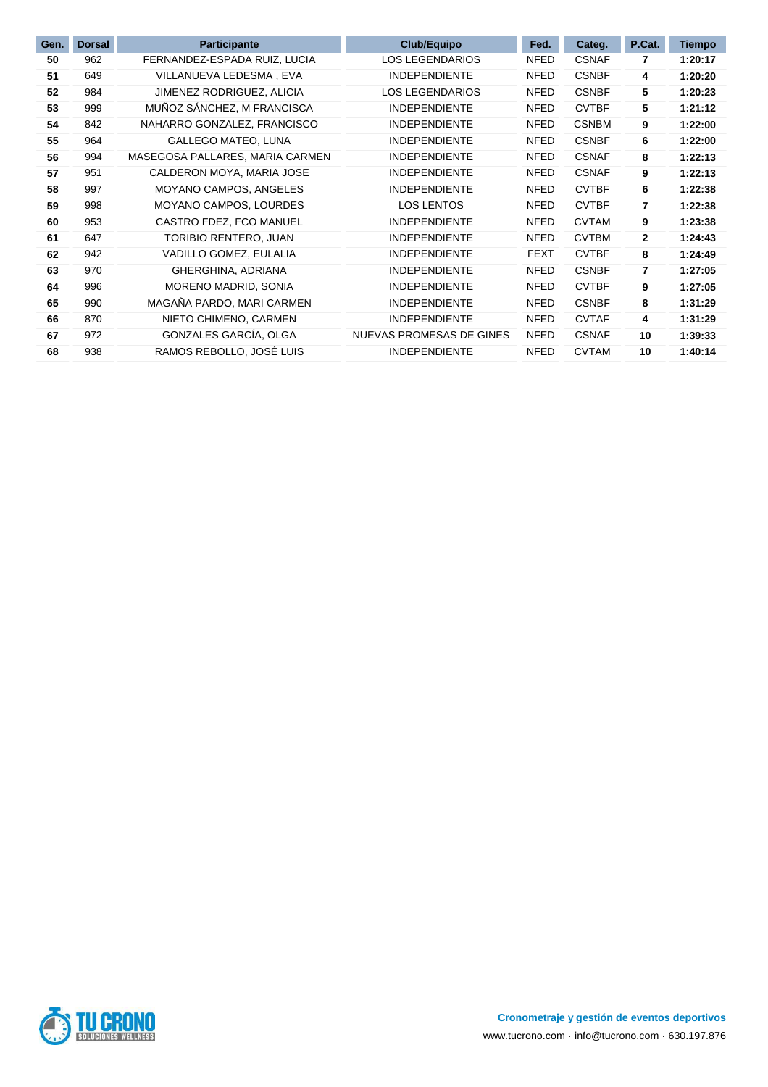| Gen. | <b>Dorsal</b> | <b>Participante</b>             | <b>Club/Equipo</b>       | Fed.        | Categ.       | P.Cat.       | <b>Tiempo</b> |
|------|---------------|---------------------------------|--------------------------|-------------|--------------|--------------|---------------|
| 50   | 962           | FERNANDEZ-ESPADA RUIZ, LUCIA    | <b>LOS LEGENDARIOS</b>   | NFED        | <b>CSNAF</b> | 7            | 1:20:17       |
| 51   | 649           | VILLANUEVA LEDESMA, EVA         | <b>INDEPENDIENTE</b>     | <b>NFED</b> | <b>CSNBF</b> | 4            | 1:20:20       |
| 52   | 984           | JIMENEZ RODRIGUEZ, ALICIA       | <b>LOS LEGENDARIOS</b>   | NFED        | <b>CSNBF</b> | 5            | 1:20:23       |
| 53   | 999           | MUÑOZ SÁNCHEZ, M FRANCISCA      | <b>INDEPENDIENTE</b>     | <b>NFED</b> | <b>CVTBF</b> | 5            | 1:21:12       |
| 54   | 842           | NAHARRO GONZALEZ, FRANCISCO     | <b>INDEPENDIENTE</b>     | <b>NFED</b> | <b>CSNBM</b> | 9            | 1:22:00       |
| 55   | 964           | <b>GALLEGO MATEO, LUNA</b>      | <b>INDEPENDIENTE</b>     | <b>NFED</b> | <b>CSNBF</b> | 6            | 1:22:00       |
| 56   | 994           | MASEGOSA PALLARES, MARIA CARMEN | <b>INDEPENDIENTE</b>     | <b>NFED</b> | <b>CSNAF</b> | 8            | 1:22:13       |
| 57   | 951           | CALDERON MOYA, MARIA JOSE       | <b>INDEPENDIENTE</b>     | <b>NFED</b> | <b>CSNAF</b> | 9            | 1:22:13       |
| 58   | 997           | MOYANO CAMPOS, ANGELES          | <b>INDEPENDIENTE</b>     | <b>NFED</b> | <b>CVTBF</b> | 6            | 1:22:38       |
| 59   | 998           | MOYANO CAMPOS, LOURDES          | <b>LOS LENTOS</b>        | <b>NFED</b> | <b>CVTBF</b> | 7            | 1:22:38       |
| 60   | 953           | CASTRO FDEZ, FCO MANUEL         | <b>INDEPENDIENTE</b>     | <b>NFED</b> | <b>CVTAM</b> | 9            | 1:23:38       |
| 61   | 647           | TORIBIO RENTERO, JUAN           | <b>INDEPENDIENTE</b>     | <b>NFED</b> | <b>CVTBM</b> | $\mathbf{2}$ | 1:24:43       |
| 62   | 942           | VADILLO GOMEZ, EULALIA          | <b>INDEPENDIENTE</b>     | <b>FEXT</b> | <b>CVTBF</b> | 8            | 1:24:49       |
| 63   | 970           | GHERGHINA, ADRIANA              | <b>INDEPENDIENTE</b>     | <b>NFED</b> | <b>CSNBF</b> | 7            | 1:27:05       |
| 64   | 996           | MORENO MADRID, SONIA            | <b>INDEPENDIENTE</b>     | <b>NFED</b> | <b>CVTBF</b> | 9            | 1:27:05       |
| 65   | 990           | MAGAÑA PARDO, MARI CARMEN       | <b>INDEPENDIENTE</b>     | NFED        | <b>CSNBF</b> | 8            | 1:31:29       |
| 66   | 870           | NIETO CHIMENO, CARMEN           | <b>INDEPENDIENTE</b>     | <b>NFED</b> | <b>CVTAF</b> | 4            | 1:31:29       |
| 67   | 972           | GONZALES GARCÍA, OLGA           | NUEVAS PROMESAS DE GINES | <b>NFED</b> | <b>CSNAF</b> | 10           | 1:39:33       |
| 68   | 938           | RAMOS REBOLLO, JOSÉ LUIS        | <b>INDEPENDIENTE</b>     | <b>NFED</b> | <b>CVTAM</b> | 10           | 1:40:14       |

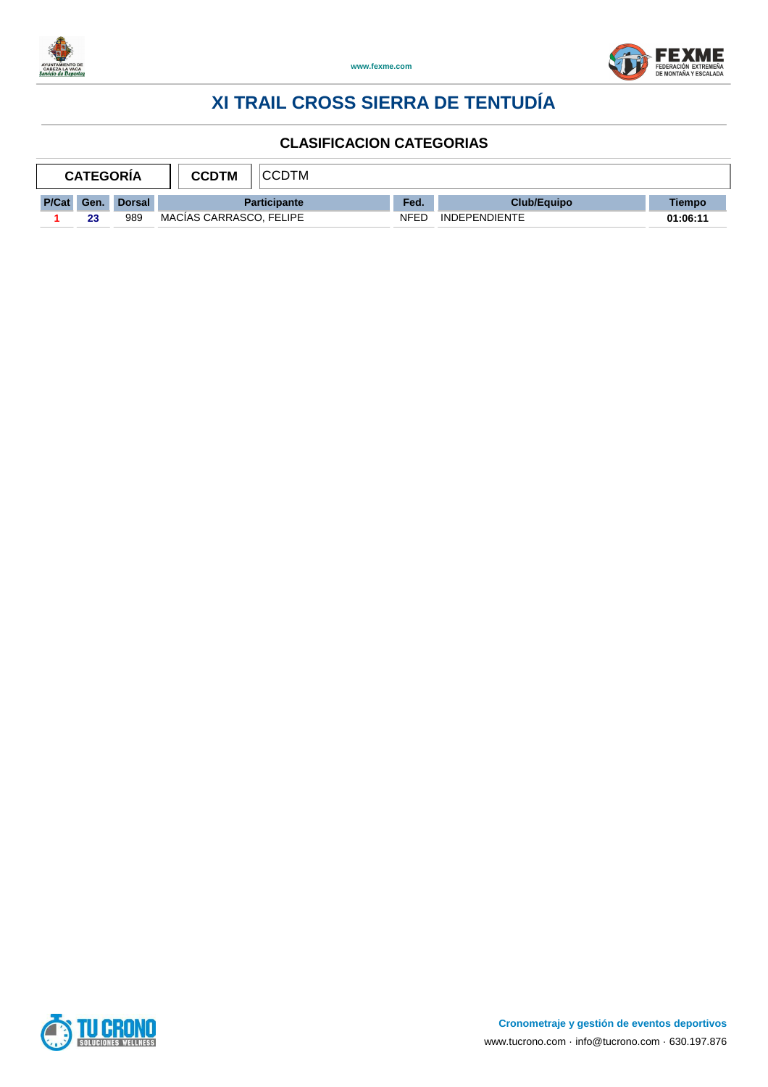



|       | <b>CATEGORIA</b> |               | <b>CCDTM</b>            | <b>CCDTM</b> |      |                      |          |  |
|-------|------------------|---------------|-------------------------|--------------|------|----------------------|----------|--|
| P/Cat | Gen.             | <b>Dorsal</b> | <b>Participante</b>     |              | Fed. | <b>Club/Equipo</b>   | Tiempo   |  |
|       | 23               | 989           | MACIAS CARRASCO. FELIPE |              | NFED | <b>INDEPENDIENTE</b> | 01:06:11 |  |

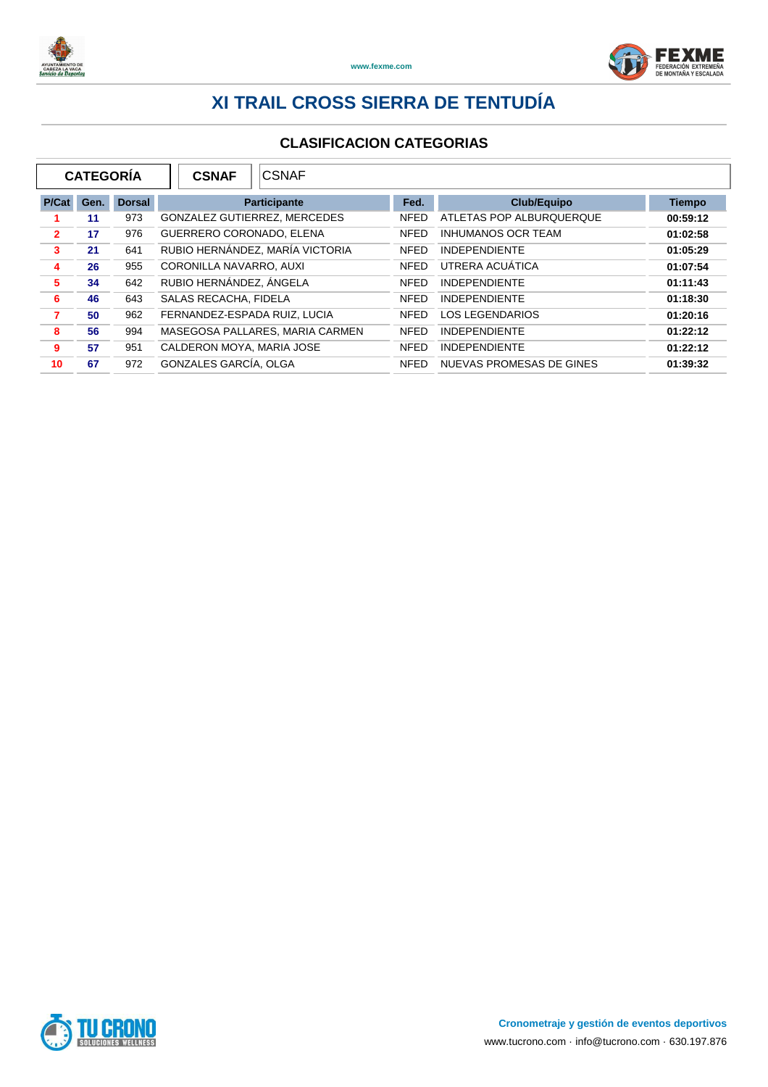



|                | <b>CATEGORÍA</b> |               | <b>CSNAF</b>                    | <b>CSNAF</b>                    |             |                           |               |
|----------------|------------------|---------------|---------------------------------|---------------------------------|-------------|---------------------------|---------------|
| P/Cat          | Gen.             | <b>Dorsal</b> |                                 | <b>Participante</b>             | Fed.        | <b>Club/Equipo</b>        | <b>Tiempo</b> |
|                | 11               | 973           | GONZALEZ GUTIERREZ, MERCEDES    |                                 | <b>NFED</b> | ATLETAS POP ALBURQUERQUE  | 00:59:12      |
| $\overline{2}$ | 17               | 976           | <b>GUERRERO CORONADO, ELENA</b> |                                 | <b>NFED</b> | <b>INHUMANOS OCR TEAM</b> | 01:02:58      |
| 3              | 21               | 641           |                                 | RUBIO HERNÁNDEZ, MARÍA VICTORIA | <b>NFED</b> | <b>INDEPENDIENTE</b>      | 01:05:29      |
| 4              | 26               | 955           | CORONILLA NAVARRO, AUXI         |                                 | <b>NFED</b> | UTRERA ACUATICA           | 01:07:54      |
| 5              | 34               | 642           | RUBIO HERNÁNDEZ, ÁNGELA         |                                 | <b>NFED</b> | <b>INDEPENDIENTE</b>      | 01:11:43      |
| 6              | 46               | 643           | SALAS RECACHA, FIDELA           |                                 | <b>NFED</b> | <b>INDEPENDIENTE</b>      | 01:18:30      |
| 7              | 50               | 962           | FERNANDEZ-ESPADA RUIZ, LUCIA    |                                 | <b>NFED</b> | <b>LOS LEGENDARIOS</b>    | 01:20:16      |
| 8              | 56               | 994           |                                 | MASEGOSA PALLARES, MARIA CARMEN | <b>NFED</b> | <b>INDEPENDIENTE</b>      | 01:22:12      |
| 9              | 57               | 951           | CALDERON MOYA, MARIA JOSE       |                                 | <b>NFED</b> | <b>INDEPENDIENTE</b>      | 01:22:12      |
| 10             | 67               | 972           | GONZALES GARCÍA, OLGA           |                                 | <b>NFED</b> | NUEVAS PROMESAS DE GINES  | 01:39:32      |

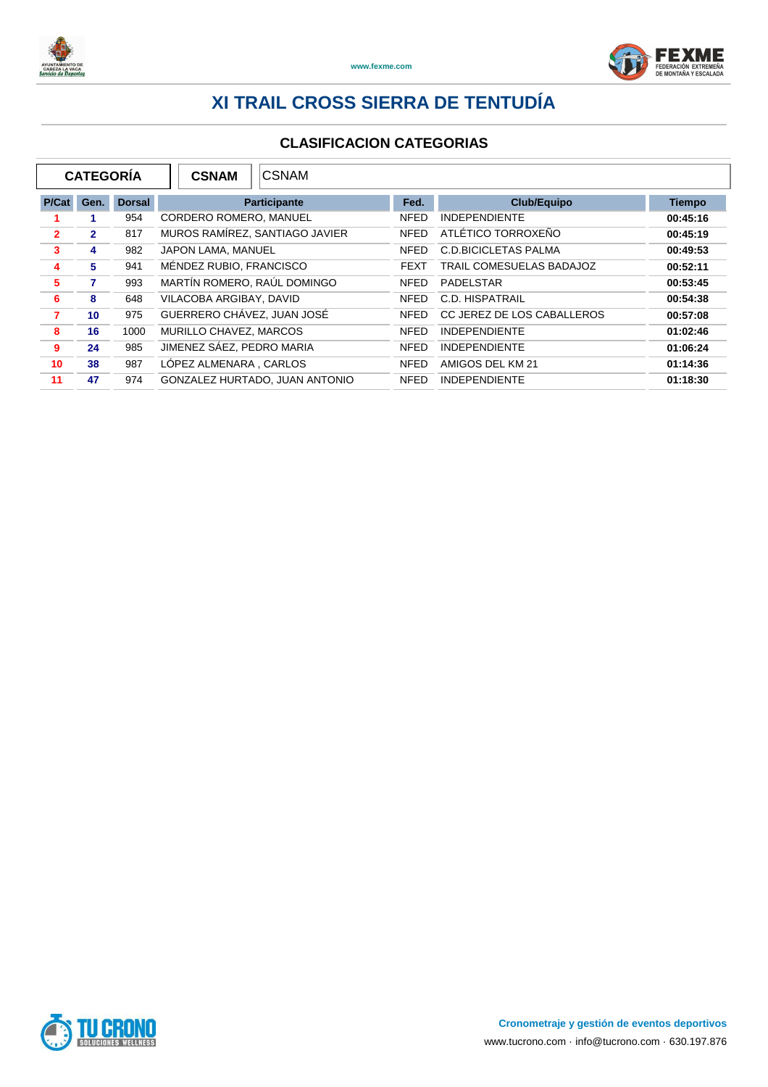



| <b>CATEGORÍA</b><br><b>CSNAM</b><br><b>CSNAM</b> |              |               |                                |             |                                 |               |
|--------------------------------------------------|--------------|---------------|--------------------------------|-------------|---------------------------------|---------------|
| P/Cat                                            | Gen.         | <b>Dorsal</b> | <b>Participante</b>            | Fed.        | <b>Club/Equipo</b>              | <b>Tiempo</b> |
|                                                  |              | 954           | CORDERO ROMERO, MANUEL         | <b>NFED</b> | <b>INDEPENDIENTE</b>            | 00:45:16      |
| $\overline{2}$                                   | $\mathbf{2}$ | 817           | MUROS RAMÍREZ, SANTIAGO JAVIER | <b>NFED</b> | ATLÉTICO TORROXEÑO              | 00:45:19      |
| 3                                                | 4            | 982           | JAPON LAMA, MANUEL             | <b>NFED</b> | <b>C.D.BICICLETAS PALMA</b>     | 00:49:53      |
| 4                                                | 5.           | 941           | MÉNDEZ RUBIO, FRANCISCO        | <b>FEXT</b> | <b>TRAIL COMESUELAS BADAJOZ</b> | 00:52:11      |
| 5                                                | 7            | 993           | MARTÍN ROMERO, RAÚL DOMINGO    | <b>NFED</b> | PADELSTAR                       | 00:53:45      |
| 6                                                | 8            | 648           | VILACOBA ARGIBAY, DAVID        | <b>NFED</b> | C.D. HISPATRAIL                 | 00:54:38      |
| 7                                                | 10           | 975           | GUERRERO CHÁVEZ. JUAN JOSÉ     | <b>NFED</b> | CC JEREZ DE LOS CABALLEROS      | 00:57:08      |
| 8                                                | 16           | 1000          | MURILLO CHAVEZ, MARCOS         | <b>NFED</b> | <b>INDEPENDIENTE</b>            | 01:02:46      |
| 9                                                | 24           | 985           | JIMENEZ SÁEZ, PEDRO MARIA      | <b>NFED</b> | <b>INDEPENDIENTE</b>            | 01:06:24      |
| 10                                               | 38           | 987           | LÓPEZ ALMENARA . CARLOS        | <b>NFED</b> | AMIGOS DEL KM 21                | 01:14:36      |
| 11                                               | 47           | 974           | GONZALEZ HURTADO, JUAN ANTONIO | <b>NFED</b> | <b>INDEPENDIENTE</b>            | 01:18:30      |

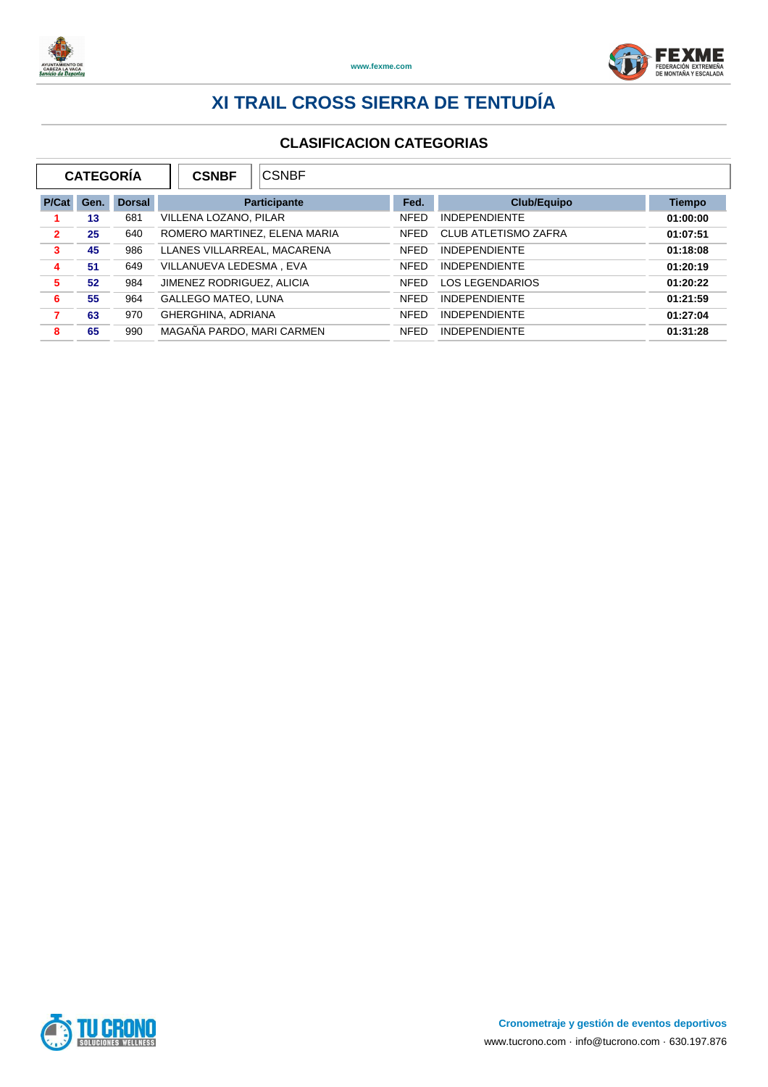



|                | <b>CATEGORÍA</b> |               | <b>CSNBF</b>                 | <b>CSNBF</b>        |             |                             |               |  |  |
|----------------|------------------|---------------|------------------------------|---------------------|-------------|-----------------------------|---------------|--|--|
| P/Cat          | Gen.             | <b>Dorsal</b> |                              | <b>Participante</b> | Fed.        | <b>Club/Equipo</b>          | <b>Tiempo</b> |  |  |
|                | 13               | 681           | VILLENA LOZANO, PILAR        |                     | <b>NFED</b> | <b>INDEPENDIENTE</b>        | 01:00:00      |  |  |
| $\overline{2}$ | 25               | 640           | ROMERO MARTINEZ, ELENA MARIA |                     | <b>NFED</b> | <b>CLUB ATLETISMO ZAFRA</b> | 01:07:51      |  |  |
| 3              | 45               | 986           | LLANES VILLARREAL, MACARENA  |                     | <b>NFED</b> | <b>INDEPENDIENTE</b>        | 01:18:08      |  |  |
| 4              | 51               | 649           | VILLANUEVA LEDESMA, EVA      |                     | <b>NFFD</b> | <b>INDEPENDIENTE</b>        | 01:20:19      |  |  |
| 5              | 52               | 984           | JIMENEZ RODRIGUEZ, ALICIA    |                     | <b>NFED</b> | <b>LOS LEGENDARIOS</b>      | 01:20:22      |  |  |
| 6              | 55               | 964           | <b>GALLEGO MATEO, LUNA</b>   |                     | <b>NFED</b> | <b>INDEPENDIENTE</b>        | 01:21:59      |  |  |
| 7              | 63               | 970           | GHERGHINA, ADRIANA           |                     | <b>NFED</b> | <b>INDEPENDIENTE</b>        | 01:27:04      |  |  |
| 8              | 65               | 990           | MAGAÑA PARDO, MARI CARMEN    |                     | <b>NFED</b> | <b>INDEPENDIENTE</b>        | 01:31:28      |  |  |

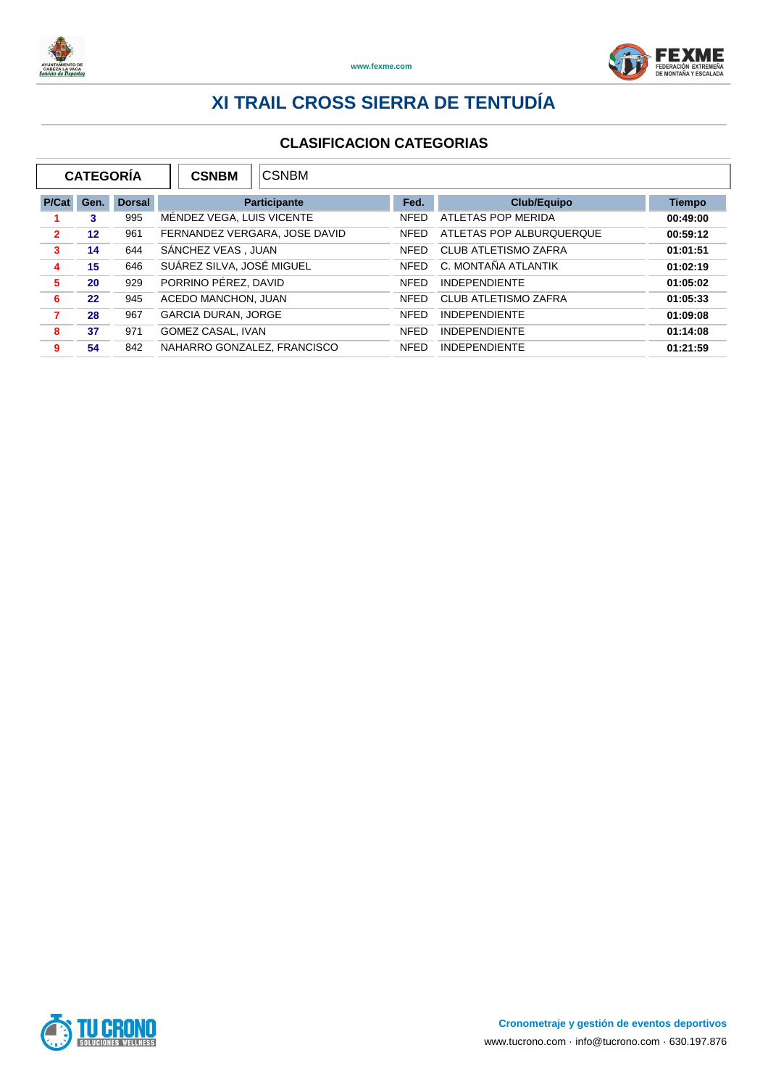



|                | <b>CATEGORÍA</b>  |               | <b>CSNBM</b>                | <b>CSNBM</b>                  |             |                             |               |  |
|----------------|-------------------|---------------|-----------------------------|-------------------------------|-------------|-----------------------------|---------------|--|
| P/Cat          | Gen.              | <b>Dorsal</b> |                             | <b>Participante</b>           |             | <b>Club/Equipo</b>          | <b>Tiempo</b> |  |
|                | 3                 | 995           |                             | MÉNDEZ VEGA, LUIS VICENTE     |             | ATLETAS POP MERIDA          | 00:49:00      |  |
| $\overline{2}$ | $12 \overline{ }$ | 961           |                             | FERNANDEZ VERGARA, JOSE DAVID |             | ATLETAS POP ALBURQUERQUE    | 00:59:12      |  |
| 3              | 14                | 644           | SÁNCHEZ VEAS, JUAN          |                               | <b>NFED</b> | <b>CLUB ATLETISMO ZAFRA</b> | 01:01:51      |  |
| 4              | 15                | 646           | SUÁREZ SILVA, JOSÉ MIGUEL   |                               | <b>NFED</b> | C. MONTAÑA ATLANTIK         | 01:02:19      |  |
| 5              | 20                | 929           | PORRINO PÉREZ, DAVID        |                               | <b>NFED</b> | <b>INDEPENDIENTE</b>        | 01:05:02      |  |
| 6              | 22                | 945           | ACEDO MANCHON, JUAN         |                               | <b>NFED</b> | <b>CLUB ATLETISMO ZAFRA</b> | 01:05:33      |  |
| 7              | 28                | 967           | <b>GARCIA DURAN, JORGE</b>  |                               | <b>NFED</b> | <b>INDEPENDIENTE</b>        | 01:09:08      |  |
| 8              | 37                | 971           | GOMEZ CASAL, IVAN           |                               | <b>NFED</b> | <b>INDEPENDIENTE</b>        | 01:14:08      |  |
| 9              | 54                | 842           | NAHARRO GONZALEZ, FRANCISCO |                               | <b>NFED</b> | <b>INDEPENDIENTE</b>        | 01:21:59      |  |

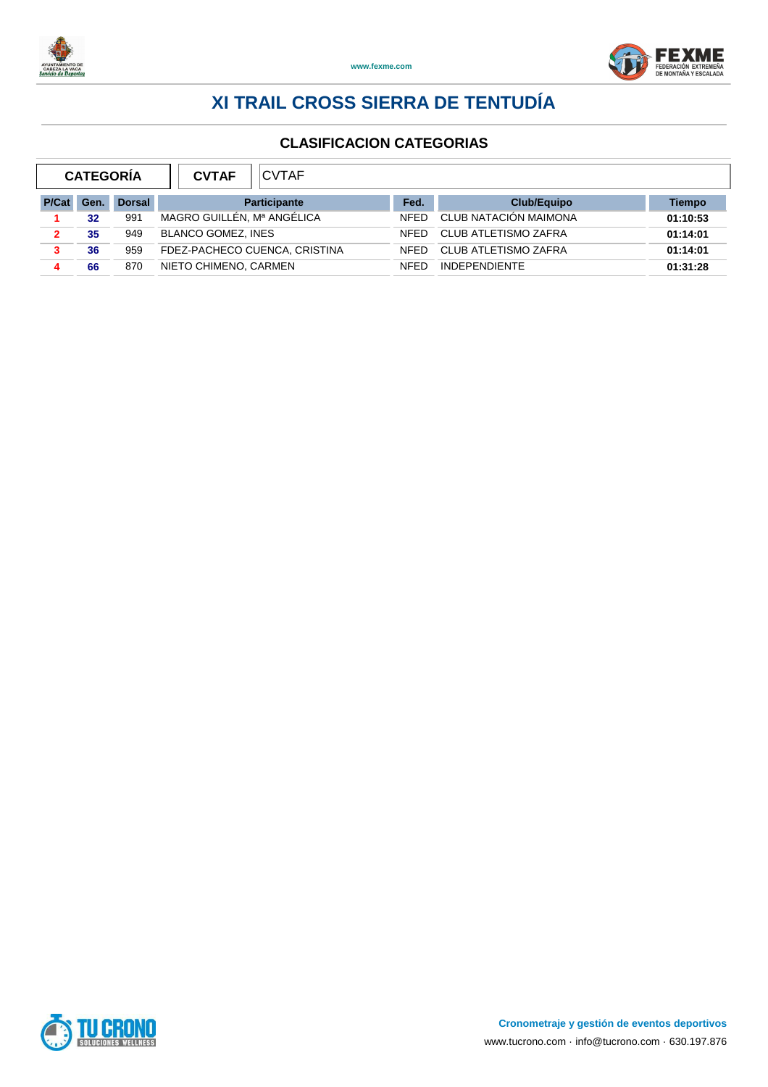



|              | <b>CVTAF</b><br><b>CATEGORIA</b><br><b>CVTAF</b> |               |                               |             |                             |          |
|--------------|--------------------------------------------------|---------------|-------------------------------|-------------|-----------------------------|----------|
| <b>P/Cat</b> | Gen.                                             | <b>Dorsal</b> | <b>Participante</b>           | Fed.        | <b>Club/Equipo</b>          | Tiempo   |
|              | 32                                               | 991           | MAGRO GUILLÉN, Mª ANGÉLICA    | <b>NFFD</b> | CLUB NATACIÓN MAIMONA       | 01:10:53 |
|              | 35                                               | 949           | <b>BLANCO GOMEZ, INES</b>     | <b>NFFD</b> | <b>CLUB ATLETISMO ZAFRA</b> | 01:14:01 |
| 3            | 36                                               | 959           | FDEZ-PACHECO CUENCA, CRISTINA | <b>NFFD</b> | <b>CLUB ATLETISMO ZAFRA</b> | 01:14:01 |
|              | 66                                               | 870           | NIETO CHIMENO, CARMEN         | <b>NFFD</b> | <b>INDEPENDIENTE</b>        | 01:31:28 |

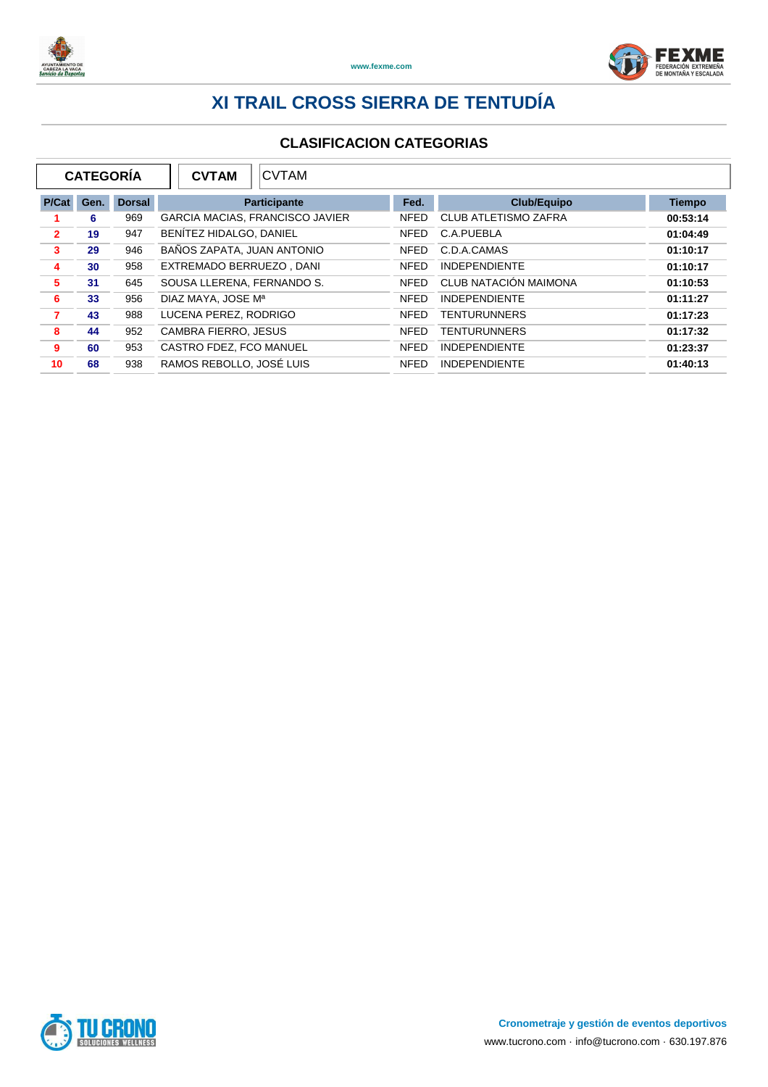



|                | <b>CATEGORÍA</b> |               | <b>CVTAM</b><br><b>CVTAM</b>           |             |                             |               |
|----------------|------------------|---------------|----------------------------------------|-------------|-----------------------------|---------------|
| P/Cat          | Gen.             | <b>Dorsal</b> | <b>Participante</b>                    | Fed.        | <b>Club/Equipo</b>          | <b>Tiempo</b> |
|                | 6                | 969           | <b>GARCIA MACIAS, FRANCISCO JAVIER</b> | <b>NFED</b> | <b>CLUB ATLETISMO ZAFRA</b> | 00:53:14      |
| $\overline{2}$ | 19               | 947           | BENÍTEZ HIDALGO, DANIEL                | <b>NFED</b> | C.A.PUEBLA                  | 01:04:49      |
| 3              | 29               | 946           | BAÑOS ZAPATA. JUAN ANTONIO             | <b>NFED</b> | C.D.A.CAMAS                 | 01:10:17      |
| 4              | 30               | 958           | EXTREMADO BERRUEZO, DANI               | <b>NFED</b> | <b>INDEPENDIENTE</b>        | 01:10:17      |
| 5              | 31               | 645           | SOUSA LLERENA, FERNANDO S.             | <b>NFED</b> | CLUB NATACIÓN MAIMONA       | 01:10:53      |
| 6              | 33               | 956           | DIAZ MAYA, JOSE Mª                     | <b>NFED</b> | <b>INDEPENDIENTE</b>        | 01:11:27      |
| 7              | 43               | 988           | LUCENA PEREZ, RODRIGO                  | <b>NFED</b> | <b>TENTURUNNERS</b>         | 01:17:23      |
| 8              | 44               | 952           | <b>CAMBRA FIERRO, JESUS</b>            | <b>NFED</b> | <b>TENTURUNNERS</b>         | 01:17:32      |
| 9              | 60               | 953           | CASTRO FDEZ. FCO MANUEL                | <b>NFED</b> | <b>INDEPENDIENTE</b>        | 01:23:37      |
| 10             | 68               | 938           | RAMOS REBOLLO, JOSÉ LUIS               | <b>NFED</b> | <b>INDEPENDIENTE</b>        | 01:40:13      |

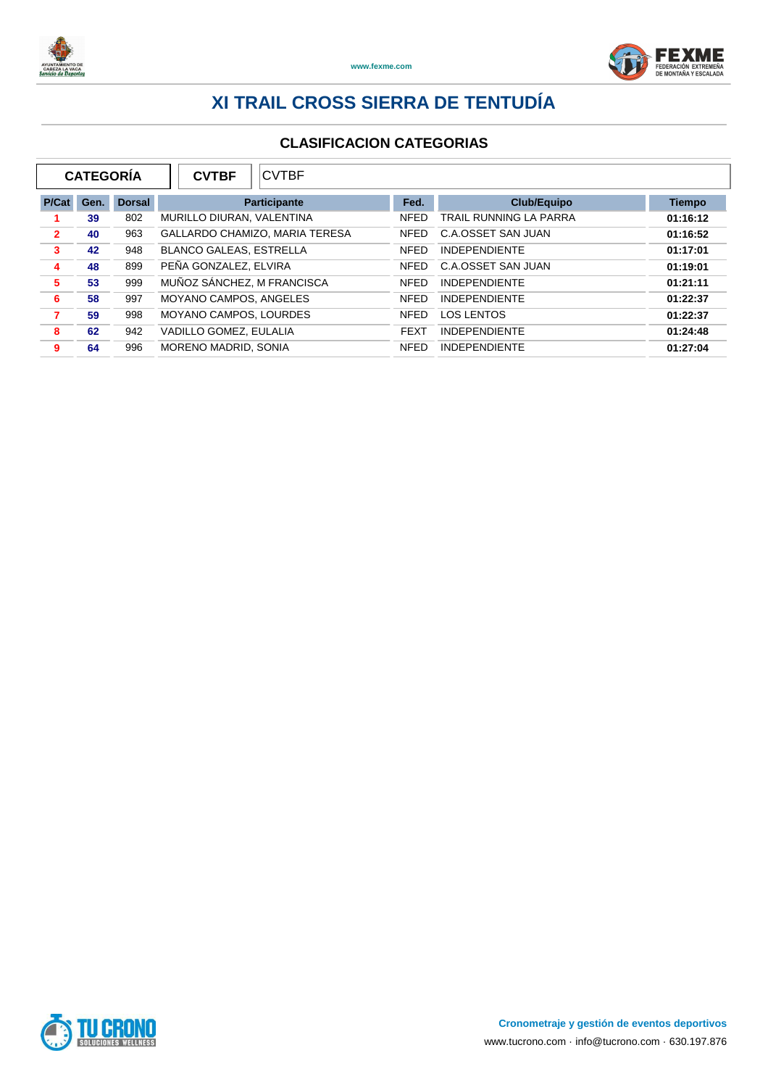



| <b>CATEGORÍA</b> |      |               | <b>CVTBF</b><br><b>CVTBF</b>   |             |                        |               |
|------------------|------|---------------|--------------------------------|-------------|------------------------|---------------|
| P/Cat            | Gen. | <b>Dorsal</b> | <b>Participante</b>            |             | <b>Club/Equipo</b>     | <b>Tiempo</b> |
|                  | 39   | 802           | MURILLO DIURAN, VALENTINA      |             | TRAIL RUNNING LA PARRA | 01:16:12      |
| $\overline{2}$   | 40   | 963           | GALLARDO CHAMIZO, MARIA TERESA | <b>NFED</b> | C.A.OSSET SAN JUAN     | 01:16:52      |
| 3                | 42   | 948           | <b>BLANCO GALEAS, ESTRELLA</b> | <b>NFED</b> | <b>INDEPENDIENTE</b>   | 01:17:01      |
| 4                | 48   | 899           | PEÑA GONZALEZ, ELVIRA          | <b>NFED</b> | C.A.OSSET SAN JUAN     | 01:19:01      |
| 5                | 53   | 999           | MUÑOZ SÁNCHEZ, M FRANCISCA     | <b>NFED</b> | <b>INDEPENDIENTE</b>   | 01:21:11      |
| 6                | 58   | 997           | MOYANO CAMPOS, ANGELES         | <b>NFED</b> | <b>INDEPENDIENTE</b>   | 01:22:37      |
| 7                | 59   | 998           | MOYANO CAMPOS, LOURDES         | <b>NFED</b> | <b>LOS LENTOS</b>      | 01:22:37      |
| 8                | 62   | 942           | VADILLO GOMEZ, EULALIA         | <b>FEXT</b> | <b>INDEPENDIENTE</b>   | 01:24:48      |
| 9                | 64   | 996           | MORENO MADRID, SONIA           | <b>NFED</b> | <b>INDEPENDIENTE</b>   | 01:27:04      |

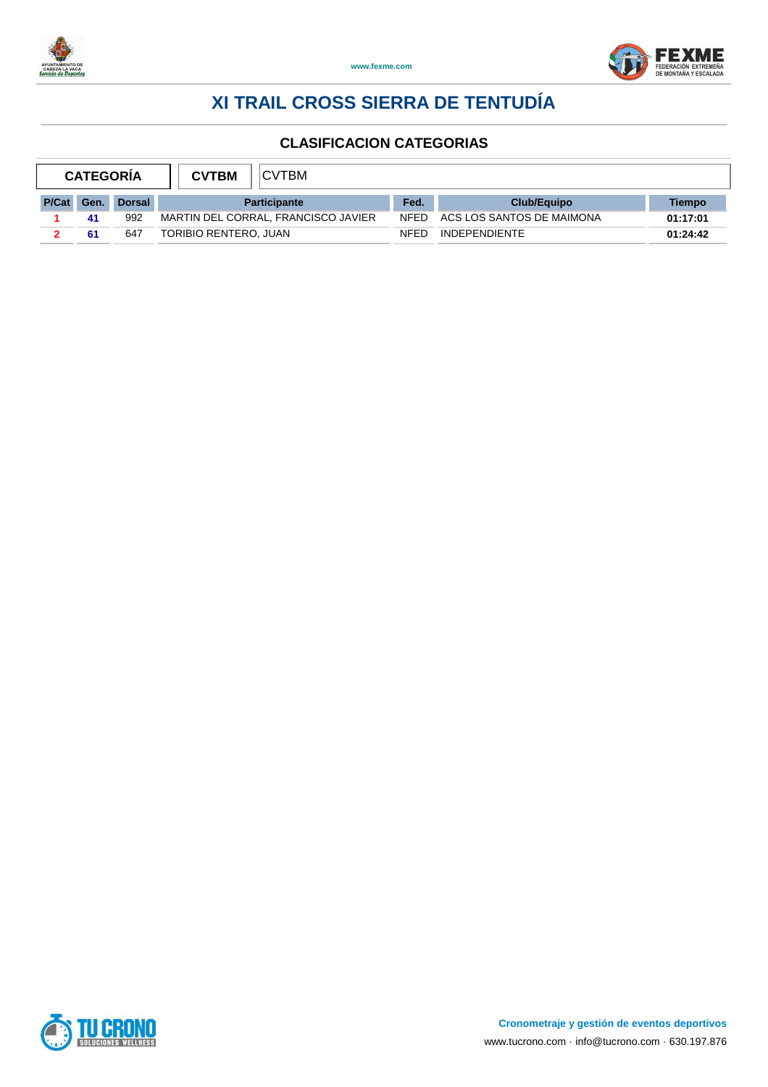



| <b>CATEGORIA</b> |      |               | <b>CVTBM</b>                        | <b>CVTBM</b> |             |                           |          |  |  |
|------------------|------|---------------|-------------------------------------|--------------|-------------|---------------------------|----------|--|--|
| <b>P/Cat</b>     | Gen. | <b>Dorsal</b> | <b>Participante</b>                 |              | Fed.        | <b>Club/Equipo</b>        | Tiempo   |  |  |
|                  | 41   | 992           | MARTIN DEL CORRAL, FRANCISCO JAVIER |              | <b>NFED</b> | ACS LOS SANTOS DE MAIMONA | 01:17:01 |  |  |
|                  | 61   | 647           | TORIBIO RENTERO, JUAN               |              | NFFD        | <b>INDEPENDIENTE</b>      | 01:24:42 |  |  |